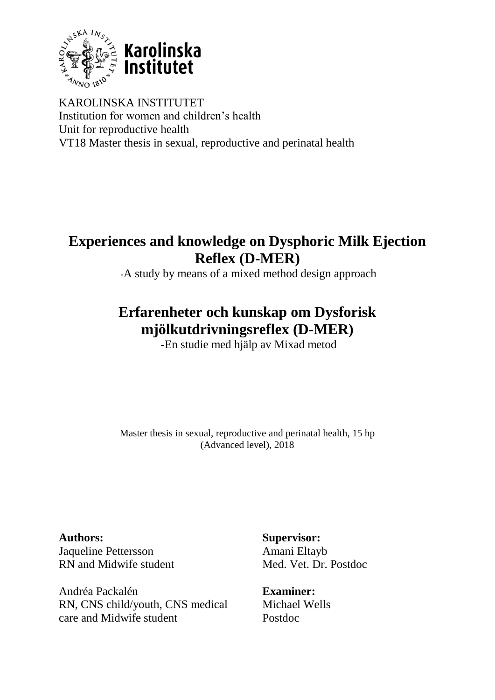

KAROLINSKA INSTITUTET Institution for women and children's health Unit for reproductive health VT18 Master thesis in sexual, reproductive and perinatal health

# **Experiences and knowledge on Dysphoric Milk Ejection Reflex (D-MER)**

**-**A study by means of a mixed method design approach

# **Erfarenheter och kunskap om Dysforisk mjölkutdrivningsreflex (D-MER)**

-En studie med hjälp av Mixad metod

Master thesis in sexual, reproductive and perinatal health, 15 hp (Advanced level), 2018

**Authors:** Jaqueline Pettersson RN and Midwife student

Andréa Packalén RN, CNS child/youth, CNS medical care and Midwife student

**Supervisor:** Amani Eltayb Med. Vet. Dr. Postdoc

**Examiner:** Michael Wells Postdoc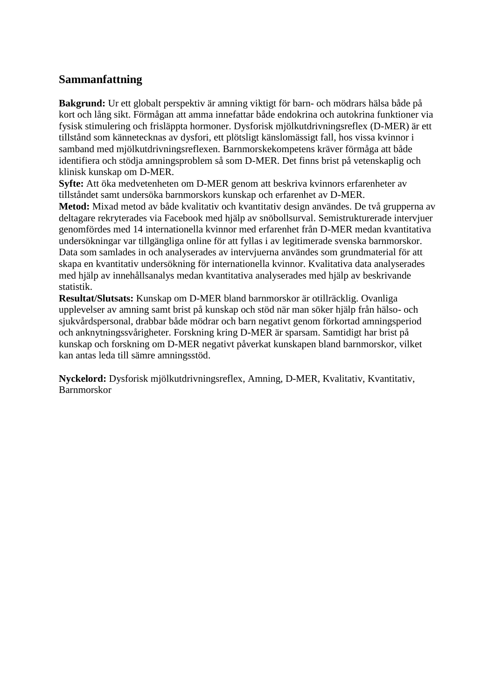## **Sammanfattning**

**Bakgrund:** Ur ett globalt perspektiv är amning viktigt för barn- och mödrars hälsa både på kort och lång sikt. Förmågan att amma innefattar både endokrina och autokrina funktioner via fysisk stimulering och frisläppta hormoner. Dysforisk mjölkutdrivningsreflex (D-MER) är ett tillstånd som kännetecknas av dysfori, ett plötsligt känslomässigt fall, hos vissa kvinnor i samband med mjölkutdrivningsreflexen. Barnmorskekompetens kräver förmåga att både identifiera och stödja amningsproblem så som D-MER. Det finns brist på vetenskaplig och klinisk kunskap om D-MER.

**Syfte:** Att öka medvetenheten om D-MER genom att beskriva kvinnors erfarenheter av tillståndet samt undersöka barnmorskors kunskap och erfarenhet av D-MER.

**Metod:** Mixad metod av både kvalitativ och kvantitativ design användes. De två grupperna av deltagare rekryterades via Facebook med hjälp av snöbollsurval. Semistrukturerade intervjuer genomfördes med 14 internationella kvinnor med erfarenhet från D-MER medan kvantitativa undersökningar var tillgängliga online för att fyllas i av legitimerade svenska barnmorskor. Data som samlades in och analyserades av intervjuerna användes som grundmaterial för att skapa en kvantitativ undersökning för internationella kvinnor. Kvalitativa data analyserades med hjälp av innehållsanalys medan kvantitativa analyserades med hjälp av beskrivande statistik.

**Resultat/Slutsats:** Kunskap om D-MER bland barnmorskor är otillräcklig. Ovanliga upplevelser av amning samt brist på kunskap och stöd när man söker hjälp från hälso- och sjukvårdspersonal, drabbar både mödrar och barn negativt genom förkortad amningsperiod och anknytningssvårigheter. Forskning kring D-MER är sparsam. Samtidigt har brist på kunskap och forskning om D-MER negativt påverkat kunskapen bland barnmorskor, vilket kan antas leda till sämre amningsstöd.

**Nyckelord:** Dysforisk mjölkutdrivningsreflex, Amning, D-MER, Kvalitativ, Kvantitativ, Barnmorskor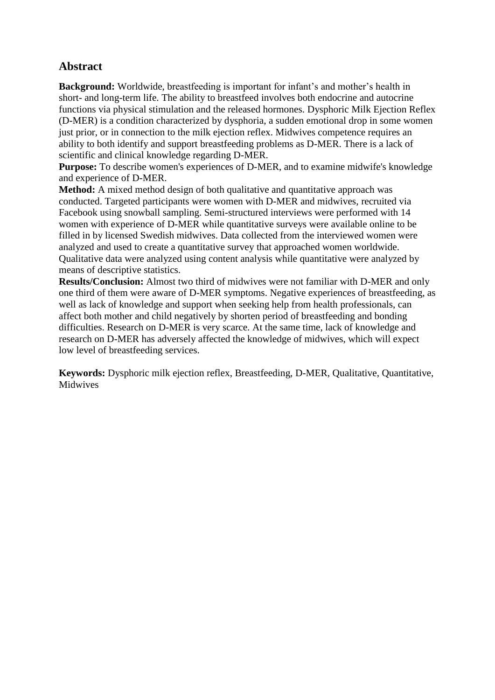# **Abstract**

**Background:** Worldwide, breastfeeding is important for infant's and mother's health in short- and long-term life. The ability to breastfeed involves both endocrine and autocrine functions via physical stimulation and the released hormones. Dysphoric Milk Ejection Reflex (D-MER) is a condition characterized by dysphoria, a sudden emotional drop in some women just prior, or in connection to the milk ejection reflex. Midwives competence requires an ability to both identify and support breastfeeding problems as D-MER. There is a lack of scientific and clinical knowledge regarding D-MER.

**Purpose:** To describe women's experiences of D-MER, and to examine midwife's knowledge and experience of D-MER.

**Method:** A mixed method design of both qualitative and quantitative approach was conducted. Targeted participants were women with D-MER and midwives, recruited via Facebook using snowball sampling. Semi-structured interviews were performed with 14 women with experience of D-MER while quantitative surveys were available online to be filled in by licensed Swedish midwives. Data collected from the interviewed women were analyzed and used to create a quantitative survey that approached women worldwide. Qualitative data were analyzed using content analysis while quantitative were analyzed by means of descriptive statistics.

**Results/Conclusion:** Almost two third of midwives were not familiar with D-MER and only one third of them were aware of D-MER symptoms. Negative experiences of breastfeeding, as well as lack of knowledge and support when seeking help from health professionals, can affect both mother and child negatively by shorten period of breastfeeding and bonding difficulties. Research on D-MER is very scarce. At the same time, lack of knowledge and research on D-MER has adversely affected the knowledge of midwives, which will expect low level of breastfeeding services.

**Keywords:** Dysphoric milk ejection reflex, Breastfeeding, D-MER, Qualitative, Quantitative, Midwives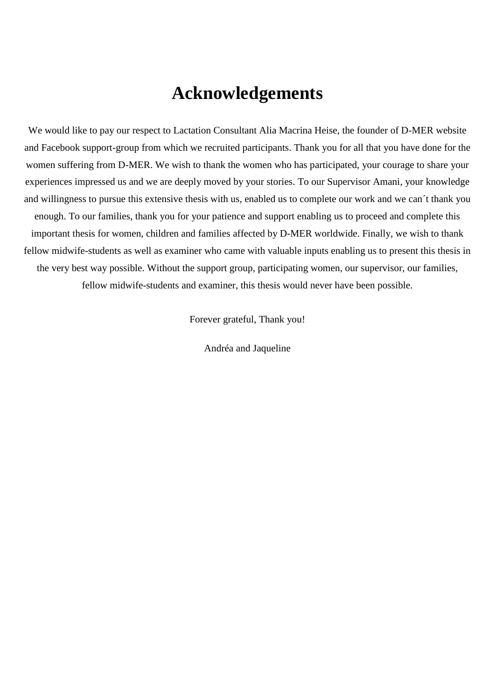# **Acknowledgements**

We would like to pay our respect to Lactation Consultant Alia Macrina Heise, the founder of D-MER website and Facebook support-group from which we recruited participants. Thank you for all that you have done for the women suffering from D-MER. We wish to thank the women who has participated, your courage to share your experiences impressed us and we are deeply moved by your stories. To our Supervisor Amani, your knowledge and willingness to pursue this extensive thesis with us, enabled us to complete our work and we can´t thank you enough. To our families, thank you for your patience and support enabling us to proceed and complete this important thesis for women, children and families affected by D-MER worldwide. Finally, we wish to thank fellow midwife-students as well as examiner who came with valuable inputs enabling us to present this thesis in the very best way possible. Without the support group, participating women, our supervisor, our families, fellow midwife-students and examiner, this thesis would never have been possible.

Forever grateful, Thank you!

Andréa and Jaqueline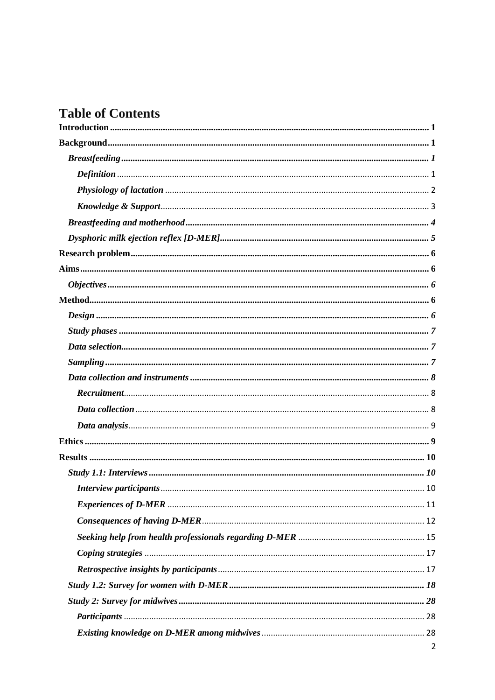# **Table of Contents**

| 2 |
|---|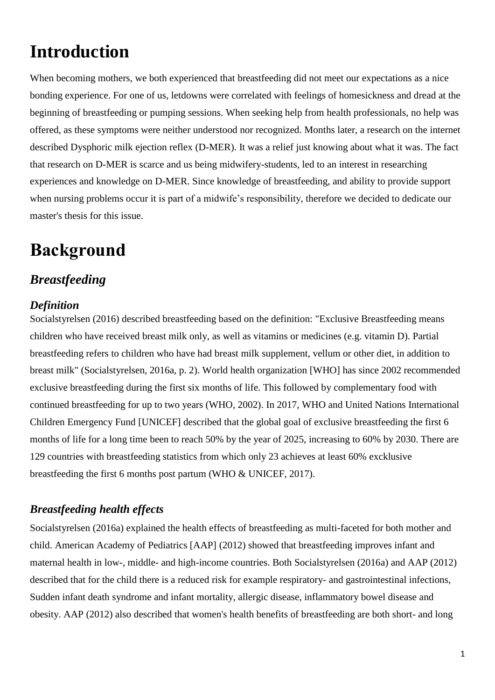# <span id="page-6-0"></span>**Introduction**

When becoming mothers, we both experienced that breastfeeding did not meet our expectations as a nice bonding experience. For one of us, letdowns were correlated with feelings of homesickness and dread at the beginning of breastfeeding or pumping sessions. When seeking help from health professionals, no help was offered, as these symptoms were neither understood nor recognized. Months later, a research on the internet described Dysphoric milk ejection reflex (D-MER). It was a relief just knowing about what it was. The fact that research on D-MER is scarce and us being midwifery-students, led to an interest in researching experiences and knowledge on D-MER. Since knowledge of breastfeeding, and ability to provide support when nursing problems occur it is part of a midwife's responsibility, therefore we decided to dedicate our master's thesis for this issue.

# <span id="page-6-1"></span>**Background**

# <span id="page-6-2"></span>*Breastfeeding*

## <span id="page-6-3"></span>*Definition*

Socialstyrelsen (2016) described breastfeeding based on the definition: "Exclusive Breastfeeding means children who have received breast milk only, as well as vitamins or medicines (e.g. vitamin D). Partial breastfeeding refers to children who have had breast milk supplement, vellum or other diet, in addition to breast milk" (Socialstyrelsen, 2016a, p. 2). World health organization [WHO] has since 2002 recommended exclusive breastfeeding during the first six months of life. This followed by complementary food with continued breastfeeding for up to two years (WHO, 2002). In 2017, WHO and United Nations International Children Emergency Fund [UNICEF] described that the global goal of exclusive breastfeeding the first 6 months of life for a long time been to reach 50% by the year of 2025, increasing to 60% by 2030. There are 129 countries with breastfeeding statistics from which only 23 achieves at least 60% excklusive breastfeeding the first 6 months post partum (WHO & UNICEF, 2017).

## *Breastfeeding health effects*

Socialstyrelsen (2016a) explained the health effects of breastfeeding as multi-faceted for both mother and child. American Academy of Pediatrics [AAP] (2012) showed that breastfeeding improves infant and maternal health in low-, middle- and high-income countries. Both Socialstyrelsen (2016a) and AAP (2012) described that for the child there is a reduced risk for example respiratory- and gastrointestinal infections, Sudden infant death syndrome and infant mortality, allergic disease, inflammatory bowel disease and obesity. AAP (2012) also described that women's health benefits of breastfeeding are both short- and long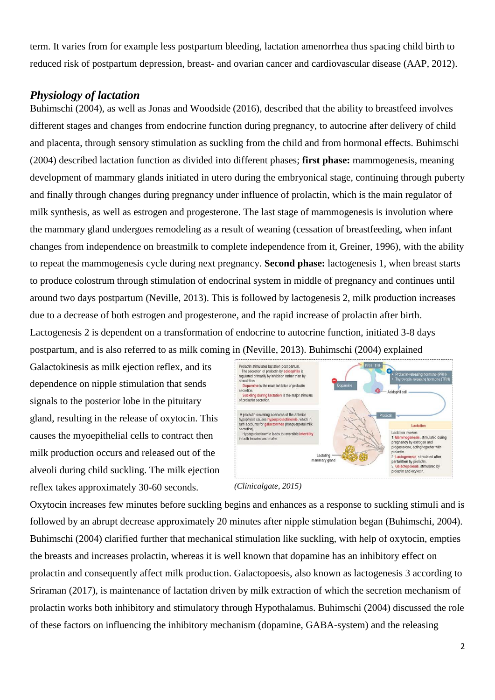term. It varies from for example less postpartum bleeding, lactation amenorrhea thus spacing child birth to reduced risk of postpartum depression, breast- and ovarian cancer and cardiovascular disease (AAP, 2012).

## <span id="page-7-0"></span>*Physiology of lactation*

Buhimschi (2004), as well as Jonas and Woodside (2016), described that the ability to breastfeed involves different stages and changes from endocrine function during pregnancy, to autocrine after delivery of child and placenta, through sensory stimulation as suckling from the child and from hormonal effects. Buhimschi (2004) described lactation function as divided into different phases; **first phase:** mammogenesis, meaning development of mammary glands initiated in utero during the embryonical stage, continuing through puberty and finally through changes during pregnancy under influence of prolactin, which is the main regulator of milk synthesis, as well as estrogen and progesterone. The last stage of mammogenesis is involution where the mammary gland undergoes remodeling as a result of weaning (cessation of breastfeeding, when infant changes from independence on breastmilk to complete independence from it, Greiner, 1996), with the ability to repeat the mammogenesis cycle during next pregnancy. **Second phase:** lactogenesis 1, when breast starts to produce colostrum through stimulation of endocrinal system in middle of pregnancy and continues until around two days postpartum (Neville, 2013). This is followed by lactogenesis 2, milk production increases due to a decrease of both estrogen and progesterone, and the rapid increase of prolactin after birth. Lactogenesis 2 is dependent on a transformation of endocrine to autocrine function, initiated 3-8 days postpartum, and is also referred to as milk coming in (Neville, 2013). Buhimschi (2004) explained

Galactokinesis as milk ejection reflex, and its dependence on nipple stimulation that sends signals to the posterior lobe in the pituitary gland, resulting in the release of oxytocin. This causes the myoepithelial cells to contract then milk production occurs and released out of the alveoli during child suckling. The milk ejection reflex takes approximately 30-60 seconds.



*(Clinicalgate, 2015)*

Oxytocin increases few minutes before suckling begins and enhances as a response to suckling stimuli and is followed by an abrupt decrease approximately 20 minutes after nipple stimulation began (Buhimschi, 2004). Buhimschi (2004) clarified further that mechanical stimulation like suckling, with help of oxytocin, empties the breasts and increases prolactin, whereas it is well known that dopamine has an inhibitory effect on prolactin and consequently affect milk production. Galactopoesis, also known as lactogenesis 3 according to Sriraman (2017)*,* is maintenance of lactation driven by milk extraction of which the secretion mechanism of prolactin works both inhibitory and stimulatory through Hypothalamus. Buhimschi (2004) discussed the role of these factors on influencing the inhibitory mechanism (dopamine, GABA-system) and the releasing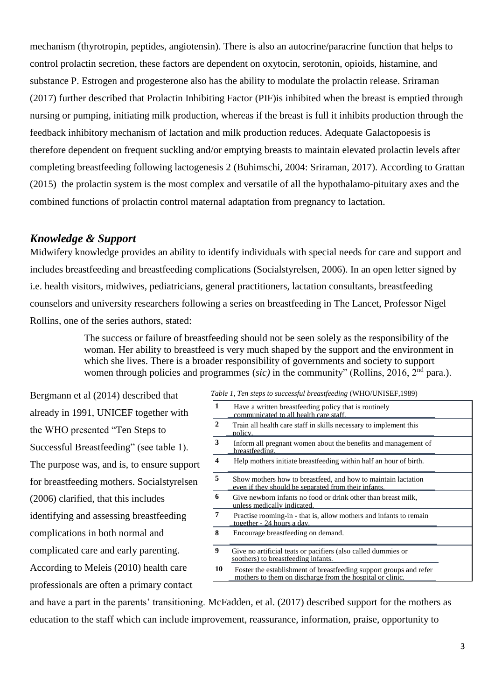mechanism (thyrotropin, peptides, angiotensin). There is also an autocrine/paracrine function that helps to control prolactin secretion, these factors are dependent on oxytocin, serotonin, opioids, histamine, and substance P. Estrogen and progesterone also has the ability to modulate the prolactin release. Sriraman (2017) further described that Prolactin Inhibiting Factor (PIF)is inhibited when the breast is emptied through nursing or pumping, initiating milk production, whereas if the breast is full it inhibits production through the feedback inhibitory mechanism of lactation and milk production reduces. Adequate Galactopoesis is therefore dependent on frequent suckling and/or emptying breasts to maintain elevated prolactin levels after completing breastfeeding following lactogenesis 2 (Buhimschi, 2004: Sriraman, 2017). According to Grattan (2015) the prolactin system is the most complex and versatile of all the hypothalamo-pituitary axes and the combined functions of prolactin control maternal adaptation from pregnancy to lactation.

## <span id="page-8-0"></span>*Knowledge & Support*

Midwifery knowledge provides an ability to identify individuals with special needs for care and support and includes breastfeeding and breastfeeding complications (Socialstyrelsen, 2006). In an open letter signed by i.e. health visitors, midwives, pediatricians, general practitioners, lactation consultants, breastfeeding counselors and university researchers following a series on breastfeeding in The Lancet, Professor Nigel Rollins, one of the series authors, stated:

> The success or failure of breastfeeding should not be seen solely as the responsibility of the woman. Her ability to breastfeed is very much shaped by the support and the environment in which she lives. There is a broader responsibility of governments and society to support women through policies and programmes *(sic)* in the community" (Rollins, 2016, 2<sup>nd</sup> para.).

Bergmann et al (2014) described that already in 1991, UNICEF together with the WHO presented "Ten Steps to Successful Breastfeeding" (see table 1). The purpose was, and is, to ensure support for breastfeeding mothers. Socialstyrelsen (2006) clarified, that this includes identifying and assessing breastfeeding complications in both normal and complicated care and early parenting. According to Meleis (2010) health care professionals are often a primary contact

*Table 1, Ten steps to successful breastfeeding* (WHO/UNISEF,1989)

| 1                | Have a written breastfeeding policy that is routinely<br>communicated to all health care staff.                                 |  |
|------------------|---------------------------------------------------------------------------------------------------------------------------------|--|
| $\mathbf{2}$     | Train all health care staff in skills necessary to implement this<br>policy.                                                    |  |
| 3                | Inform all pregnant women about the benefits and management of<br>breastfeeding.                                                |  |
| $\boldsymbol{4}$ | Help mothers initiate breastfeeding within half an hour of birth.                                                               |  |
| 5                | Show mothers how to breastfeed, and how to maintain lactation<br>even if they should be separated from their infants.           |  |
| 6                | Give newborn infants no food or drink other than breast milk,<br>unless medically indicated.                                    |  |
| 7                | Practise rooming-in - that is, allow mothers and infants to remain<br>together - 24 hours a day.                                |  |
| 8                | Encourage breastfeeding on demand.                                                                                              |  |
| 9                | Give no artificial teats or pacifiers (also called dummies or<br>soothers) to breastfeeding infants.                            |  |
| 10               | Foster the establishment of breastfeeding support groups and refer<br>mothers to them on discharge from the hospital or clinic. |  |

and have a part in the parents' transitioning. McFadden, et al. (2017) described support for the mothers as education to the staff which can include improvement, reassurance, information, praise, opportunity to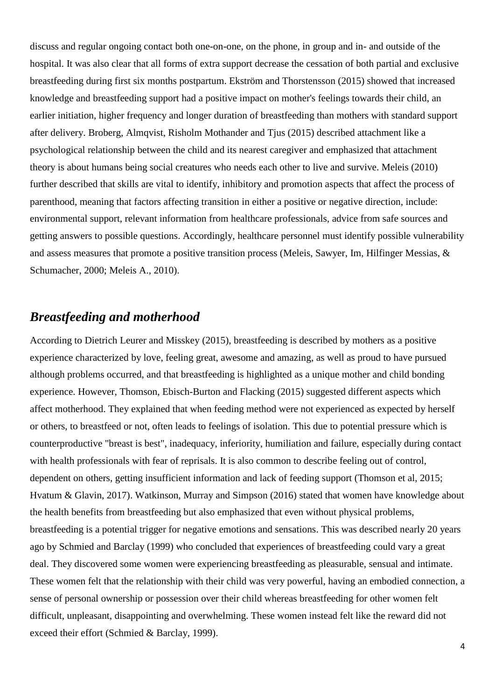discuss and regular ongoing contact both one-on-one, on the phone, in group and in- and outside of the hospital. It was also clear that all forms of extra support decrease the cessation of both partial and exclusive breastfeeding during first six months postpartum. Ekström and Thorstensson (2015) showed that increased knowledge and breastfeeding support had a positive impact on mother's feelings towards their child, an earlier initiation, higher frequency and longer duration of breastfeeding than mothers with standard support after delivery. Broberg, Almqvist, Risholm Mothander and Tjus (2015) described attachment like a psychological relationship between the child and its nearest caregiver and emphasized that attachment theory is about humans being social creatures who needs each other to live and survive. Meleis (2010) further described that skills are vital to identify, inhibitory and promotion aspects that affect the process of parenthood, meaning that factors affecting transition in either a positive or negative direction, include: environmental support, relevant information from healthcare professionals, advice from safe sources and getting answers to possible questions. Accordingly, healthcare personnel must identify possible vulnerability and assess measures that promote a positive transition process (Meleis, Sawyer, Im, Hilfinger Messias, & Schumacher, 2000; Meleis A., 2010).

# <span id="page-9-0"></span>*Breastfeeding and motherhood*

According to Dietrich Leurer and Misskey (2015), breastfeeding is described by mothers as a positive experience characterized by love, feeling great, awesome and amazing, as well as proud to have pursued although problems occurred, and that breastfeeding is highlighted as a unique mother and child bonding experience. However, Thomson, Ebisch-Burton and Flacking (2015) suggested different aspects which affect motherhood. They explained that when feeding method were not experienced as expected by herself or others, to breastfeed or not, often leads to feelings of isolation. This due to potential pressure which is counterproductive "breast is best", inadequacy, inferiority, humiliation and failure, especially during contact with health professionals with fear of reprisals. It is also common to describe feeling out of control, dependent on others, getting insufficient information and lack of feeding support (Thomson et al, 2015; Hvatum & Glavin, 2017). Watkinson, Murray and Simpson (2016) stated that women have knowledge about the health benefits from breastfeeding but also emphasized that even without physical problems, breastfeeding is a potential trigger for negative emotions and sensations. This was described nearly 20 years ago by Schmied and Barclay (1999) who concluded that experiences of breastfeeding could vary a great deal. They discovered some women were experiencing breastfeeding as pleasurable, sensual and intimate. These women felt that the relationship with their child was very powerful, having an embodied connection, a sense of personal ownership or possession over their child whereas breastfeeding for other women felt difficult, unpleasant, disappointing and overwhelming. These women instead felt like the reward did not exceed their effort (Schmied & Barclay, 1999).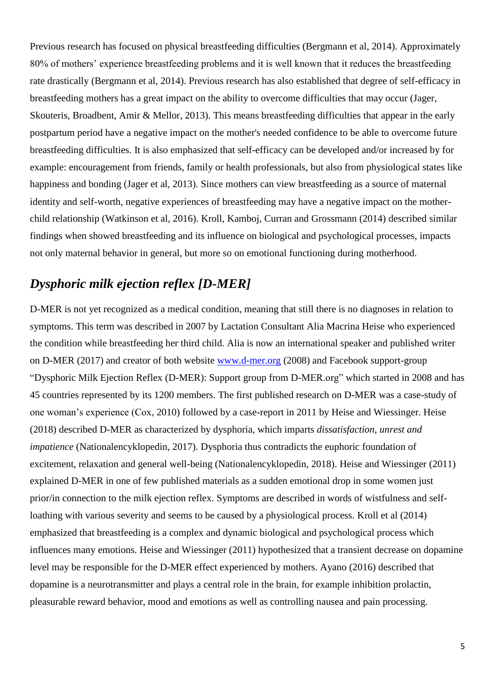Previous research has focused on physical breastfeeding difficulties (Bergmann et al, 2014). Approximately 80% of mothers' experience breastfeeding problems and it is well known that it reduces the breastfeeding rate drastically (Bergmann et al, 2014). Previous research has also established that degree of self-efficacy in breastfeeding mothers has a great impact on the ability to overcome difficulties that may occur (Jager, Skouteris, Broadbent, Amir & Mellor, 2013). This means breastfeeding difficulties that appear in the early postpartum period have a negative impact on the mother's needed confidence to be able to overcome future breastfeeding difficulties. It is also emphasized that self-efficacy can be developed and/or increased by for example: encouragement from friends, family or health professionals, but also from physiological states like happiness and bonding (Jager et al, 2013). Since mothers can view breastfeeding as a source of maternal identity and self-worth, negative experiences of breastfeeding may have a negative impact on the motherchild relationship (Watkinson et al, 2016). Kroll, Kamboj, Curran and Grossmann (2014) described similar findings when showed breastfeeding and its influence on biological and psychological processes, impacts not only maternal behavior in general, but more so on emotional functioning during motherhood.

# <span id="page-10-0"></span>*Dysphoric milk ejection reflex [D-MER]*

D-MER is not yet recognized as a medical condition, meaning that still there is no diagnoses in relation to symptoms. This term was described in 2007 by Lactation Consultant Alia Macrina Heise who experienced the condition while breastfeeding her third child. Alia is now an international speaker and published writer on D-MER (2017) and creator of both website [www.d-mer.org](http://www.d-mer.org/) (2008) and Facebook support-group "Dysphoric Milk Ejection Reflex (D-MER): Support group from D-MER.org" which started in 2008 and has 45 countries represented by its 1200 members. The first published research on D-MER was a case-study of one woman's experience (Cox, 2010) followed by a case-report in 2011 by Heise and Wiessinger. Heise (2018) described D-MER as characterized by dysphoria, which imparts *dissatisfaction*, *unrest and impatience* (Nationalencyklopedin, 2017). Dysphoria thus contradicts the euphoric foundation of excitement, relaxation and general well-being (Nationalencyklopedin, 2018). Heise and Wiessinger (2011) explained D-MER in one of few published materials as a sudden emotional drop in some women just prior/in connection to the milk ejection reflex. Symptoms are described in words of wistfulness and selfloathing with various severity and seems to be caused by a physiological process. Kroll et al (2014) emphasized that breastfeeding is a complex and dynamic biological and psychological process which influences many emotions. Heise and Wiessinger (2011) hypothesized that a transient decrease on dopamine level may be responsible for the D-MER effect experienced by mothers. Ayano (2016) described that dopamine is a neurotransmitter and plays a central role in the brain, for example inhibition prolactin, pleasurable reward behavior, mood and emotions as well as controlling nausea and pain processing.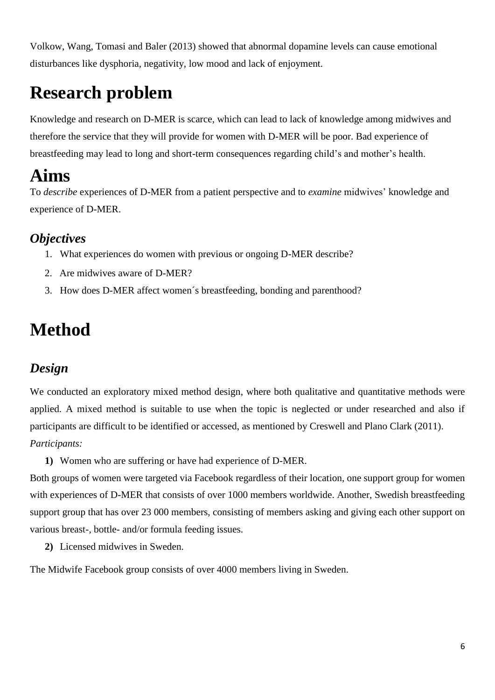Volkow, Wang, Tomasi and Baler (2013) showed that abnormal dopamine levels can cause emotional disturbances like dysphoria, negativity, low mood and lack of enjoyment.

# <span id="page-11-0"></span>**Research problem**

Knowledge and research on D-MER is scarce, which can lead to lack of knowledge among midwives and therefore the service that they will provide for women with D-MER will be poor. Bad experience of breastfeeding may lead to long and short-term consequences regarding child's and mother's health.

# <span id="page-11-1"></span>**Aims**

To *describe* experiences of D-MER from a patient perspective and to *examine* midwives' knowledge and experience of D-MER.

# <span id="page-11-2"></span>*Objectives*

- 1. What experiences do women with previous or ongoing D-MER describe?
- 2. Are midwives aware of D-MER?
- 3. How does D-MER affect women´s breastfeeding, bonding and parenthood?

# <span id="page-11-3"></span>**Method**

# <span id="page-11-4"></span>*Design*

We conducted an exploratory mixed method design, where both qualitative and quantitative methods were applied. A mixed method is suitable to use when the topic is neglected or under researched and also if participants are difficult to be identified or accessed, as mentioned by Creswell and Plano Clark (2011). *Participants:*

**1)** Women who are suffering or have had experience of D-MER.

Both groups of women were targeted via Facebook regardless of their location, one support group for women with experiences of D-MER that consists of over 1000 members worldwide. Another, Swedish breastfeeding support group that has over 23 000 members, consisting of members asking and giving each other support on various breast-, bottle- and/or formula feeding issues.

**2)** Licensed midwives in Sweden.

The Midwife Facebook group consists of over 4000 members living in Sweden.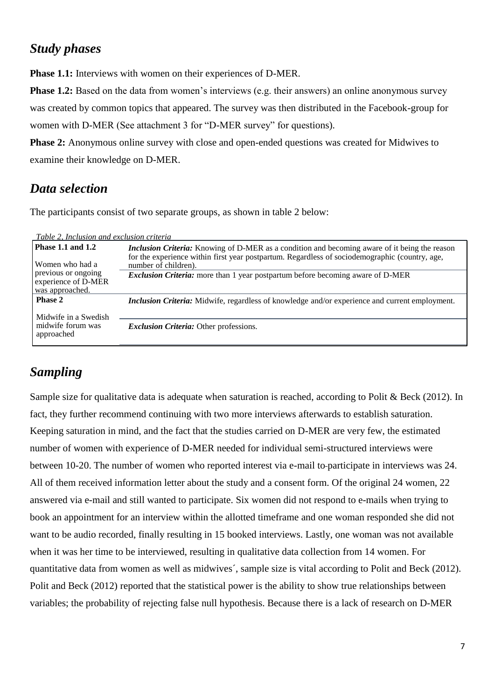# <span id="page-12-0"></span>*Study phases*

**Phase 1.1:** Interviews with women on their experiences of D-MER.

**Phase 1.2:** Based on the data from women's interviews (e.g. their answers) an online anonymous survey was created by common topics that appeared. The survey was then distributed in the Facebook-group for women with D-MER (See attachment 3 for "D-MER survey" for questions).

**Phase 2:** Anonymous online survey with close and open-ended questions was created for Midwives to examine their knowledge on D-MER.

# <span id="page-12-1"></span>*Data selection*

The participants consist of two separate groups, as shown in table 2 below:

| Table 2, Inclusion and exclusion criteria                     |                                                                                                                                                                                                                                |
|---------------------------------------------------------------|--------------------------------------------------------------------------------------------------------------------------------------------------------------------------------------------------------------------------------|
| <b>Phase 1.1 and 1.2</b><br>Women who had a                   | <i>Inclusion Criteria:</i> Knowing of D-MER as a condition and becoming aware of it being the reason<br>for the experience within first year postpartum. Regardless of sociodemographic (country, age,<br>number of children). |
| previous or ongoing<br>experience of D-MER<br>was approached. | Exclusion Criteria: more than 1 year postpartum before becoming aware of D-MER                                                                                                                                                 |
| <b>Phase 2</b><br>Midwife in a Swedish                        | <b>Inclusion Criteria:</b> Midwife, regardless of knowledge and/or experience and current employment.                                                                                                                          |
| midwife forum was<br>approached                               | <i>Exclusion Criteria:</i> Other professions.                                                                                                                                                                                  |

# <span id="page-12-2"></span>*Sampling*

Sample size for qualitative data is adequate when saturation is reached, according to Polit & Beck (2012). In fact, they further recommend continuing with two more interviews afterwards to establish saturation. Keeping saturation in mind, and the fact that the studies carried on D-MER are very few, the estimated number of women with experience of D-MER needed for individual semi-structured interviews were between 10-20. The number of women who reported interest via e-mail to participate in interviews was 24. All of them received information letter about the study and a consent form. Of the original 24 women, 22 answered via e-mail and still wanted to participate. Six women did not respond to e-mails when trying to book an appointment for an interview within the allotted timeframe and one woman responded she did not want to be audio recorded, finally resulting in 15 booked interviews. Lastly, one woman was not available when it was her time to be interviewed, resulting in qualitative data collection from 14 women. For quantitative data from women as well as midwives´, sample size is vital according to Polit and Beck (2012). Polit and Beck (2012) reported that the statistical power is the ability to show true relationships between variables; the probability of rejecting false null hypothesis. Because there is a lack of research on D-MER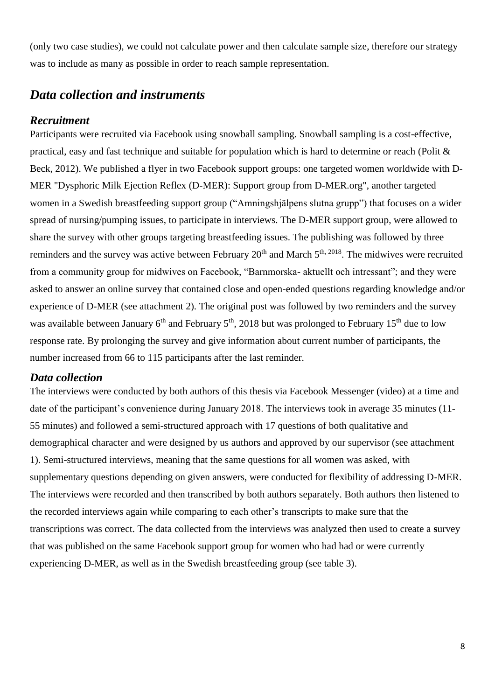(only two case studies), we could not calculate power and then calculate sample size, therefore our strategy was to include as many as possible in order to reach sample representation.

# <span id="page-13-0"></span>*Data collection and instruments*

### <span id="page-13-1"></span>*Recruitment*

Participants were recruited via Facebook using snowball sampling. Snowball sampling is a cost-effective, practical, easy and fast technique and suitable for population which is hard to determine or reach (Polit & Beck, 2012). We published a flyer in two Facebook support groups: one targeted women worldwide with D-MER "Dysphoric Milk Ejection Reflex (D-MER): Support group from D-MER.org", another targeted women in a Swedish breastfeeding support group ("Amningshjälpens slutna grupp") that focuses on a wider spread of nursing/pumping issues, to participate in interviews. The D-MER support group, were allowed to share the survey with other groups targeting breastfeeding issues. The publishing was followed by three reminders and the survey was active between February 20<sup>th</sup> and March 5<sup>th, 2018</sup>. The midwives were recruited from a community group for midwives on Facebook, "Barnmorska- aktuellt och intressant"; and they were asked to answer an online survey that contained close and open-ended questions regarding knowledge and/or experience of D-MER (see attachment 2). The original post was followed by two reminders and the survey was available between January  $6<sup>th</sup>$  and February  $5<sup>th</sup>$ , 2018 but was prolonged to February 15<sup>th</sup> due to low response rate. By prolonging the survey and give information about current number of participants, the number increased from 66 to 115 participants after the last reminder.

### <span id="page-13-2"></span>*Data collection*

The interviews were conducted by both authors of this thesis via Facebook Messenger (video) at a time and date of the participant's convenience during January 2018. The interviews took in average 35 minutes (11- 55 minutes) and followed a semi-structured approach with 17 questions of both qualitative and demographical character and were designed by us authors and approved by our supervisor (see attachment 1). Semi-structured interviews, meaning that the same questions for all women was asked, with supplementary questions depending on given answers, were conducted for flexibility of addressing D-MER. The interviews were recorded and then transcribed by both authors separately. Both authors then listened to the recorded interviews again while comparing to each other's transcripts to make sure that the transcriptions was correct. The data collected from the interviews was analyzed then used to create a **s**urvey that was published on the same Facebook support group for women who had had or were currently experiencing D-MER, as well as in the Swedish breastfeeding group (see table 3).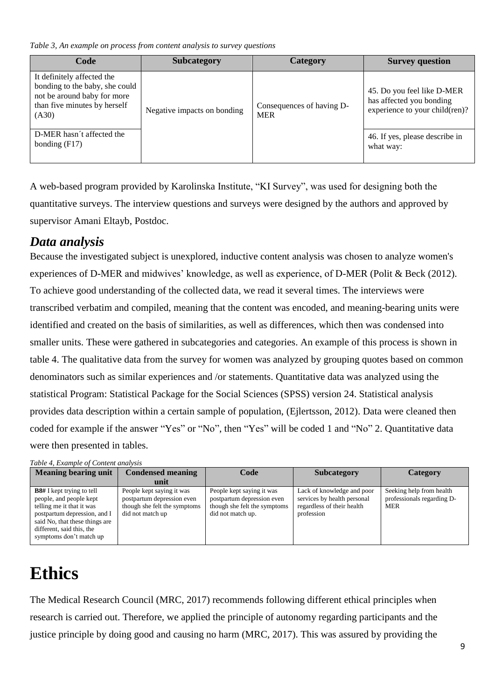*Table 3, An example on process from content analysis to survey questions*

| Code                                                                                                                                 | <b>Subcategory</b>          | Category                                | <b>Survey question</b>                                                                   |
|--------------------------------------------------------------------------------------------------------------------------------------|-----------------------------|-----------------------------------------|------------------------------------------------------------------------------------------|
| It definitely affected the<br>bonding to the baby, she could<br>not be around baby for more<br>than five minutes by herself<br>(A30) | Negative impacts on bonding | Consequences of having D-<br><b>MER</b> | 45. Do you feel like D-MER<br>has affected you bonding<br>experience to your child(ren)? |
| D-MER hasn't affected the<br>bonding $(F17)$                                                                                         |                             |                                         | 46. If yes, please describe in<br>what way:                                              |

A web-based program provided by Karolinska Institute, "KI Survey", was used for designing both the quantitative surveys. The interview questions and surveys were designed by the authors and approved by supervisor Amani Eltayb, Postdoc.

# <span id="page-14-0"></span>*Data analysis*

Because the investigated subject is unexplored, inductive content analysis was chosen to analyze women's experiences of D-MER and midwives' knowledge, as well as experience, of D-MER (Polit & Beck (2012). To achieve good understanding of the collected data, we read it several times. The interviews were transcribed verbatim and compiled, meaning that the content was encoded, and meaning-bearing units were identified and created on the basis of similarities, as well as differences, which then was condensed into smaller units. These were gathered in subcategories and categories. An example of this process is shown in table 4. The qualitative data from the survey for women was analyzed by grouping quotes based on common denominators such as similar experiences and /or statements. Quantitative data was analyzed using the statistical Program: Statistical Package for the Social Sciences (SPSS) version 24. Statistical analysis provides data description within a certain sample of population, (Ejlertsson, 2012). Data were cleaned then coded for example if the answer "Yes" or "No", then "Yes" will be coded 1 and "No" 2. Quantitative data were then presented in tables.

#### *Table 4, Example of Content analysis*

| <b>Meaning bearing unit</b>                                                                                                                                                                                        | <b>Condensed meaning</b>                                                                                    | Code                                                                                                         | <b>Subcategory</b>                                                                                    | Category                                                      |
|--------------------------------------------------------------------------------------------------------------------------------------------------------------------------------------------------------------------|-------------------------------------------------------------------------------------------------------------|--------------------------------------------------------------------------------------------------------------|-------------------------------------------------------------------------------------------------------|---------------------------------------------------------------|
|                                                                                                                                                                                                                    | unit                                                                                                        |                                                                                                              |                                                                                                       |                                                               |
| <b>B8#</b> I kept trying to tell<br>people, and people kept<br>telling me it that it was<br>postpartum depression, and I<br>said No, that these things are<br>different, said this, the<br>symptoms don't match up | People kept saying it was<br>postpartum depression even<br>though she felt the symptoms<br>did not match up | People kept saying it was<br>postpartum depression even<br>though she felt the symptoms<br>did not match up. | Lack of knowledge and poor<br>services by health personal<br>regardless of their health<br>profession | Seeking help from health<br>professionals regarding D-<br>MER |

# <span id="page-14-1"></span>**Ethics**

The Medical Research Council (MRC, 2017) recommends following different ethical principles when research is carried out. Therefore, we applied the principle of autonomy regarding participants and the justice principle by doing good and causing no harm (MRC, 2017). This was assured by providing the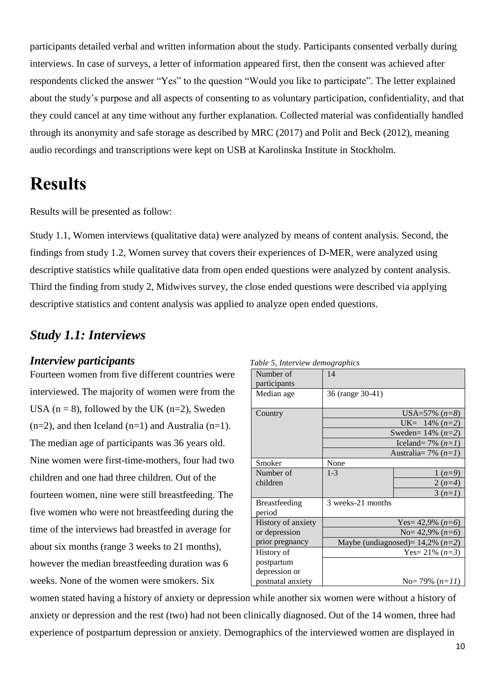participants detailed verbal and written information about the study. Participants consented verbally during interviews. In case of surveys, a letter of information appeared first, then the consent was achieved after respondents clicked the answer "Yes" to the question "Would you like to participate". The letter explained about the study's purpose and all aspects of consenting to as voluntary participation, confidentiality, and that they could cancel at any time without any further explanation. Collected material was confidentially handled through its anonymity and safe storage as described by MRC (2017) and Polit and Beck (2012), meaning audio recordings and transcriptions were kept on USB at Karolinska Institute in Stockholm.

# <span id="page-15-0"></span>**Results**

Results will be presented as follow:

Study 1.1, Women interviews (qualitative data) were analyzed by means of content analysis. Second, the findings from study 1.2, Women survey that covers their experiences of D-MER, were analyzed using descriptive statistics while qualitative data from open ended questions were analyzed by content analysis. Third the finding from study 2, Midwives survey, the close ended questions were described via applying descriptive statistics and content analysis was applied to analyze open ended questions.

# <span id="page-15-1"></span>*Study 1.1: Interviews*

## <span id="page-15-2"></span>*Interview participants*

Fourteen women from five different countries were interviewed. The majority of women were from the USA ( $n = 8$ ), followed by the UK ( $n=2$ ), Sweden  $(n=2)$ , and then Iceland  $(n=1)$  and Australia  $(n=1)$ . The median age of participants was 36 years old. Nine women were first-time-mothers, four had two children and one had three children. Out of the fourteen women, nine were still breastfeeding. The five women who were not breastfeeding during the time of the interviews had breastfed in average for about six months (range 3 weeks to 21 months), however the median breastfeeding duration was 6 weeks. None of the women were smokers. Six

| Lable 5, Interview demographics |                                          |                     |  |  |
|---------------------------------|------------------------------------------|---------------------|--|--|
| Number of                       | 14                                       |                     |  |  |
| participants                    |                                          |                     |  |  |
| Median age                      | 36 (range 30-41)                         |                     |  |  |
|                                 |                                          |                     |  |  |
| Country                         |                                          | USA=57% $(n=8)$     |  |  |
|                                 | UK= $14\%$ ( <i>n</i> =2)                |                     |  |  |
|                                 | Sweden= $14\%$ ( <i>n</i> =2)            |                     |  |  |
|                                 | Iceland= 7% $(n=1)$                      |                     |  |  |
|                                 | Australia = 7% $(n=1)$                   |                     |  |  |
| Smoker                          | None                                     |                     |  |  |
| Number of                       | $1 - 3$                                  | $1(n=9)$            |  |  |
| children                        |                                          | $2(n=4)$            |  |  |
|                                 |                                          | $3(n=1)$            |  |  |
| <b>Breastfeeding</b>            | 3 weeks-21 months                        |                     |  |  |
| period                          |                                          |                     |  |  |
| History of anxiety              |                                          | Yes= 42,9% $(n=6)$  |  |  |
| or depression                   |                                          | No= 42,9% $(n=6)$   |  |  |
| prior pregnancy                 | Maybe (undiagnosed) = $14,2\%$ ( $n=2$ ) |                     |  |  |
| History of                      |                                          | Yes= $21\%$ $(n=3)$ |  |  |
| postpartum                      |                                          |                     |  |  |
| depression or                   |                                          |                     |  |  |
| postnatal anxiety               |                                          | No= 79% $(n=11)$    |  |  |

*Table 5, Interview demographics*

women stated having a history of anxiety or depression while another six women were without a history of anxiety or depression and the rest (two) had not been clinically diagnosed. Out of the 14 women, three had experience of postpartum depression or anxiety. Demographics of the interviewed women are displayed in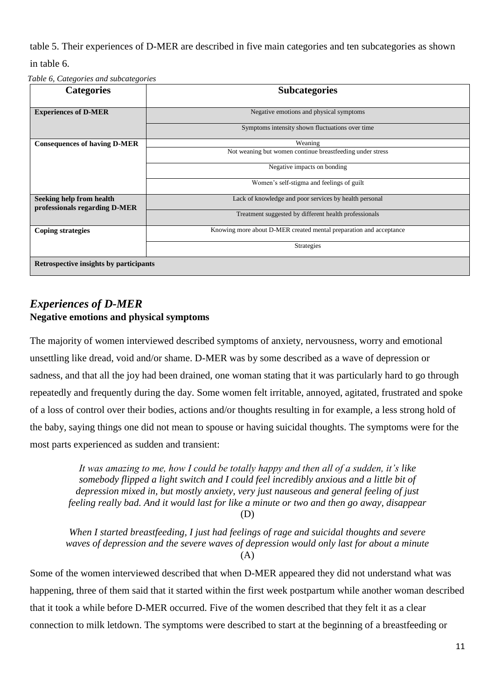table 5. Their experiences of D-MER are described in five main categories and ten subcategories as shown in table 6.

*Table 6, Categories and subcategories*

| <b>Categories</b>                                         | <b>Subcategories</b>                                               |
|-----------------------------------------------------------|--------------------------------------------------------------------|
| <b>Experiences of D-MER</b>                               | Negative emotions and physical symptoms                            |
|                                                           | Symptoms intensity shown fluctuations over time                    |
| <b>Consequences of having D-MER</b>                       | Weaning                                                            |
|                                                           | Not weaning but women continue breastfeeding under stress          |
|                                                           | Negative impacts on bonding                                        |
|                                                           | Women's self-stigma and feelings of guilt                          |
| Seeking help from health<br>professionals regarding D-MER | Lack of knowledge and poor services by health personal             |
|                                                           | Treatment suggested by different health professionals              |
| <b>Coping strategies</b>                                  | Knowing more about D-MER created mental preparation and acceptance |
|                                                           | <b>Strategies</b>                                                  |
| Retrospective insights by participants                    |                                                                    |

## <span id="page-16-0"></span>*Experiences of D-MER*  **Negative emotions and physical symptoms**

The majority of women interviewed described symptoms of anxiety, nervousness, worry and emotional unsettling like dread, void and/or shame. D-MER was by some described as a wave of depression or sadness, and that all the joy had been drained, one woman stating that it was particularly hard to go through repeatedly and frequently during the day. Some women felt irritable, annoyed, agitated, frustrated and spoke of a loss of control over their bodies, actions and/or thoughts resulting in for example, a less strong hold of the baby, saying things one did not mean to spouse or having suicidal thoughts. The symptoms were for the most parts experienced as sudden and transient:

*It was amazing to me, how I could be totally happy and then all of a sudden, it's like somebody flipped a light switch and I could feel incredibly anxious and a little bit of depression mixed in, but mostly anxiety, very just nauseous and general feeling of just feeling really bad. And it would last for like a minute or two and then go away, disappear* (D)

*When I started breastfeeding, I just had feelings of rage and suicidal thoughts and severe waves of depression and the severe waves of depression would only last for about a minute* (A)

Some of the women interviewed described that when D-MER appeared they did not understand what was happening, three of them said that it started within the first week postpartum while another woman described that it took a while before D-MER occurred. Five of the women described that they felt it as a clear connection to milk letdown. The symptoms were described to start at the beginning of a breastfeeding or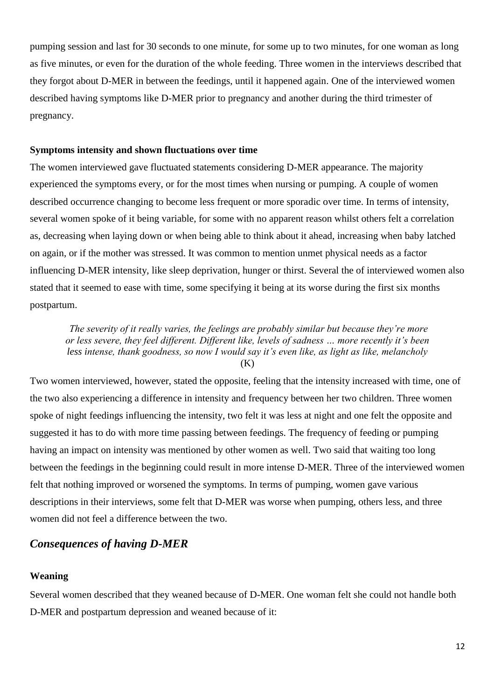pumping session and last for 30 seconds to one minute, for some up to two minutes, for one woman as long as five minutes, or even for the duration of the whole feeding. Three women in the interviews described that they forgot about D-MER in between the feedings, until it happened again. One of the interviewed women described having symptoms like D-MER prior to pregnancy and another during the third trimester of pregnancy.

#### **Symptoms intensity and shown fluctuations over time**

The women interviewed gave fluctuated statements considering D-MER appearance. The majority experienced the symptoms every, or for the most times when nursing or pumping. A couple of women described occurrence changing to become less frequent or more sporadic over time. In terms of intensity, several women spoke of it being variable, for some with no apparent reason whilst others felt a correlation as, decreasing when laying down or when being able to think about it ahead, increasing when baby latched on again, or if the mother was stressed. It was common to mention unmet physical needs as a factor influencing D-MER intensity, like sleep deprivation, hunger or thirst. Several the of interviewed women also stated that it seemed to ease with time, some specifying it being at its worse during the first six months postpartum.

*The severity of it really varies, the feelings are probably similar but because they're more or less severe, they feel different. Different like, levels of sadness … more recently it's been less intense, thank goodness, so now I would say it's even like, as light as like, melancholy* (K)

Two women interviewed, however, stated the opposite, feeling that the intensity increased with time, one of the two also experiencing a difference in intensity and frequency between her two children. Three women spoke of night feedings influencing the intensity, two felt it was less at night and one felt the opposite and suggested it has to do with more time passing between feedings. The frequency of feeding or pumping having an impact on intensity was mentioned by other women as well. Two said that waiting too long between the feedings in the beginning could result in more intense D-MER. Three of the interviewed women felt that nothing improved or worsened the symptoms. In terms of pumping, women gave various descriptions in their interviews, some felt that D-MER was worse when pumping, others less, and three women did not feel a difference between the two.

## <span id="page-17-0"></span>*Consequences of having D-MER*

#### **Weaning**

Several women described that they weaned because of D-MER. One woman felt she could not handle both D-MER and postpartum depression and weaned because of it: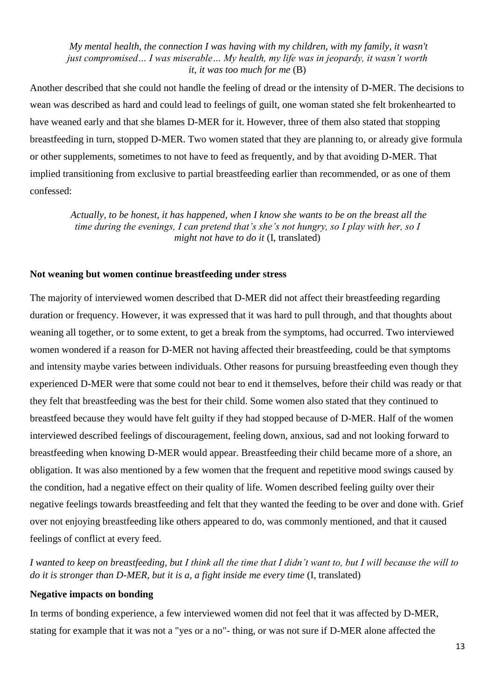*My mental health, the connection I was having with my children, with my family, it wasn't just compromised… I was miserable… My health, my life was in jeopardy, it wasn't worth it, it was too much for me* (B)

Another described that she could not handle the feeling of dread or the intensity of D-MER. The decisions to wean was described as hard and could lead to feelings of guilt, one woman stated she felt brokenhearted to have weaned early and that she blames D-MER for it. However, three of them also stated that stopping breastfeeding in turn, stopped D-MER. Two women stated that they are planning to, or already give formula or other supplements, sometimes to not have to feed as frequently, and by that avoiding D-MER. That implied transitioning from exclusive to partial breastfeeding earlier than recommended, or as one of them confessed:

*Actually, to be honest, it has happened, when I know she wants to be on the breast all the time during the evenings, I can pretend that's she's not hungry, so I play with her, so I might not have to do it* (I, translated)

#### **Not weaning but women continue breastfeeding under stress**

The majority of interviewed women described that D-MER did not affect their breastfeeding regarding duration or frequency. However, it was expressed that it was hard to pull through, and that thoughts about weaning all together, or to some extent, to get a break from the symptoms, had occurred. Two interviewed women wondered if a reason for D-MER not having affected their breastfeeding, could be that symptoms and intensity maybe varies between individuals. Other reasons for pursuing breastfeeding even though they experienced D-MER were that some could not bear to end it themselves, before their child was ready or that they felt that breastfeeding was the best for their child. Some women also stated that they continued to breastfeed because they would have felt guilty if they had stopped because of D-MER. Half of the women interviewed described feelings of discouragement, feeling down, anxious, sad and not looking forward to breastfeeding when knowing D-MER would appear. Breastfeeding their child became more of a shore, an obligation. It was also mentioned by a few women that the frequent and repetitive mood swings caused by the condition, had a negative effect on their quality of life. Women described feeling guilty over their negative feelings towards breastfeeding and felt that they wanted the feeding to be over and done with. Grief over not enjoying breastfeeding like others appeared to do, was commonly mentioned, and that it caused feelings of conflict at every feed.

*I wanted to keep on breastfeeding, but I think all the time that I didn't want to, but I will because the will to do it is stronger than D-MER, but it is a, a fight inside me every time* (I, translated)

#### **Negative impacts on bonding**

In terms of bonding experience, a few interviewed women did not feel that it was affected by D-MER, stating for example that it was not a "yes or a no"- thing, or was not sure if D-MER alone affected the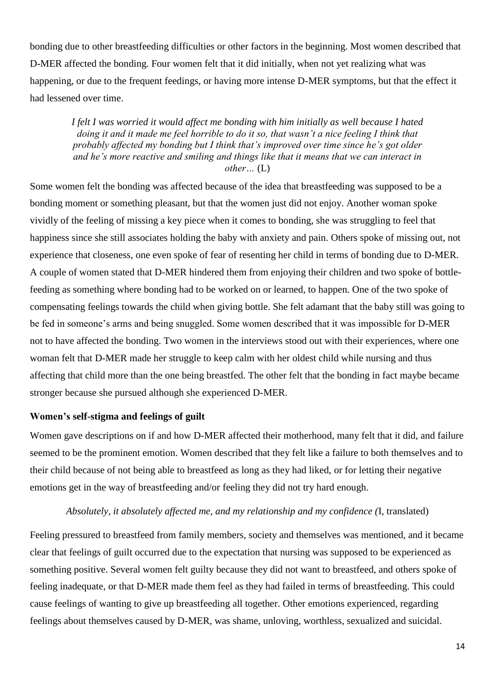bonding due to other breastfeeding difficulties or other factors in the beginning. Most women described that D-MER affected the bonding. Four women felt that it did initially, when not yet realizing what was happening, or due to the frequent feedings, or having more intense D-MER symptoms, but that the effect it had lessened over time.

*I felt I was worried it would affect me bonding with him initially as well because I hated doing it and it made me feel horrible to do it so, that wasn't a nice feeling I think that probably affected my bonding but I think that's improved over time since he's got older and he's more reactive and smiling and things like that it means that we can interact in other…* (L)

Some women felt the bonding was affected because of the idea that breastfeeding was supposed to be a bonding moment or something pleasant, but that the women just did not enjoy. Another woman spoke vividly of the feeling of missing a key piece when it comes to bonding, she was struggling to feel that happiness since she still associates holding the baby with anxiety and pain. Others spoke of missing out, not experience that closeness, one even spoke of fear of resenting her child in terms of bonding due to D-MER. A couple of women stated that D-MER hindered them from enjoying their children and two spoke of bottlefeeding as something where bonding had to be worked on or learned, to happen. One of the two spoke of compensating feelings towards the child when giving bottle. She felt adamant that the baby still was going to be fed in someone's arms and being snuggled. Some women described that it was impossible for D-MER not to have affected the bonding. Two women in the interviews stood out with their experiences, where one woman felt that D-MER made her struggle to keep calm with her oldest child while nursing and thus affecting that child more than the one being breastfed. The other felt that the bonding in fact maybe became stronger because she pursued although she experienced D-MER.

#### **Women's self-stigma and feelings of guilt**

Women gave descriptions on if and how D-MER affected their motherhood, many felt that it did, and failure seemed to be the prominent emotion. Women described that they felt like a failure to both themselves and to their child because of not being able to breastfeed as long as they had liked, or for letting their negative emotions get in the way of breastfeeding and/or feeling they did not try hard enough.

#### *Absolutely, it absolutely affected me, and my relationship and my confidence (*I, translated)

Feeling pressured to breastfeed from family members, society and themselves was mentioned, and it became clear that feelings of guilt occurred due to the expectation that nursing was supposed to be experienced as something positive. Several women felt guilty because they did not want to breastfeed, and others spoke of feeling inadequate, or that D-MER made them feel as they had failed in terms of breastfeeding. This could cause feelings of wanting to give up breastfeeding all together. Other emotions experienced, regarding feelings about themselves caused by D-MER, was shame, unloving, worthless, sexualized and suicidal.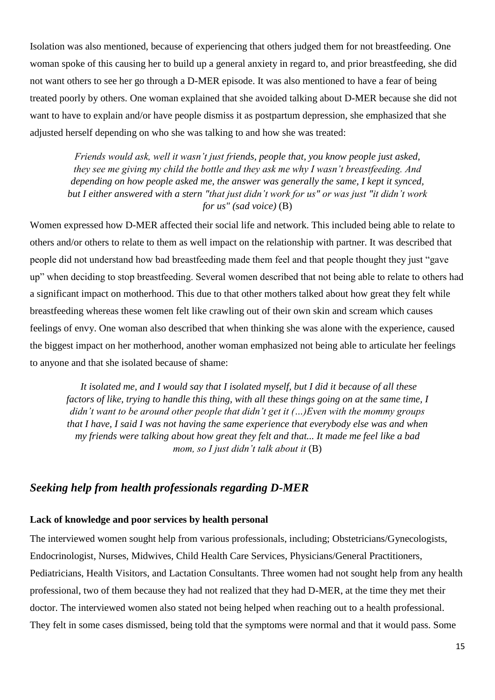Isolation was also mentioned, because of experiencing that others judged them for not breastfeeding. One woman spoke of this causing her to build up a general anxiety in regard to, and prior breastfeeding, she did not want others to see her go through a D-MER episode. It was also mentioned to have a fear of being treated poorly by others. One woman explained that she avoided talking about D-MER because she did not want to have to explain and/or have people dismiss it as postpartum depression, she emphasized that she adjusted herself depending on who she was talking to and how she was treated:

*Friends would ask, well it wasn't just friends, people that, you know people just asked, they see me giving my child the bottle and they ask me why I wasn't breastfeeding. And depending on how people asked me, the answer was generally the same, I kept it synced, but I either answered with a stern "that just didn't work for us" or was just "it didn't work for us" (sad voice)* (B)

Women expressed how D-MER affected their social life and network. This included being able to relate to others and/or others to relate to them as well impact on the relationship with partner. It was described that people did not understand how bad breastfeeding made them feel and that people thought they just "gave up" when deciding to stop breastfeeding. Several women described that not being able to relate to others had a significant impact on motherhood. This due to that other mothers talked about how great they felt while breastfeeding whereas these women felt like crawling out of their own skin and scream which causes feelings of envy. One woman also described that when thinking she was alone with the experience, caused the biggest impact on her motherhood, another woman emphasized not being able to articulate her feelings to anyone and that she isolated because of shame:

*It isolated me, and I would say that I isolated myself, but I did it because of all these factors of like, trying to handle this thing, with all these things going on at the same time, I didn't want to be around other people that didn't get it (…)Even with the mommy groups that I have, I said I was not having the same experience that everybody else was and when my friends were talking about how great they felt and that... It made me feel like a bad mom, so I just didn't talk about it* (B)

## <span id="page-20-0"></span>*Seeking help from health professionals regarding D-MER*

#### **Lack of knowledge and poor services by health personal**

The interviewed women sought help from various professionals, including; Obstetricians/Gynecologists, Endocrinologist, Nurses, Midwives, Child Health Care Services, Physicians/General Practitioners, Pediatricians, Health Visitors, and Lactation Consultants. Three women had not sought help from any health professional, two of them because they had not realized that they had D-MER, at the time they met their doctor. The interviewed women also stated not being helped when reaching out to a health professional. They felt in some cases dismissed, being told that the symptoms were normal and that it would pass. Some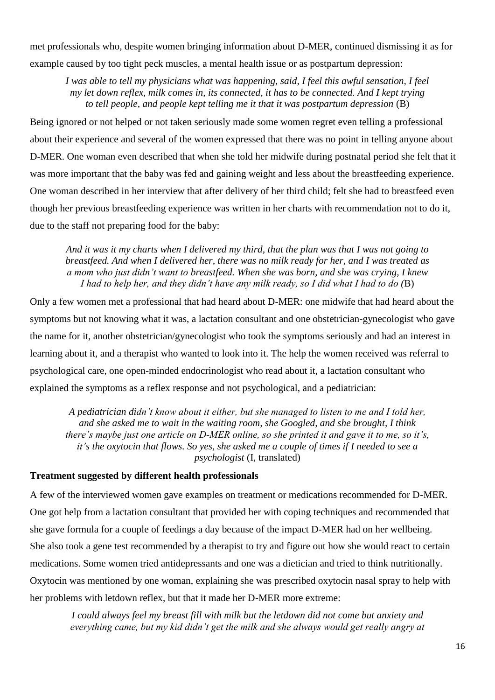met professionals who, despite women bringing information about D-MER, continued dismissing it as for example caused by too tight peck muscles, a mental health issue or as postpartum depression:

*I was able to tell my physicians what was happening, said, I feel this awful sensation, I feel my let down reflex, milk comes in, its connected, it has to be connected. And I kept trying to tell people, and people kept telling me it that it was postpartum depression* (B)

Being ignored or not helped or not taken seriously made some women regret even telling a professional about their experience and several of the women expressed that there was no point in telling anyone about D-MER. One woman even described that when she told her midwife during postnatal period she felt that it was more important that the baby was fed and gaining weight and less about the breastfeeding experience. One woman described in her interview that after delivery of her third child; felt she had to breastfeed even though her previous breastfeeding experience was written in her charts with recommendation not to do it, due to the staff not preparing food for the baby:

*And it was it my charts when I delivered my third, that the plan was that I was not going to breastfeed. And when I delivered her, there was no milk ready for her, and I was treated as a mom who just didn't want to breastfeed. When she was born, and she was crying, I knew I had to help her, and they didn't have any milk ready, so I did what I had to do (*B)

Only a few women met a professional that had heard about D-MER: one midwife that had heard about the symptoms but not knowing what it was, a lactation consultant and one obstetrician-gynecologist who gave the name for it, another obstetrician/gynecologist who took the symptoms seriously and had an interest in learning about it, and a therapist who wanted to look into it. The help the women received was referral to psychological care, one open-minded endocrinologist who read about it, a lactation consultant who explained the symptoms as a reflex response and not psychological, and a pediatrician:

*A pediatrician didn't know about it either, but she managed to listen to me and I told her, and she asked me to wait in the waiting room, she Googled, and she brought, I think there's maybe just one article on D-MER online, so she printed it and gave it to me, so it's, it's the oxytocin that flows. So yes, she asked me a couple of times if I needed to see a psychologist* (I, translated)

#### **Treatment suggested by different health professionals**

A few of the interviewed women gave examples on treatment or medications recommended for D-MER. One got help from a lactation consultant that provided her with coping techniques and recommended that she gave formula for a couple of feedings a day because of the impact D-MER had on her wellbeing. She also took a gene test recommended by a therapist to try and figure out how she would react to certain medications. Some women tried antidepressants and one was a dietician and tried to think nutritionally. Oxytocin was mentioned by one woman, explaining she was prescribed oxytocin nasal spray to help with her problems with letdown reflex, but that it made her D-MER more extreme:

*I could always feel my breast fill with milk but the letdown did not come but anxiety and everything came, but my kid didn't get the milk and she always would get really angry at*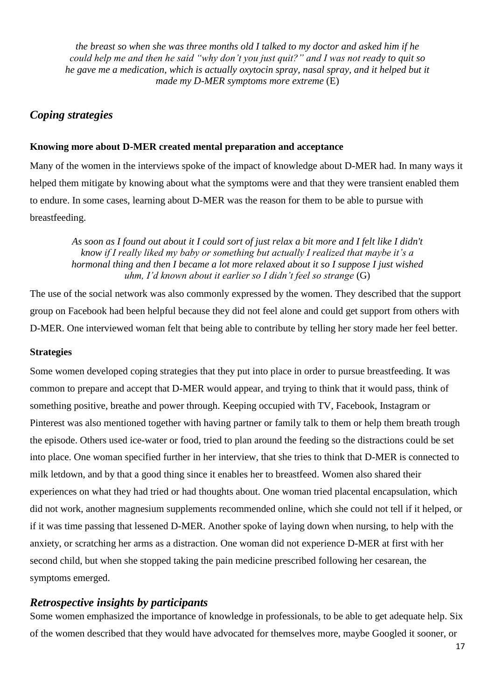*the breast so when she was three months old I talked to my doctor and asked him if he could help me and then he said "why don't you just quit?" and I was not ready to quit so he gave me a medication, which is actually oxytocin spray, nasal spray, and it helped but it made my D-MER symptoms more extreme* (E)

## <span id="page-22-0"></span>*Coping strategies*

### **Knowing more about D-MER created mental preparation and acceptance**

Many of the women in the interviews spoke of the impact of knowledge about D-MER had. In many ways it helped them mitigate by knowing about what the symptoms were and that they were transient enabled them to endure. In some cases, learning about D-MER was the reason for them to be able to pursue with breastfeeding.

*As soon as I found out about it I could sort of just relax a bit more and I felt like I didn't know if I really liked my baby or something but actually I realized that maybe it's a hormonal thing and then I became a lot more relaxed about it so I suppose I just wished uhm, I'd known about it earlier so I didn't feel so strange* (G)

The use of the social network was also commonly expressed by the women. They described that the support group on Facebook had been helpful because they did not feel alone and could get support from others with D-MER. One interviewed woman felt that being able to contribute by telling her story made her feel better.

#### **Strategies**

Some women developed coping strategies that they put into place in order to pursue breastfeeding. It was common to prepare and accept that D-MER would appear, and trying to think that it would pass, think of something positive, breathe and power through. Keeping occupied with TV, Facebook, Instagram or Pinterest was also mentioned together with having partner or family talk to them or help them breath trough the episode. Others used ice-water or food, tried to plan around the feeding so the distractions could be set into place. One woman specified further in her interview, that she tries to think that D-MER is connected to milk letdown, and by that a good thing since it enables her to breastfeed. Women also shared their experiences on what they had tried or had thoughts about. One woman tried placental encapsulation, which did not work, another magnesium supplements recommended online, which she could not tell if it helped, or if it was time passing that lessened D-MER. Another spoke of laying down when nursing, to help with the anxiety, or scratching her arms as a distraction. One woman did not experience D-MER at first with her second child, but when she stopped taking the pain medicine prescribed following her cesarean, the symptoms emerged.

### <span id="page-22-1"></span>*Retrospective insights by participants*

Some women emphasized the importance of knowledge in professionals, to be able to get adequate help. Six of the women described that they would have advocated for themselves more, maybe Googled it sooner, or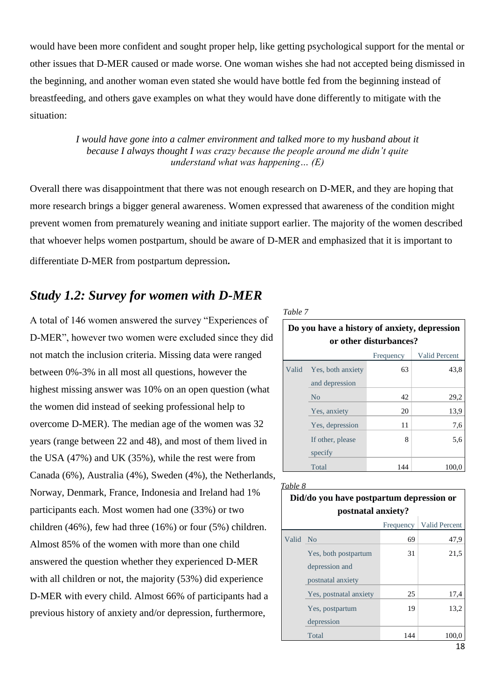would have been more confident and sought proper help, like getting psychological support for the mental or other issues that D-MER caused or made worse. One woman wishes she had not accepted being dismissed in the beginning, and another woman even stated she would have bottle fed from the beginning instead of breastfeeding, and others gave examples on what they would have done differently to mitigate with the situation:

> *I would have gone into a calmer environment and talked more to my husband about it because I always thought I was crazy because the people around me didn't quite understand what was happening… (E)*

Overall there was disappointment that there was not enough research on D-MER, and they are hoping that more research brings a bigger general awareness. Women expressed that awareness of the condition might prevent women from prematurely weaning and initiate support earlier. The majority of the women described that whoever helps women postpartum, should be aware of D-MER and emphasized that it is important to differentiate D-MER from postpartum depression*.*

# <span id="page-23-0"></span>*Study 1.2: Survey for women with D-MER*

A total of 146 women answered the survey "Experiences of D-MER", however two women were excluded since they did not match the inclusion criteria. Missing data were ranged between 0%-3% in all most all questions, however the highest missing answer was 10% on an open question (what the women did instead of seeking professional help to overcome D-MER). The median age of the women was 32 years (range between 22 and 48), and most of them lived in the USA (47%) and UK (35%), while the rest were from Canada (6%), Australia (4%), Sweden (4%), the Netherlands, Norway, Denmark, France, Indonesia and Ireland had 1% participants each. Most women had one (33%) or two children (46%), few had three (16%) or four (5%) children. Almost 85% of the women with more than one child answered the question whether they experienced D-MER with all children or not, the majority (53%) did experience D-MER with every child. Almost 66% of participants had a previous history of anxiety and/or depression, furthermore,

*Table 7*

| Do you have a history of anxiety, depression<br>or other disturbances? |                                   |     |       |  |  |  |
|------------------------------------------------------------------------|-----------------------------------|-----|-------|--|--|--|
|                                                                        | <b>Valid Percent</b><br>Frequency |     |       |  |  |  |
| Valid                                                                  | Yes, both anxiety                 | 63  | 43,8  |  |  |  |
|                                                                        | and depression                    |     |       |  |  |  |
|                                                                        | N <sub>0</sub>                    | 42  | 29,2  |  |  |  |
|                                                                        | Yes, anxiety                      | 20  | 13.9  |  |  |  |
|                                                                        | Yes, depression                   | 11  | 7,6   |  |  |  |
|                                                                        | If other, please                  | 8   | 5,6   |  |  |  |
|                                                                        | specify                           |     |       |  |  |  |
|                                                                        | Total                             | 144 | 100.0 |  |  |  |

|          | Did/do you have postpartum depression or<br>postnatal anxiety? |           |                      |  |
|----------|----------------------------------------------------------------|-----------|----------------------|--|
|          |                                                                | Frequency | <b>Valid Percent</b> |  |
| Valid No |                                                                | 69        | 47,9                 |  |
|          | Yes, both postpartum<br>depression and<br>postnatal anxiety    | 31        | 21,5                 |  |
|          | Yes, postnatal anxiety                                         | 25        | 17,4                 |  |
|          | Yes, postpartum<br>depression                                  | 19        | 13,2                 |  |
|          | Total                                                          | 144       | 100.0                |  |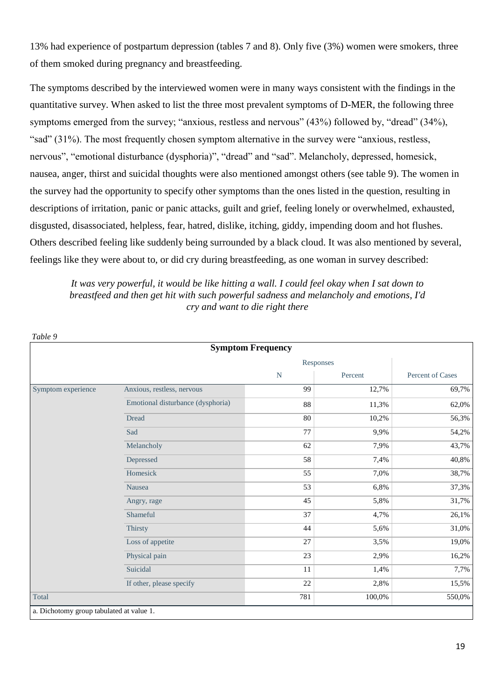13% had experience of postpartum depression (tables 7 and 8). Only five (3%) women were smokers, three of them smoked during pregnancy and breastfeeding.

The symptoms described by the interviewed women were in many ways consistent with the findings in the quantitative survey. When asked to list the three most prevalent symptoms of D-MER, the following three symptoms emerged from the survey; "anxious, restless and nervous" (43%) followed by, "dread" (34%), "sad" (31%). The most frequently chosen symptom alternative in the survey were "anxious, restless, nervous", "emotional disturbance (dysphoria)", "dread" and "sad". Melancholy, depressed, homesick, nausea, anger, thirst and suicidal thoughts were also mentioned amongst others (see table 9). The women in the survey had the opportunity to specify other symptoms than the ones listed in the question, resulting in descriptions of irritation, panic or panic attacks, guilt and grief, feeling lonely or overwhelmed, exhausted, disgusted, disassociated, helpless, fear, hatred, dislike, itching, giddy, impending doom and hot flushes. Others described feeling like suddenly being surrounded by a black cloud. It was also mentioned by several, feelings like they were about to, or did cry during breastfeeding, as one woman in survey described:

*It was very powerful, it would be like hitting a wall. I could feel okay when I sat down to breastfeed and then get hit with such powerful sadness and melancholy and emotions, I'd cry and want to die right there*

|                    | <b>Symptom Frequency</b>          |           |         |                         |
|--------------------|-----------------------------------|-----------|---------|-------------------------|
|                    |                                   | Responses |         |                         |
|                    |                                   | ${\bf N}$ | Percent | <b>Percent of Cases</b> |
| Symptom experience | Anxious, restless, nervous        | 99        | 12,7%   | 69,7%                   |
|                    | Emotional disturbance (dysphoria) | 88        | 11,3%   | 62,0%                   |
|                    | <b>Dread</b>                      | 80        | 10,2%   | 56,3%                   |
|                    | Sad                               | 77        | 9,9%    | 54,2%                   |
|                    | Melancholy                        | 62        | 7,9%    | 43,7%                   |
|                    | Depressed                         | 58        | 7,4%    | 40,8%                   |
|                    | Homesick                          | 55        | 7,0%    | 38,7%                   |
|                    | Nausea                            | 53        | 6,8%    | 37,3%                   |
|                    | Angry, rage                       | 45        | 5,8%    | 31,7%                   |
|                    | Shameful                          | 37        | 4,7%    | 26,1%                   |
|                    | Thirsty                           | 44        | 5,6%    | 31,0%                   |
|                    | Loss of appetite                  | 27        | 3,5%    | 19,0%                   |
|                    | Physical pain                     | 23        | 2,9%    | 16,2%                   |
|                    | Suicidal                          | 11        | 1,4%    | 7,7%                    |
|                    | If other, please specify          | 22        | 2,8%    | 15,5%                   |
| Total              |                                   | 781       | 100,0%  | 550,0%                  |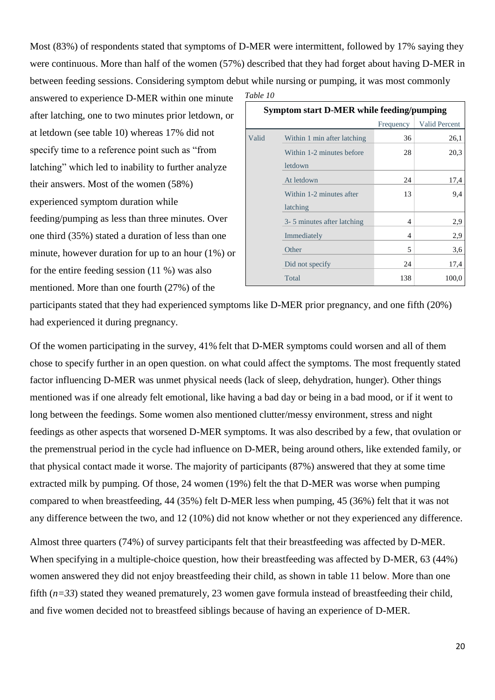Most (83%) of respondents stated that symptoms of D-MER were intermittent, followed by 17% saying they were continuous. More than half of the women (57%) described that they had forget about having D-MER in between feeding sessions. Considering symptom debut while nursing or pumping, it was most commonly

answered to experience D-MER within one minute after latching, one to two minutes prior letdown, or at letdown (see table 10) whereas 17% did not specify time to a reference point such as "from latching" which led to inability to further analyze their answers. Most of the women (58%) experienced symptom duration while feeding/pumping as less than three minutes. Over one third (35%) stated a duration of less than one minute, however duration for up to an hour (1%) or for the entire feeding session (11 %) was also mentioned. More than one fourth (27%) of the

*Table 10*

| <b>Symptom start D-MER while feeding/pumping</b> |                                      |           |                      |  |  |
|--------------------------------------------------|--------------------------------------|-----------|----------------------|--|--|
|                                                  |                                      | Frequency | <b>Valid Percent</b> |  |  |
| Valid                                            | Within 1 min after latching          | 36        | 26,1                 |  |  |
|                                                  | Within 1-2 minutes before<br>letdown | 28        | 20,3                 |  |  |
|                                                  |                                      |           |                      |  |  |
|                                                  | At letdown                           | 24        | 17,4                 |  |  |
|                                                  | Within 1-2 minutes after             | 13        | 9,4                  |  |  |
|                                                  | latching                             |           |                      |  |  |
|                                                  | 3- 5 minutes after latching          | 4         | 2,9                  |  |  |
|                                                  | Immediately                          | 4         | 2,9                  |  |  |
|                                                  | Other                                | 5         | 3,6                  |  |  |
|                                                  | Did not specify                      | 24        | 17,4                 |  |  |
|                                                  | Total                                | 138       | 100,0                |  |  |

participants stated that they had experienced symptoms like D-MER prior pregnancy, and one fifth (20%) had experienced it during pregnancy.

Of the women participating in the survey, 41% felt that D-MER symptoms could worsen and all of them chose to specify further in an open question. on what could affect the symptoms. The most frequently stated factor influencing D-MER was unmet physical needs (lack of sleep, dehydration, hunger). Other things mentioned was if one already felt emotional, like having a bad day or being in a bad mood, or if it went to long between the feedings. Some women also mentioned clutter/messy environment, stress and night feedings as other aspects that worsened D-MER symptoms. It was also described by a few, that ovulation or the premenstrual period in the cycle had influence on D-MER, being around others, like extended family, or that physical contact made it worse. The majority of participants (87%) answered that they at some time extracted milk by pumping. Of those, 24 women (19%) felt the that D-MER was worse when pumping compared to when breastfeeding, 44 (35%) felt D-MER less when pumping, 45 (36%) felt that it was not any difference between the two, and 12 (10%) did not know whether or not they experienced any difference.

Almost three quarters (74%) of survey participants felt that their breastfeeding was affected by D-MER. When specifying in a multiple-choice question, how their breastfeeding was affected by D-MER, 63 (44%) women answered they did not enjoy breastfeeding their child, as shown in table 11 below. More than one fifth (*n=33*) stated they weaned prematurely, 23 women gave formula instead of breastfeeding their child, and five women decided not to breastfeed siblings because of having an experience of D-MER.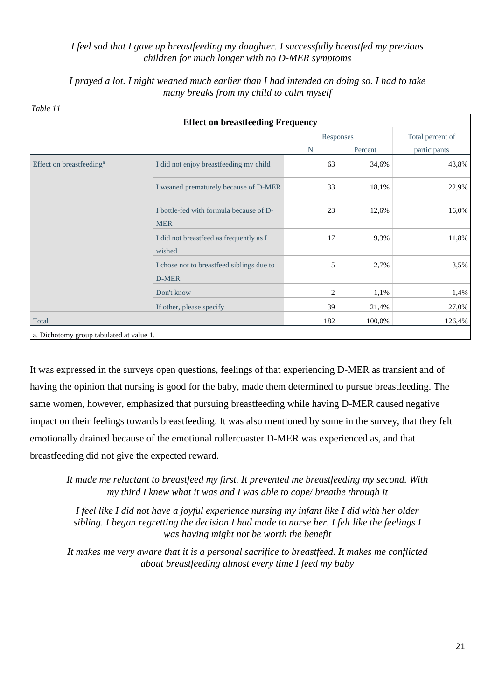#### *I feel sad that I gave up breastfeeding my daughter. I successfully breastfed my previous children for much longer with no D-MER symptoms*

*I prayed a lot. I night weaned much earlier than I had intended on doing so. I had to take many breaks from my child to calm myself*

|                                      | <b>Effect on breastfeeding Frequency</b>              |                |         |                  |
|--------------------------------------|-------------------------------------------------------|----------------|---------|------------------|
|                                      |                                                       | Responses      |         | Total percent of |
|                                      |                                                       | N              | Percent | participants     |
| Effect on breastfeeding <sup>a</sup> | I did not enjoy breastfeeding my child                | 63             | 34,6%   | 43,8%            |
|                                      | I weaned prematurely because of D-MER                 | 33             | 18,1%   | 22,9%            |
|                                      | I bottle-fed with formula because of D-<br><b>MER</b> | 23             | 12,6%   | 16,0%            |
|                                      | I did not breastfeed as frequently as I<br>wished     | 17             | 9,3%    | 11,8%            |
|                                      | I chose not to breastfeed siblings due to<br>D-MER    | 5              | 2,7%    | 3,5%             |
|                                      | Don't know                                            | $\overline{2}$ | 1,1%    | 1,4%             |
|                                      | If other, please specify                              | 39             | 21,4%   | 27,0%            |
| Total                                |                                                       | 182            | 100,0%  | 126,4%           |

It was expressed in the surveys open questions, feelings of that experiencing D-MER as transient and of having the opinion that nursing is good for the baby, made them determined to pursue breastfeeding. The same women, however, emphasized that pursuing breastfeeding while having D-MER caused negative impact on their feelings towards breastfeeding. It was also mentioned by some in the survey, that they felt emotionally drained because of the emotional rollercoaster D-MER was experienced as, and that breastfeeding did not give the expected reward.

*It made me reluctant to breastfeed my first. It prevented me breastfeeding my second. With my third I knew what it was and I was able to cope/ breathe through it*

*I feel like I did not have a joyful experience nursing my infant like I did with her older sibling. I began regretting the decision I had made to nurse her. I felt like the feelings I was having might not be worth the benefit*

*It makes me very aware that it is a personal sacrifice to breastfeed. It makes me conflicted about breastfeeding almost every time I feed my baby*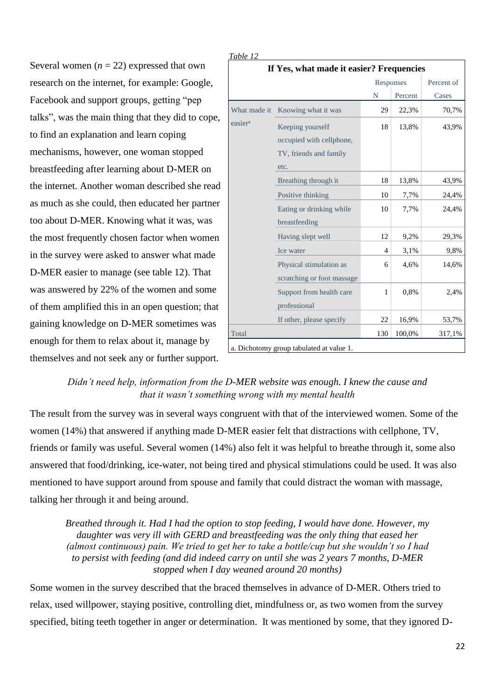Several women  $(n = 22)$  expressed that own research on the internet, for example: Google, Facebook and support groups, getting "pep talks", was the main thing that they did to cope, to find an explanation and learn coping mechanisms, however, one woman stopped breastfeeding after learning about D-MER on the internet. Another woman described she read as much as she could, then educated her partner too about D-MER. Knowing what it was, was the most frequently chosen factor when women in the survey were asked to answer what made D-MER easier to manage (see table 12). That was answered by 22% of the women and some of them amplified this in an open question; that gaining knowledge on D-MER sometimes was enough for them to relax about it, manage by themselves and not seek any or further support.

| <u>Table 12</u>                          |                                                                                |                |         |            |  |  |
|------------------------------------------|--------------------------------------------------------------------------------|----------------|---------|------------|--|--|
| If Yes, what made it easier? Frequencies |                                                                                |                |         |            |  |  |
|                                          |                                                                                | Responses      |         | Percent of |  |  |
|                                          |                                                                                | N              | Percent | Cases      |  |  |
| What made it                             | Knowing what it was                                                            | 29             | 22,3%   | 70,7%      |  |  |
| easier <sup>a</sup>                      | Keeping yourself<br>occupied with cellphone,<br>TV, friends and family<br>etc. | 18             | 13,8%   | 43,9%      |  |  |
|                                          | Breathing through it                                                           | 18             | 13,8%   | 43,9%      |  |  |
|                                          | Positive thinking                                                              | 10             | 7,7%    | 24,4%      |  |  |
|                                          | Eating or drinking while<br>breastfeeding                                      | 10             | 7,7%    | 24,4%      |  |  |
|                                          | Having slept well                                                              | 12             | 9,2%    | 29,3%      |  |  |
|                                          | Ice water                                                                      | $\overline{4}$ | 3,1%    | 9,8%       |  |  |
|                                          | Physical stimulation as<br>scratching or foot massage                          | 6              | 4,6%    | 14,6%      |  |  |
|                                          | Support from health care<br>professional                                       | $\mathbf{1}$   | 0,8%    | 2,4%       |  |  |
|                                          | If other, please specify                                                       | 22             | 16,9%   | 53,7%      |  |  |
| Total                                    |                                                                                | 130            | 100,0%  | 317,1%     |  |  |
|                                          | a. Dichotomy group tabulated at value 1.                                       |                |         |            |  |  |

### *Didn't need help, information from the D-MER website was enough. I knew the cause and that it wasn't something wrong with my mental health*

*Table 12*

The result from the survey was in several ways congruent with that of the interviewed women. Some of the women (14%) that answered if anything made D-MER easier felt that distractions with cellphone, TV, friends or family was useful. Several women (14%) also felt it was helpful to breathe through it, some also answered that food/drinking, ice-water, not being tired and physical stimulations could be used. It was also mentioned to have support around from spouse and family that could distract the woman with massage, talking her through it and being around.

*Breathed through it. Had I had the option to stop feeding, I would have done. However, my daughter was very ill with GERD and breastfeeding was the only thing that eased her (almost continuous) pain. We tried to get her to take a bottle/cup but she wouldn't so I had to persist with feeding (and did indeed carry on until she was 2 years 7 months, D-MER stopped when I day weaned around 20 months)*

Some women in the survey described that the braced themselves in advance of D-MER. Others tried to relax, used willpower, staying positive, controlling diet, mindfulness or, as two women from the survey specified, biting teeth together in anger or determination. It was mentioned by some, that they ignored D-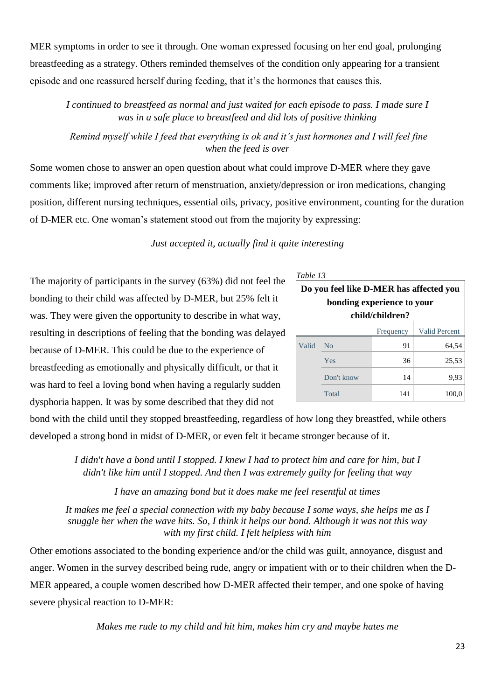MER symptoms in order to see it through. One woman expressed focusing on her end goal, prolonging breastfeeding as a strategy. Others reminded themselves of the condition only appearing for a transient episode and one reassured herself during feeding, that it's the hormones that causes this.

*I continued to breastfeed as normal and just waited for each episode to pass. I made sure I was in a safe place to breastfeed and did lots of positive thinking*

*Remind myself while I feed that everything is ok and it's just hormones and I will feel fine when the feed is over*

Some women chose to answer an open question about what could improve D-MER where they gave comments like; improved after return of menstruation, anxiety/depression or iron medications, changing position, different nursing techniques, essential oils, privacy, positive environment, counting for the duration of D-MER etc. One woman's statement stood out from the majority by expressing:

### *Just accepted it, actually find it quite interesting*

The majority of participants in the survey (63%) did not feel the bonding to their child was affected by D-MER, but 25% felt it was. They were given the opportunity to describe in what way, resulting in descriptions of feeling that the bonding was delayed because of D-MER. This could be due to the experience of breastfeeding as emotionally and physically difficult, or that it was hard to feel a loving bond when having a regularly sudden dysphoria happen. It was by some described that they did not

| Table 13                                                              |                                   |     |       |  |  |  |  |
|-----------------------------------------------------------------------|-----------------------------------|-----|-------|--|--|--|--|
| Do you feel like D-MER has affected you<br>bonding experience to your |                                   |     |       |  |  |  |  |
|                                                                       | child/children?                   |     |       |  |  |  |  |
|                                                                       | <b>Valid Percent</b><br>Frequency |     |       |  |  |  |  |
| Valid                                                                 | N <sub>0</sub>                    | 91  | 64,54 |  |  |  |  |
|                                                                       | Yes                               | 36  | 25,53 |  |  |  |  |
|                                                                       | Don't know                        | 14  | 9,93  |  |  |  |  |
|                                                                       | Total                             | 141 | 100,0 |  |  |  |  |

bond with the child until they stopped breastfeeding, regardless of how long they breastfed, while others developed a strong bond in midst of D-MER, or even felt it became stronger because of it.

> *I didn't have a bond until I stopped. I knew I had to protect him and care for him, but I didn't like him until I stopped. And then I was extremely guilty for feeling that way*

> > *I have an amazing bond but it does make me feel resentful at times*

*It makes me feel a special connection with my baby because I some ways, she helps me as I snuggle her when the wave hits. So, I think it helps our bond. Although it was not this way with my first child. I felt helpless with him*

Other emotions associated to the bonding experience and/or the child was guilt, annoyance, disgust and anger. Women in the survey described being rude, angry or impatient with or to their children when the D-MER appeared, a couple women described how D-MER affected their temper, and one spoke of having severe physical reaction to D-MER:

*Makes me rude to my child and hit him, makes him cry and maybe hates me*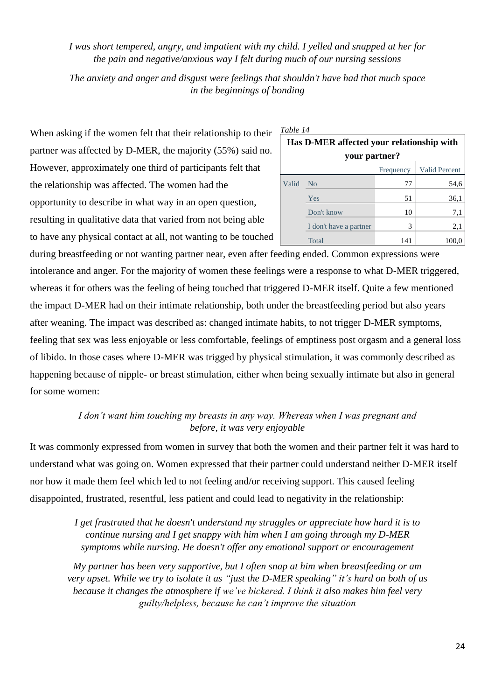*I was short tempered, angry, and impatient with my child. I yelled and snapped at her for the pain and negative/anxious way I felt during much of our nursing sessions*

*The anxiety and anger and disgust were feelings that shouldn't have had that much space in the beginnings of bonding*

When asking if the women felt that their relationship to their partner was affected by D-MER, the majority (55%) said no. However, approximately one third of participants felt that the relationship was affected. The women had the opportunity to describe in what way in an open question, resulting in qualitative data that varied from not being able to have any physical contact at all, not wanting to be touched

| Table 14                                                   |                        |           |                      |  |  |  |  |
|------------------------------------------------------------|------------------------|-----------|----------------------|--|--|--|--|
| Has D-MER affected your relationship with<br>your partner? |                        |           |                      |  |  |  |  |
|                                                            |                        | Frequency | <b>Valid Percent</b> |  |  |  |  |
| Valid                                                      | <b>No</b>              | 77        | 54,6                 |  |  |  |  |
|                                                            | Yes                    | 51        | 36,1                 |  |  |  |  |
|                                                            | Don't know             | 10        | 7,1                  |  |  |  |  |
|                                                            | I don't have a partner | 3         | 2,1                  |  |  |  |  |
|                                                            | Total                  | 141       | 100.0                |  |  |  |  |

during breastfeeding or not wanting partner near, even after feeding ended. Common expressions were intolerance and anger. For the majority of women these feelings were a response to what D-MER triggered, whereas it for others was the feeling of being touched that triggered D-MER itself. Quite a few mentioned the impact D-MER had on their intimate relationship, both under the breastfeeding period but also years after weaning. The impact was described as: changed intimate habits, to not trigger D-MER symptoms, feeling that sex was less enjoyable or less comfortable, feelings of emptiness post orgasm and a general loss of libido. In those cases where D-MER was trigged by physical stimulation, it was commonly described as happening because of nipple- or breast stimulation, either when being sexually intimate but also in general for some women:

> *I don't want him touching my breasts in any way. Whereas when I was pregnant and before, it was very enjoyable*

It was commonly expressed from women in survey that both the women and their partner felt it was hard to understand what was going on. Women expressed that their partner could understand neither D-MER itself nor how it made them feel which led to not feeling and/or receiving support. This caused feeling disappointed, frustrated, resentful, less patient and could lead to negativity in the relationship:

> *I get frustrated that he doesn't understand my struggles or appreciate how hard it is to continue nursing and I get snappy with him when I am going through my D-MER symptoms while nursing. He doesn't offer any emotional support or encouragement*

*My partner has been very supportive, but I often snap at him when breastfeeding or am very upset. While we try to isolate it as "just the D-MER speaking" it's hard on both of us because it changes the atmosphere if we've bickered. I think it also makes him feel very guilty/helpless, because he can't improve the situation*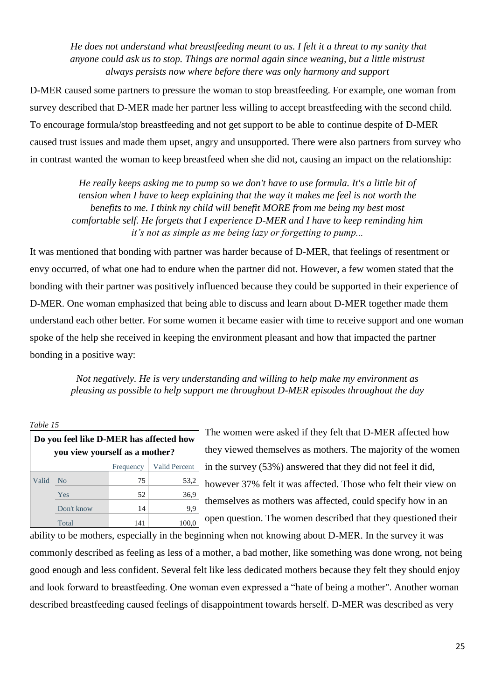*He does not understand what breastfeeding meant to us. I felt it a threat to my sanity that anyone could ask us to stop. Things are normal again since weaning, but a little mistrust always persists now where before there was only harmony and support*

D-MER caused some partners to pressure the woman to stop breastfeeding. For example, one woman from survey described that D-MER made her partner less willing to accept breastfeeding with the second child. To encourage formula/stop breastfeeding and not get support to be able to continue despite of D-MER caused trust issues and made them upset, angry and unsupported. There were also partners from survey who in contrast wanted the woman to keep breastfeed when she did not, causing an impact on the relationship:

*He really keeps asking me to pump so we don't have to use formula. It's a little bit of tension when I have to keep explaining that the way it makes me feel is not worth the benefits to me. I think my child will benefit MORE from me being my best most comfortable self. He forgets that I experience D-MER and I have to keep reminding him it's not as simple as me being lazy or forgetting to pump...*

It was mentioned that bonding with partner was harder because of D-MER, that feelings of resentment or envy occurred, of what one had to endure when the partner did not. However, a few women stated that the bonding with their partner was positively influenced because they could be supported in their experience of D-MER. One woman emphasized that being able to discuss and learn about D-MER together made them understand each other better. For some women it became easier with time to receive support and one woman spoke of the help she received in keeping the environment pleasant and how that impacted the partner bonding in a positive way:

*Not negatively. He is very understanding and willing to help make my environment as pleasing as possible to help support me throughout D-MER episodes throughout the day*

*Table 15*

| Do you feel like D-MER has affected how<br>you view yourself as a mother? |                |     |       |  |  |
|---------------------------------------------------------------------------|----------------|-----|-------|--|--|
| <b>Valid Percent</b><br>Frequency                                         |                |     |       |  |  |
| Valid                                                                     | N <sub>0</sub> | 75  | 53,2  |  |  |
|                                                                           | Yes            | 52  | 36,9  |  |  |
|                                                                           | Don't know     | 14  | 9,9   |  |  |
|                                                                           | Total          | 141 | 100,0 |  |  |

The women were asked if they felt that D-MER affected how they viewed themselves as mothers. The majority of the women in the survey (53%) answered that they did not feel it did, however 37% felt it was affected. Those who felt their view on themselves as mothers was affected, could specify how in an open question. The women described that they questioned their

ability to be mothers, especially in the beginning when not knowing about D-MER. In the survey it was commonly described as feeling as less of a mother, a bad mother, like something was done wrong, not being good enough and less confident. Several felt like less dedicated mothers because they felt they should enjoy and look forward to breastfeeding. One woman even expressed a "hate of being a mother". Another woman described breastfeeding caused feelings of disappointment towards herself. D-MER was described as very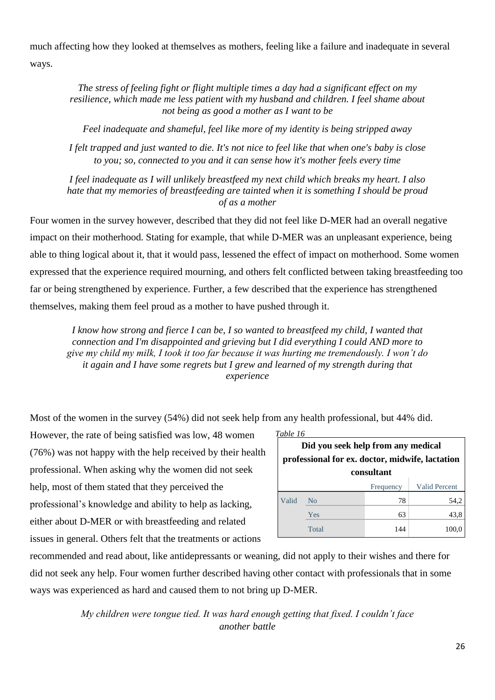much affecting how they looked at themselves as mothers, feeling like a failure and inadequate in several ways.

*The stress of feeling fight or flight multiple times a day had a significant effect on my resilience, which made me less patient with my husband and children. I feel shame about not being as good a mother as I want to be*

*Feel inadequate and shameful, feel like more of my identity is being stripped away*

*I felt trapped and just wanted to die. It's not nice to feel like that when one's baby is close to you; so, connected to you and it can sense how it's mother feels every time*

*I feel inadequate as I will unlikely breastfeed my next child which breaks my heart. I also hate that my memories of breastfeeding are tainted when it is something I should be proud of as a mother*

Four women in the survey however, described that they did not feel like D-MER had an overall negative impact on their motherhood. Stating for example, that while D-MER was an unpleasant experience, being able to thing logical about it, that it would pass, lessened the effect of impact on motherhood. Some women expressed that the experience required mourning, and others felt conflicted between taking breastfeeding too far or being strengthened by experience. Further, a few described that the experience has strengthened themselves, making them feel proud as a mother to have pushed through it.

*I know how strong and fierce I can be, I so wanted to breastfeed my child, I wanted that connection and I'm disappointed and grieving but I did everything I could AND more to give my child my milk, I took it too far because it was hurting me tremendously. I won't do it again and I have some regrets but I grew and learned of my strength during that experience*

Most of the women in the survey (54%) did not seek help from any health professional, but 44% did.

However, the rate of being satisfied was low, 48 women (76%) was not happy with the help received by their health professional. When asking why the women did not seek help, most of them stated that they perceived the professional's knowledge and ability to help as lacking, either about D-MER or with breastfeeding and related issues in general. Others felt that the treatments or actions

| Table 16 |  |
|----------|--|
|          |  |

| Did you seek help from any medical<br>professional for ex. doctor, midwife, lactation<br>consultant |                                   |     |       |  |  |  |  |
|-----------------------------------------------------------------------------------------------------|-----------------------------------|-----|-------|--|--|--|--|
|                                                                                                     | <b>Valid Percent</b><br>Frequency |     |       |  |  |  |  |
| Valid                                                                                               | Nο                                | 78  | 54,2  |  |  |  |  |
|                                                                                                     | Yes                               | 63  | 43,8  |  |  |  |  |
|                                                                                                     | Total                             | 144 | 100,0 |  |  |  |  |

recommended and read about, like antidepressants or weaning, did not apply to their wishes and there for did not seek any help. Four women further described having other contact with professionals that in some ways was experienced as hard and caused them to not bring up D-MER.

> *My children were tongue tied. It was hard enough getting that fixed. I couldn't face another battle*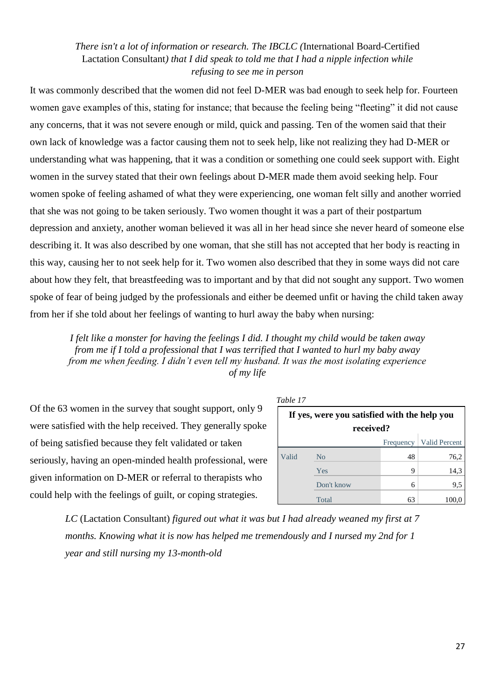### *There isn't a lot of information or research. The IBCLC (*International Board-Certified Lactation Consultant*) that I did speak to told me that I had a nipple infection while refusing to see me in person*

It was commonly described that the women did not feel D-MER was bad enough to seek help for. Fourteen women gave examples of this, stating for instance; that because the feeling being "fleeting" it did not cause any concerns, that it was not severe enough or mild, quick and passing. Ten of the women said that their own lack of knowledge was a factor causing them not to seek help, like not realizing they had D-MER or understanding what was happening, that it was a condition or something one could seek support with. Eight women in the survey stated that their own feelings about D-MER made them avoid seeking help. Four women spoke of feeling ashamed of what they were experiencing, one woman felt silly and another worried that she was not going to be taken seriously. Two women thought it was a part of their postpartum depression and anxiety, another woman believed it was all in her head since she never heard of someone else describing it. It was also described by one woman, that she still has not accepted that her body is reacting in this way, causing her to not seek help for it. Two women also described that they in some ways did not care about how they felt, that breastfeeding was to important and by that did not sought any support. Two women spoke of fear of being judged by the professionals and either be deemed unfit or having the child taken away from her if she told about her feelings of wanting to hurl away the baby when nursing:

*I felt like a monster for having the feelings I did. I thought my child would be taken away from me if I told a professional that I was terrified that I wanted to hurl my baby away from me when feeding. I didn't even tell my husband. It was the most isolating experience of my life*

Of the 63 women in the survey that sought support, only 9 were satisfied with the help received. They generally spoke of being satisfied because they felt validated or taken seriously, having an open-minded health professional, were given information on D-MER or referral to therapists who could help with the feelings of guilt, or coping strategies.

| anı. |  |
|------|--|
|------|--|

| 1 UU VU 17                                                |                |           |               |  |  |  |
|-----------------------------------------------------------|----------------|-----------|---------------|--|--|--|
| If yes, were you satisfied with the help you<br>received? |                |           |               |  |  |  |
|                                                           |                | Frequency | Valid Percent |  |  |  |
| Valid                                                     | N <sub>0</sub> | 48        | 76,2          |  |  |  |
|                                                           | Yes            | 9         | 14,3          |  |  |  |
|                                                           | Don't know     | 6         | 9,5           |  |  |  |
|                                                           | Total          | 63        | 100,0         |  |  |  |

*LC* (Lactation Consultant) *figured out what it was but I had already weaned my first at 7 months. Knowing what it is now has helped me tremendously and I nursed my 2nd for 1 year and still nursing my 13-month-old*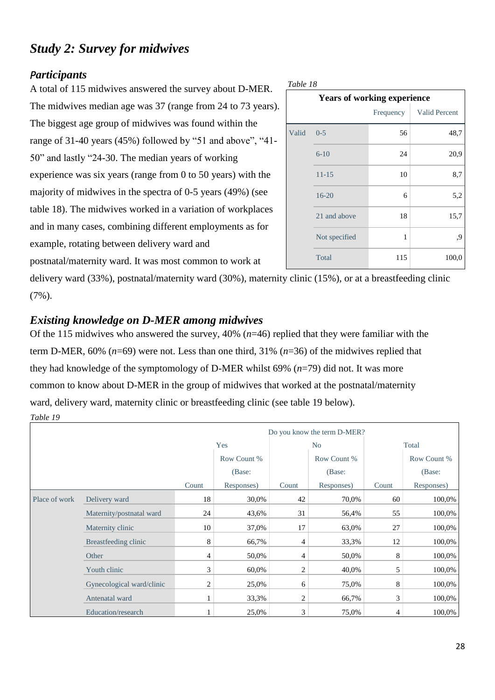# <span id="page-33-0"></span>*Study 2: Survey for midwives*

## <span id="page-33-1"></span>*Participants*

A total of 115 midwives answered the survey about D-MER. The midwives median age was 37 (range from 24 to 73 years). The biggest age group of midwives was found within the range of 31-40 years (45%) followed by "51 and above", "41- 50" and lastly "24-30. The median years of working experience was six years (range from 0 to 50 years) with the majority of midwives in the spectra of 0-5 years (49%) (see table 18). The midwives worked in a variation of workplaces and in many cases, combining different employments as for example, rotating between delivery ward and postnatal/maternity ward. It was most common to work at

| Table 18 |                                    |           |               |  |  |  |
|----------|------------------------------------|-----------|---------------|--|--|--|
|          | <b>Years of working experience</b> |           |               |  |  |  |
|          |                                    | Frequency | Valid Percent |  |  |  |
| Valid    | $0 - 5$                            | 56        | 48,7          |  |  |  |
|          | $6 - 10$                           | 24        | 20,9          |  |  |  |
|          | $11 - 15$                          | 10        | 8,7           |  |  |  |
|          | $16 - 20$                          | 6         | 5,2           |  |  |  |
|          | 21 and above                       | 18        | 15,7          |  |  |  |
|          | Not specified                      | 1         | 9,            |  |  |  |
|          | Total                              | 115       | 100,0         |  |  |  |

delivery ward (33%), postnatal/maternity ward (30%), maternity clinic (15%), or at a breastfeeding clinic (7%).

## <span id="page-33-2"></span>*Existing knowledge on D-MER among midwives*

*Table 19* Of the 115 midwives who answered the survey, 40% (*n*=46) replied that they were familiar with the term D-MER, 60% (*n*=69) were not. Less than one third, 31% (*n*=36) of the midwives replied that they had knowledge of the symptomology of D-MER whilst 69% (*n*=79) did not. It was more common to know about D-MER in the group of midwives that worked at the postnatal/maternity ward, delivery ward, maternity clinic or breastfeeding clinic (see table 19 below).

|               |                           | Do you know the term D-MER? |             |                |             |                |             |
|---------------|---------------------------|-----------------------------|-------------|----------------|-------------|----------------|-------------|
|               |                           | Yes                         |             | N <sub>o</sub> |             | Total          |             |
|               |                           |                             | Row Count % |                | Row Count % |                | Row Count % |
|               |                           |                             | (Base:      |                | (Base:      |                | (Base:      |
|               |                           | Count                       | Responses)  | Count          | Responses)  | Count          | Responses)  |
| Place of work | Delivery ward             | 18                          | 30,0%       | 42             | 70,0%       | 60             | 100,0%      |
|               | Maternity/postnatal ward  | 24                          | 43,6%       | 31             | 56,4%       | 55             | 100,0%      |
|               | Maternity clinic          | 10                          | 37,0%       | 17             | 63,0%       | 27             | 100,0%      |
|               | Breastfeeding clinic      | 8                           | 66,7%       | 4              | 33,3%       | 12             | 100,0%      |
|               | Other                     | 4                           | 50,0%       | 4              | 50,0%       | 8              | 100,0%      |
|               | Youth clinic              | 3                           | 60,0%       | 2              | 40,0%       | 5              | 100,0%      |
|               | Gynecological ward/clinic | 2                           | 25,0%       | 6              | 75,0%       | 8              | 100,0%      |
|               | Antenatal ward            |                             | 33,3%       | $\overline{c}$ | 66,7%       | 3              | 100,0%      |
|               | Education/research        |                             | 25,0%       | 3              | 75,0%       | $\overline{4}$ | 100,0%      |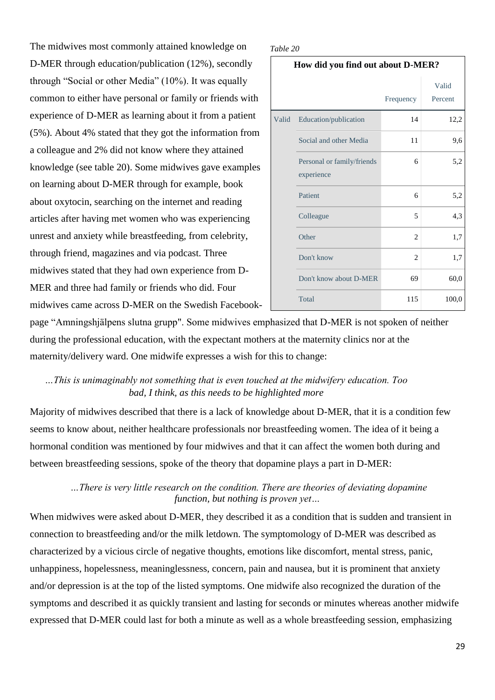The midwives most commonly attained knowledge on D-MER through education/publication (12%), secondly through "Social or other Media" (10%). It was equally common to either have personal or family or friends with experience of D-MER as learning about it from a patient (5%). About 4% stated that they got the information from a colleague and 2% did not know where they attained knowledge (see table 20). Some midwives gave examples on learning about D-MER through for example, book about oxytocin, searching on the internet and reading articles after having met women who was experiencing unrest and anxiety while breastfeeding, from celebrity, through friend, magazines and via podcast. Three midwives stated that they had own experience from D-MER and three had family or friends who did. Four midwives came across D-MER on the Swedish Facebook-

#### *Table 20*

**How did you find out about D-MER?**

|       |                                          | Frequency      | Valid<br>Percent |
|-------|------------------------------------------|----------------|------------------|
| Valid | Education/publication                    | 14             | 12,2             |
|       | Social and other Media                   | 11             | 9,6              |
|       | Personal or family/friends<br>experience | 6              | 5,2              |
|       | Patient                                  | 6              | 5,2              |
|       | Colleague                                | 5              | 4,3              |
|       | Other                                    | 2              | 1,7              |
|       | Don't know                               | $\overline{c}$ | 1,7              |
|       | Don't know about D-MER                   | 69             | 60,0             |
|       | Total                                    | 115            | 100,0            |

page "Amningshjälpens slutna grupp". Some midwives emphasized that D-MER is not spoken of neither during the professional education, with the expectant mothers at the maternity clinics nor at the maternity/delivery ward. One midwife expresses a wish for this to change:

### *…This is unimaginably not something that is even touched at the midwifery education. Too bad, I think, as this needs to be highlighted more*

Majority of midwives described that there is a lack of knowledge about D-MER, that it is a condition few seems to know about, neither healthcare professionals nor breastfeeding women. The idea of it being a hormonal condition was mentioned by four midwives and that it can affect the women both during and between breastfeeding sessions, spoke of the theory that dopamine plays a part in D-MER:

### *…There is very little research on the condition. There are theories of deviating dopamine function, but nothing is proven yet…*

When midwives were asked about D-MER, they described it as a condition that is sudden and transient in connection to breastfeeding and/or the milk letdown. The symptomology of D-MER was described as characterized by a vicious circle of negative thoughts, emotions like discomfort, mental stress, panic, unhappiness, hopelessness, meaninglessness, concern, pain and nausea, but it is prominent that anxiety and/or depression is at the top of the listed symptoms. One midwife also recognized the duration of the symptoms and described it as quickly transient and lasting for seconds or minutes whereas another midwife expressed that D-MER could last for both a minute as well as a whole breastfeeding session, emphasizing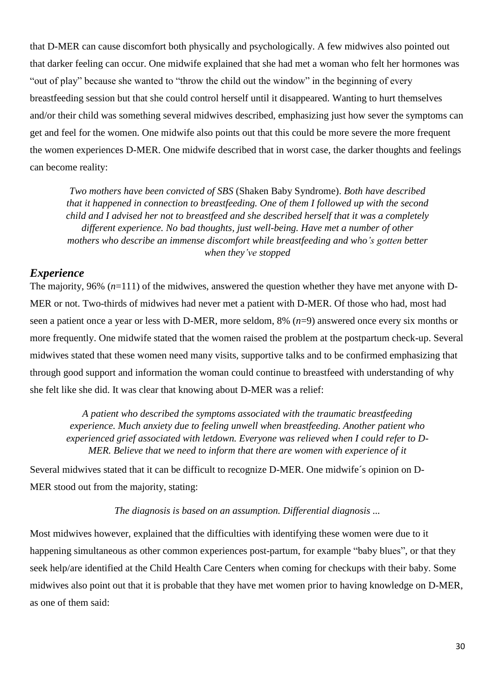that D-MER can cause discomfort both physically and psychologically. A few midwives also pointed out that darker feeling can occur. One midwife explained that she had met a woman who felt her hormones was "out of play" because she wanted to "throw the child out the window" in the beginning of every breastfeeding session but that she could control herself until it disappeared. Wanting to hurt themselves and/or their child was something several midwives described, emphasizing just how sever the symptoms can get and feel for the women. One midwife also points out that this could be more severe the more frequent the women experiences D-MER. One midwife described that in worst case, the darker thoughts and feelings can become reality:

*Two mothers have been convicted of SBS* (Shaken Baby Syndrome). *Both have described that it happened in connection to breastfeeding. One of them I followed up with the second child and I advised her not to breastfeed and she described herself that it was a completely different experience. No bad thoughts, just well-being. Have met a number of other mothers who describe an immense discomfort while breastfeeding and who's gotten better when they've stopped*

### <span id="page-35-0"></span>*Experience*

The majority, 96% (*n*=111) of the midwives, answered the question whether they have met anyone with D-MER or not. Two-thirds of midwives had never met a patient with D-MER. Of those who had, most had seen a patient once a year or less with D-MER, more seldom, 8% (*n*=9) answered once every six months or more frequently. One midwife stated that the women raised the problem at the postpartum check-up. Several midwives stated that these women need many visits, supportive talks and to be confirmed emphasizing that through good support and information the woman could continue to breastfeed with understanding of why she felt like she did. It was clear that knowing about D-MER was a relief:

*A patient who described the symptoms associated with the traumatic breastfeeding experience. Much anxiety due to feeling unwell when breastfeeding. Another patient who experienced grief associated with letdown. Everyone was relieved when I could refer to D-MER. Believe that we need to inform that there are women with experience of it* 

Several midwives stated that it can be difficult to recognize D-MER. One midwife´s opinion on D-MER stood out from the majority, stating:

#### *The diagnosis is based on an assumption. Differential diagnosis ...*

Most midwives however, explained that the difficulties with identifying these women were due to it happening simultaneous as other common experiences post-partum, for example "baby blues", or that they seek help/are identified at the Child Health Care Centers when coming for checkups with their baby. Some midwives also point out that it is probable that they have met women prior to having knowledge on D-MER, as one of them said: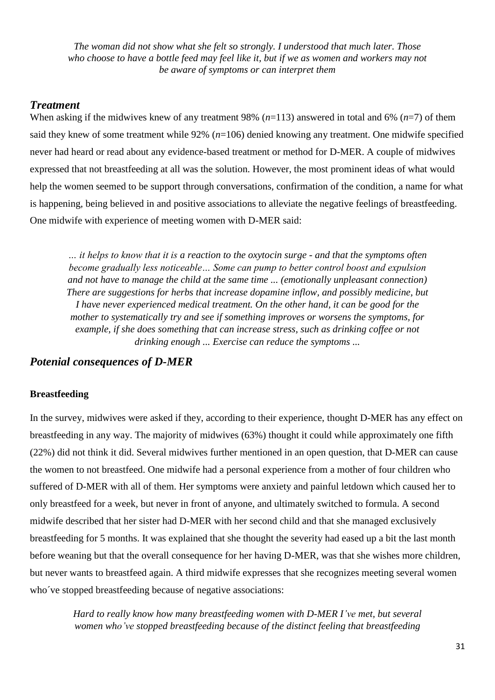*The woman did not show what she felt so strongly. I understood that much later. Those who choose to have a bottle feed may feel like it, but if we as women and workers may not be aware of symptoms or can interpret them*

#### *Treatment*

When asking if the midwives knew of any treatment 98% (*n*=113) answered in total and 6% (*n*=7) of them said they knew of some treatment while 92% (*n*=106) denied knowing any treatment. One midwife specified never had heard or read about any evidence-based treatment or method for D-MER. A couple of midwives expressed that not breastfeeding at all was the solution. However, the most prominent ideas of what would help the women seemed to be support through conversations, confirmation of the condition, a name for what is happening, being believed in and positive associations to alleviate the negative feelings of breastfeeding. One midwife with experience of meeting women with D-MER said:

*… it helps to know that it is a reaction to the oxytocin surge - and that the symptoms often become gradually less noticeable… Some can pump to better control boost and expulsion and not have to manage the child at the same time ... (emotionally unpleasant connection) There are suggestions for herbs that increase dopamine inflow, and possibly medicine, but I have never experienced medical treatment. On the other hand, it can be good for the mother to systematically try and see if something improves or worsens the symptoms, for example, if she does something that can increase stress, such as drinking coffee or not drinking enough ... Exercise can reduce the symptoms ...*

#### *Potenial consequences of D-MER*

#### **Breastfeeding**

In the survey, midwives were asked if they, according to their experience, thought D-MER has any effect on breastfeeding in any way. The majority of midwives (63%) thought it could while approximately one fifth (22%) did not think it did. Several midwives further mentioned in an open question, that D-MER can cause the women to not breastfeed. One midwife had a personal experience from a mother of four children who suffered of D-MER with all of them. Her symptoms were anxiety and painful letdown which caused her to only breastfeed for a week, but never in front of anyone, and ultimately switched to formula. A second midwife described that her sister had D-MER with her second child and that she managed exclusively breastfeeding for 5 months. It was explained that she thought the severity had eased up a bit the last month before weaning but that the overall consequence for her having D-MER, was that she wishes more children, but never wants to breastfeed again. A third midwife expresses that she recognizes meeting several women who've stopped breastfeeding because of negative associations:

*Hard to really know how many breastfeeding women with D-MER I've met, but several women who've stopped breastfeeding because of the distinct feeling that breastfeeding*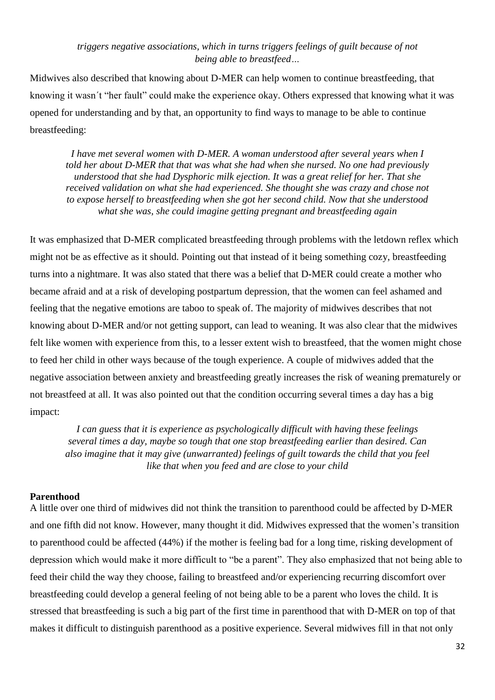#### *triggers negative associations, which in turns triggers feelings of guilt because of not being able to breastfeed…*

Midwives also described that knowing about D-MER can help women to continue breastfeeding, that knowing it wasn´t "her fault" could make the experience okay. Others expressed that knowing what it was opened for understanding and by that, an opportunity to find ways to manage to be able to continue breastfeeding:

*I have met several women with D-MER. A woman understood after several years when I told her about D-MER that that was what she had when she nursed. No one had previously understood that she had Dysphoric milk ejection. It was a great relief for her. That she received validation on what she had experienced. She thought she was crazy and chose not to expose herself to breastfeeding when she got her second child. Now that she understood what she was, she could imagine getting pregnant and breastfeeding again*

It was emphasized that D-MER complicated breastfeeding through problems with the letdown reflex which might not be as effective as it should. Pointing out that instead of it being something cozy, breastfeeding turns into a nightmare. It was also stated that there was a belief that D-MER could create a mother who became afraid and at a risk of developing postpartum depression, that the women can feel ashamed and feeling that the negative emotions are taboo to speak of. The majority of midwives describes that not knowing about D-MER and/or not getting support, can lead to weaning. It was also clear that the midwives felt like women with experience from this, to a lesser extent wish to breastfeed, that the women might chose to feed her child in other ways because of the tough experience. A couple of midwives added that the negative association between anxiety and breastfeeding greatly increases the risk of weaning prematurely or not breastfeed at all. It was also pointed out that the condition occurring several times a day has a big impact:

*I can guess that it is experience as psychologically difficult with having these feelings several times a day, maybe so tough that one stop breastfeeding earlier than desired. Can also imagine that it may give (unwarranted) feelings of guilt towards the child that you feel like that when you feed and are close to your child*

#### **Parenthood**

A little over one third of midwives did not think the transition to parenthood could be affected by D-MER and one fifth did not know. However, many thought it did. Midwives expressed that the women's transition to parenthood could be affected (44%) if the mother is feeling bad for a long time, risking development of depression which would make it more difficult to "be a parent". They also emphasized that not being able to feed their child the way they choose, failing to breastfeed and/or experiencing recurring discomfort over breastfeeding could develop a general feeling of not being able to be a parent who loves the child. It is stressed that breastfeeding is such a big part of the first time in parenthood that with D-MER on top of that makes it difficult to distinguish parenthood as a positive experience. Several midwives fill in that not only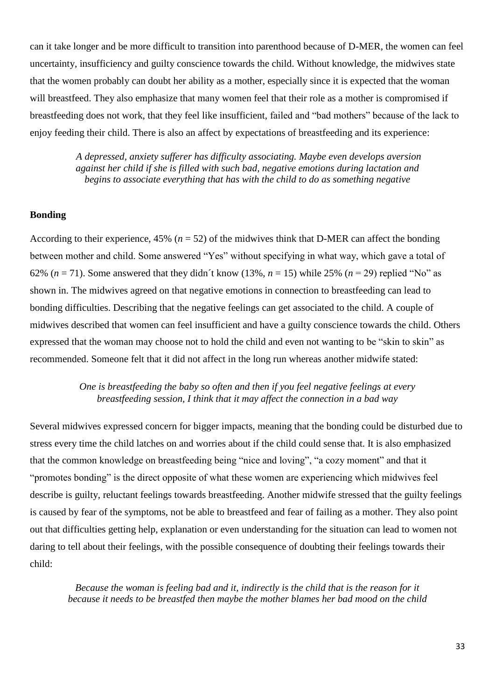can it take longer and be more difficult to transition into parenthood because of D-MER, the women can feel uncertainty, insufficiency and guilty conscience towards the child. Without knowledge, the midwives state that the women probably can doubt her ability as a mother, especially since it is expected that the woman will breastfeed. They also emphasize that many women feel that their role as a mother is compromised if breastfeeding does not work, that they feel like insufficient, failed and "bad mothers" because of the lack to enjoy feeding their child. There is also an affect by expectations of breastfeeding and its experience:

> *A depressed, anxiety sufferer has difficulty associating. Maybe even develops aversion against her child if she is filled with such bad, negative emotions during lactation and begins to associate everything that has with the child to do as something negative*

#### **Bonding**

According to their experience,  $45\%$  ( $n = 52$ ) of the midwives think that D-MER can affect the bonding between mother and child. Some answered "Yes" without specifying in what way, which gave a total of 62% ( $n = 71$ ). Some answered that they didn't know (13%,  $n = 15$ ) while 25% ( $n = 29$ ) replied "No" as shown in. The midwives agreed on that negative emotions in connection to breastfeeding can lead to bonding difficulties. Describing that the negative feelings can get associated to the child. A couple of midwives described that women can feel insufficient and have a guilty conscience towards the child. Others expressed that the woman may choose not to hold the child and even not wanting to be "skin to skin" as recommended. Someone felt that it did not affect in the long run whereas another midwife stated:

#### *One is breastfeeding the baby so often and then if you feel negative feelings at every breastfeeding session, I think that it may affect the connection in a bad way*

Several midwives expressed concern for bigger impacts, meaning that the bonding could be disturbed due to stress every time the child latches on and worries about if the child could sense that. It is also emphasized that the common knowledge on breastfeeding being "nice and loving", "a cozy moment" and that it "promotes bonding" is the direct opposite of what these women are experiencing which midwives feel describe is guilty, reluctant feelings towards breastfeeding. Another midwife stressed that the guilty feelings is caused by fear of the symptoms, not be able to breastfeed and fear of failing as a mother. They also point out that difficulties getting help, explanation or even understanding for the situation can lead to women not daring to tell about their feelings, with the possible consequence of doubting their feelings towards their child:

*Because the woman is feeling bad and it, indirectly is the child that is the reason for it because it needs to be breastfed then maybe the mother blames her bad mood on the child*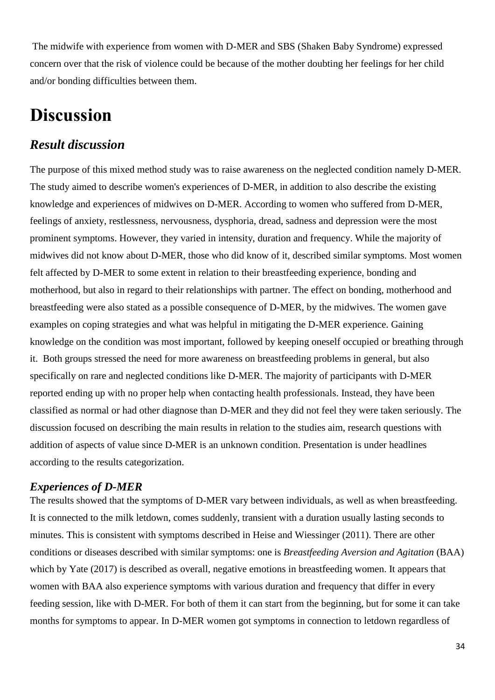The midwife with experience from women with D-MER and SBS (Shaken Baby Syndrome) expressed concern over that the risk of violence could be because of the mother doubting her feelings for her child and/or bonding difficulties between them.

# **Discussion**

### *Result discussion*

The purpose of this mixed method study was to raise awareness on the neglected condition namely D-MER. The study aimed to describe women's experiences of D-MER, in addition to also describe the existing knowledge and experiences of midwives on D-MER. According to women who suffered from D-MER, feelings of anxiety, restlessness, nervousness, dysphoria, dread, sadness and depression were the most prominent symptoms. However, they varied in intensity, duration and frequency. While the majority of midwives did not know about D-MER, those who did know of it, described similar symptoms. Most women felt affected by D-MER to some extent in relation to their breastfeeding experience, bonding and motherhood, but also in regard to their relationships with partner. The effect on bonding, motherhood and breastfeeding were also stated as a possible consequence of D-MER, by the midwives. The women gave examples on coping strategies and what was helpful in mitigating the D-MER experience. Gaining knowledge on the condition was most important, followed by keeping oneself occupied or breathing through it. Both groups stressed the need for more awareness on breastfeeding problems in general, but also specifically on rare and neglected conditions like D-MER. The majority of participants with D-MER reported ending up with no proper help when contacting health professionals. Instead, they have been classified as normal or had other diagnose than D-MER and they did not feel they were taken seriously. The discussion focused on describing the main results in relation to the studies aim, research questions with addition of aspects of value since D-MER is an unknown condition. Presentation is under headlines according to the results categorization.

#### *Experiences of D-MER*

The results showed that the symptoms of D-MER vary between individuals, as well as when breastfeeding. It is connected to the milk letdown, comes suddenly, transient with a duration usually lasting seconds to minutes. This is consistent with symptoms described in Heise and Wiessinger (2011). There are other conditions or diseases described with similar symptoms: one is *Breastfeeding Aversion and Agitation* (BAA) which by Yate (2017) is described as overall, negative emotions in breastfeeding women. It appears that women with BAA also experience symptoms with various duration and frequency that differ in every feeding session, like with D-MER. For both of them it can start from the beginning, but for some it can take months for symptoms to appear. In D-MER women got symptoms in connection to letdown regardless of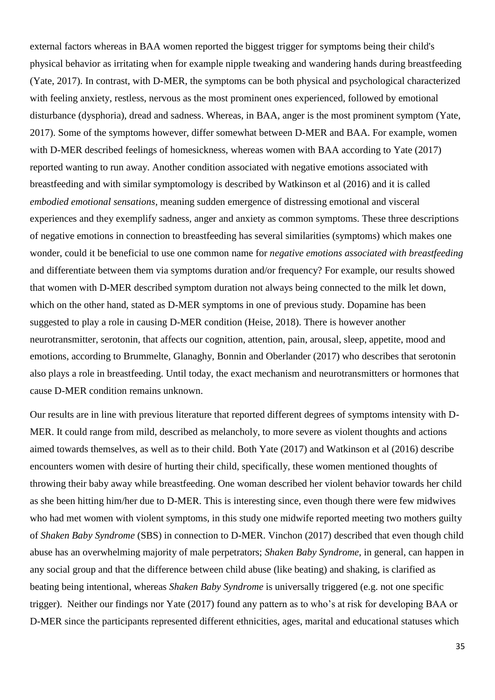external factors whereas in BAA women reported the biggest trigger for symptoms being their child's physical behavior as irritating when for example nipple tweaking and wandering hands during breastfeeding (Yate, 2017). In contrast, with D-MER, the symptoms can be both physical and psychological characterized with feeling anxiety, restless, nervous as the most prominent ones experienced, followed by emotional disturbance (dysphoria), dread and sadness. Whereas, in BAA, anger is the most prominent symptom (Yate, 2017). Some of the symptoms however, differ somewhat between D-MER and BAA. For example, women with D-MER described feelings of homesickness, whereas women with BAA according to Yate (2017) reported wanting to run away. Another condition associated with negative emotions associated with breastfeeding and with similar symptomology is described by Watkinson et al (2016) and it is called *embodied emotional sensations,* meaning sudden emergence of distressing emotional and visceral experiences and they exemplify sadness, anger and anxiety as common symptoms. These three descriptions of negative emotions in connection to breastfeeding has several similarities (symptoms) which makes one wonder, could it be beneficial to use one common name for *negative emotions associated with breastfeeding* and differentiate between them via symptoms duration and/or frequency? For example, our results showed that women with D-MER described symptom duration not always being connected to the milk let down, which on the other hand, stated as D-MER symptoms in one of previous study. Dopamine has been suggested to play a role in causing D-MER condition (Heise, 2018). There is however another neurotransmitter, serotonin, that affects our cognition, attention, pain, arousal, sleep, appetite, mood and emotions, according to Brummelte, Glanaghy, Bonnin and Oberlander (2017) who describes that serotonin also plays a role in breastfeeding. Until today, the exact mechanism and neurotransmitters or hormones that cause D-MER condition remains unknown.

Our results are in line with previous literature that reported different degrees of symptoms intensity with D-MER. It could range from mild, described as melancholy, to more severe as violent thoughts and actions aimed towards themselves, as well as to their child. Both Yate (2017) and Watkinson et al (2016) describe encounters women with desire of hurting their child, specifically, these women mentioned thoughts of throwing their baby away while breastfeeding. One woman described her violent behavior towards her child as she been hitting him/her due to D-MER. This is interesting since, even though there were few midwives who had met women with violent symptoms, in this study one midwife reported meeting two mothers guilty of *Shaken Baby Syndrome* (SBS) in connection to D-MER. Vinchon (2017) described that even though child abuse has an overwhelming majority of male perpetrators; *Shaken Baby Syndrome*, in general, can happen in any social group and that the difference between child abuse (like beating) and shaking, is clarified as beating being intentional, whereas *Shaken Baby Syndrome* is universally triggered (e.g. not one specific trigger). Neither our findings nor Yate (2017) found any pattern as to who's at risk for developing BAA or D-MER since the participants represented different ethnicities, ages, marital and educational statuses which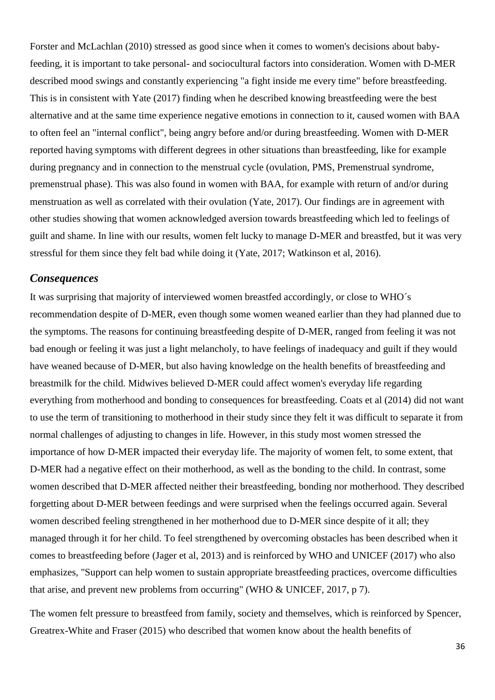Forster and McLachlan (2010) stressed as good since when it comes to women's decisions about babyfeeding, it is important to take personal- and sociocultural factors into consideration. Women with D-MER described mood swings and constantly experiencing "a fight inside me every time" before breastfeeding. This is in consistent with Yate (2017) finding when he described knowing breastfeeding were the best alternative and at the same time experience negative emotions in connection to it, caused women with BAA to often feel an "internal conflict", being angry before and/or during breastfeeding. Women with D-MER reported having symptoms with different degrees in other situations than breastfeeding, like for example during pregnancy and in connection to the menstrual cycle (ovulation, PMS, Premenstrual syndrome, premenstrual phase). This was also found in women with BAA, for example with return of and/or during menstruation as well as correlated with their ovulation (Yate, 2017). Our findings are in agreement with other studies showing that women acknowledged aversion towards breastfeeding which led to feelings of guilt and shame. In line with our results, women felt lucky to manage D-MER and breastfed, but it was very stressful for them since they felt bad while doing it (Yate, 2017; Watkinson et al, 2016).

#### *Consequences*

It was surprising that majority of interviewed women breastfed accordingly, or close to WHO´s recommendation despite of D-MER, even though some women weaned earlier than they had planned due to the symptoms. The reasons for continuing breastfeeding despite of D-MER, ranged from feeling it was not bad enough or feeling it was just a light melancholy, to have feelings of inadequacy and guilt if they would have weaned because of D-MER, but also having knowledge on the health benefits of breastfeeding and breastmilk for the child. Midwives believed D-MER could affect women's everyday life regarding everything from motherhood and bonding to consequences for breastfeeding. Coats et al (2014) did not want to use the term of transitioning to motherhood in their study since they felt it was difficult to separate it from normal challenges of adjusting to changes in life. However, in this study most women stressed the importance of how D-MER impacted their everyday life. The majority of women felt, to some extent, that D-MER had a negative effect on their motherhood, as well as the bonding to the child. In contrast, some women described that D-MER affected neither their breastfeeding, bonding nor motherhood. They described forgetting about D-MER between feedings and were surprised when the feelings occurred again. Several women described feeling strengthened in her motherhood due to D-MER since despite of it all; they managed through it for her child. To feel strengthened by overcoming obstacles has been described when it comes to breastfeeding before (Jager et al, 2013) and is reinforced by WHO and UNICEF (2017) who also emphasizes, "Support can help women to sustain appropriate breastfeeding practices, overcome difficulties that arise, and prevent new problems from occurring" (WHO & UNICEF, 2017, p 7).

The women felt pressure to breastfeed from family, society and themselves, which is reinforced by Spencer, Greatrex-White and Fraser (2015) who described that women know about the health benefits of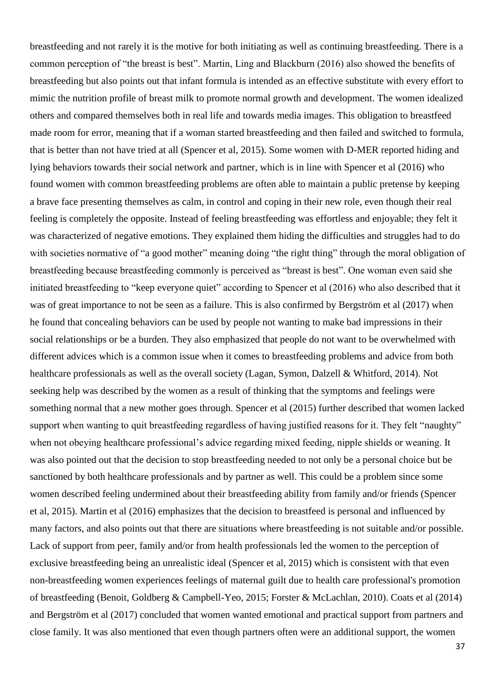breastfeeding and not rarely it is the motive for both initiating as well as continuing breastfeeding. There is a common perception of "the breast is best". Martin, Ling and Blackburn (2016) also showed the benefits of breastfeeding but also points out that infant formula is intended as an effective substitute with every effort to mimic the nutrition profile of breast milk to promote normal growth and development. The women idealized others and compared themselves both in real life and towards media images. This obligation to breastfeed made room for error, meaning that if a woman started breastfeeding and then failed and switched to formula, that is better than not have tried at all (Spencer et al, 2015). Some women with D-MER reported hiding and lying behaviors towards their social network and partner, which is in line with Spencer et al (2016) who found women with common breastfeeding problems are often able to maintain a public pretense by keeping a brave face presenting themselves as calm, in control and coping in their new role, even though their real feeling is completely the opposite. Instead of feeling breastfeeding was effortless and enjoyable; they felt it was characterized of negative emotions. They explained them hiding the difficulties and struggles had to do with societies normative of "a good mother" meaning doing "the right thing" through the moral obligation of breastfeeding because breastfeeding commonly is perceived as "breast is best". One woman even said she initiated breastfeeding to "keep everyone quiet" according to Spencer et al (2016) who also described that it was of great importance to not be seen as a failure. This is also confirmed by Bergström et al (2017) when he found that concealing behaviors can be used by people not wanting to make bad impressions in their social relationships or be a burden. They also emphasized that people do not want to be overwhelmed with different advices which is a common issue when it comes to breastfeeding problems and advice from both healthcare professionals as well as the overall society (Lagan, Symon, Dalzell & Whitford, 2014). Not seeking help was described by the women as a result of thinking that the symptoms and feelings were something normal that a new mother goes through. Spencer et al (2015) further described that women lacked support when wanting to quit breastfeeding regardless of having justified reasons for it. They felt "naughty" when not obeying healthcare professional's advice regarding mixed feeding, nipple shields or weaning. It was also pointed out that the decision to stop breastfeeding needed to not only be a personal choice but be sanctioned by both healthcare professionals and by partner as well. This could be a problem since some women described feeling undermined about their breastfeeding ability from family and/or friends (Spencer et al, 2015). Martin et al (2016) emphasizes that the decision to breastfeed is personal and influenced by many factors, and also points out that there are situations where breastfeeding is not suitable and/or possible. Lack of support from peer, family and/or from health professionals led the women to the perception of exclusive breastfeeding being an unrealistic ideal (Spencer et al, 2015) which is consistent with that even non-breastfeeding women experiences feelings of maternal guilt due to health care professional's promotion of breastfeeding (Benoit, Goldberg & Campbell-Yeo, 2015; Forster & McLachlan, 2010). Coats et al (2014) and Bergström et al (2017) concluded that women wanted emotional and practical support from partners and close family. It was also mentioned that even though partners often were an additional support, the women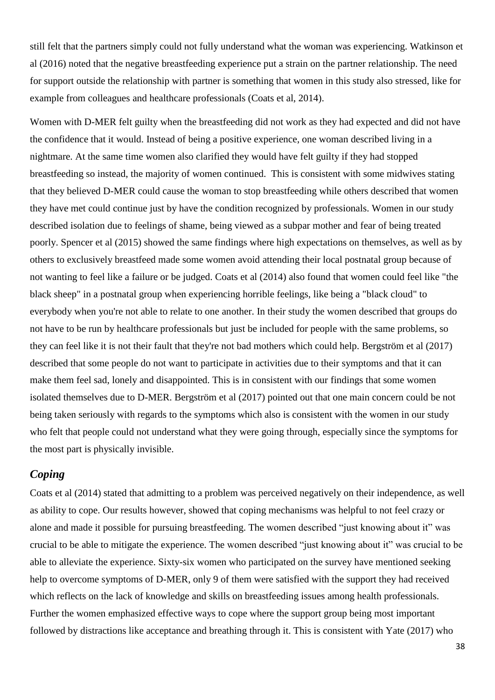still felt that the partners simply could not fully understand what the woman was experiencing. Watkinson et al (2016) noted that the negative breastfeeding experience put a strain on the partner relationship. The need for support outside the relationship with partner is something that women in this study also stressed, like for example from colleagues and healthcare professionals (Coats et al, 2014).

Women with D-MER felt guilty when the breastfeeding did not work as they had expected and did not have the confidence that it would. Instead of being a positive experience, one woman described living in a nightmare. At the same time women also clarified they would have felt guilty if they had stopped breastfeeding so instead, the majority of women continued. This is consistent with some midwives stating that they believed D-MER could cause the woman to stop breastfeeding while others described that women they have met could continue just by have the condition recognized by professionals. Women in our study described isolation due to feelings of shame, being viewed as a subpar mother and fear of being treated poorly. Spencer et al (2015) showed the same findings where high expectations on themselves, as well as by others to exclusively breastfeed made some women avoid attending their local postnatal group because of not wanting to feel like a failure or be judged. Coats et al (2014) also found that women could feel like "the black sheep" in a postnatal group when experiencing horrible feelings, like being a "black cloud" to everybody when you're not able to relate to one another. In their study the women described that groups do not have to be run by healthcare professionals but just be included for people with the same problems, so they can feel like it is not their fault that they're not bad mothers which could help. Bergström et al (2017) described that some people do not want to participate in activities due to their symptoms and that it can make them feel sad, lonely and disappointed. This is in consistent with our findings that some women isolated themselves due to D-MER. Bergström et al (2017) pointed out that one main concern could be not being taken seriously with regards to the symptoms which also is consistent with the women in our study who felt that people could not understand what they were going through, especially since the symptoms for the most part is physically invisible.

#### *Coping*

Coats et al (2014) stated that admitting to a problem was perceived negatively on their independence, as well as ability to cope. Our results however, showed that coping mechanisms was helpful to not feel crazy or alone and made it possible for pursuing breastfeeding. The women described "just knowing about it" was crucial to be able to mitigate the experience. The women described "just knowing about it" was crucial to be able to alleviate the experience. Sixty-six women who participated on the survey have mentioned seeking help to overcome symptoms of D-MER, only 9 of them were satisfied with the support they had received which reflects on the lack of knowledge and skills on breastfeeding issues among health professionals. Further the women emphasized effective ways to cope where the support group being most important followed by distractions like acceptance and breathing through it. This is consistent with Yate (2017) who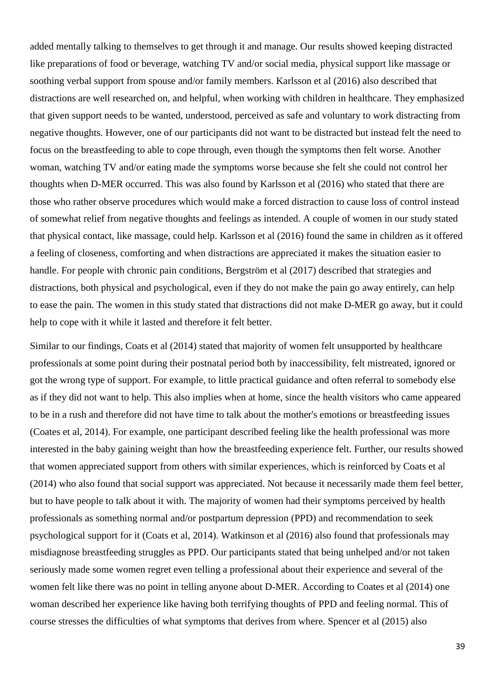added mentally talking to themselves to get through it and manage. Our results showed keeping distracted like preparations of food or beverage, watching TV and/or social media, physical support like massage or soothing verbal support from spouse and/or family members. Karlsson et al (2016) also described that distractions are well researched on, and helpful, when working with children in healthcare. They emphasized that given support needs to be wanted, understood, perceived as safe and voluntary to work distracting from negative thoughts. However, one of our participants did not want to be distracted but instead felt the need to focus on the breastfeeding to able to cope through, even though the symptoms then felt worse. Another woman, watching TV and/or eating made the symptoms worse because she felt she could not control her thoughts when D-MER occurred. This was also found by Karlsson et al (2016) who stated that there are those who rather observe procedures which would make a forced distraction to cause loss of control instead of somewhat relief from negative thoughts and feelings as intended. A couple of women in our study stated that physical contact, like massage, could help. Karlsson et al (2016) found the same in children as it offered a feeling of closeness, comforting and when distractions are appreciated it makes the situation easier to handle. For people with chronic pain conditions, Bergström et al (2017) described that strategies and distractions, both physical and psychological, even if they do not make the pain go away entirely, can help to ease the pain. The women in this study stated that distractions did not make D-MER go away, but it could help to cope with it while it lasted and therefore it felt better.

Similar to our findings, Coats et al (2014) stated that majority of women felt unsupported by healthcare professionals at some point during their postnatal period both by inaccessibility, felt mistreated, ignored or got the wrong type of support. For example, to little practical guidance and often referral to somebody else as if they did not want to help. This also implies when at home, since the health visitors who came appeared to be in a rush and therefore did not have time to talk about the mother's emotions or breastfeeding issues (Coates et al, 2014). For example, one participant described feeling like the health professional was more interested in the baby gaining weight than how the breastfeeding experience felt. Further, our results showed that women appreciated support from others with similar experiences, which is reinforced by Coats et al (2014) who also found that social support was appreciated. Not because it necessarily made them feel better, but to have people to talk about it with. The majority of women had their symptoms perceived by health professionals as something normal and/or postpartum depression (PPD) and recommendation to seek psychological support for it (Coats et al, 2014). Watkinson et al (2016) also found that professionals may misdiagnose breastfeeding struggles as PPD. Our participants stated that being unhelped and/or not taken seriously made some women regret even telling a professional about their experience and several of the women felt like there was no point in telling anyone about D-MER. According to Coates et al (2014) one woman described her experience like having both terrifying thoughts of PPD and feeling normal. This of course stresses the difficulties of what symptoms that derives from where. Spencer et al (2015) also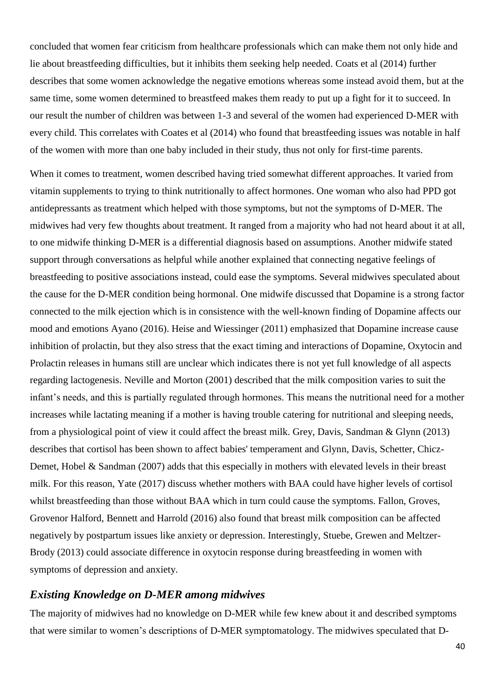concluded that women fear criticism from healthcare professionals which can make them not only hide and lie about breastfeeding difficulties, but it inhibits them seeking help needed. Coats et al (2014) further describes that some women acknowledge the negative emotions whereas some instead avoid them, but at the same time, some women determined to breastfeed makes them ready to put up a fight for it to succeed. In our result the number of children was between 1-3 and several of the women had experienced D-MER with every child. This correlates with Coates et al (2014) who found that breastfeeding issues was notable in half of the women with more than one baby included in their study, thus not only for first-time parents.

When it comes to treatment, women described having tried somewhat different approaches. It varied from vitamin supplements to trying to think nutritionally to affect hormones. One woman who also had PPD got antidepressants as treatment which helped with those symptoms, but not the symptoms of D-MER. The midwives had very few thoughts about treatment. It ranged from a majority who had not heard about it at all, to one midwife thinking D-MER is a differential diagnosis based on assumptions. Another midwife stated support through conversations as helpful while another explained that connecting negative feelings of breastfeeding to positive associations instead, could ease the symptoms. Several midwives speculated about the cause for the D-MER condition being hormonal. One midwife discussed that Dopamine is a strong factor connected to the milk ejection which is in consistence with the well-known finding of Dopamine affects our mood and emotions Ayano (2016). Heise and Wiessinger (2011) emphasized that Dopamine increase cause inhibition of prolactin, but they also stress that the exact timing and interactions of Dopamine, Oxytocin and Prolactin releases in humans still are unclear which indicates there is not yet full knowledge of all aspects regarding lactogenesis. Neville and Morton (2001) described that the milk composition varies to suit the infant's needs, and this is partially regulated through hormones. This means the nutritional need for a mother increases while lactating meaning if a mother is having trouble catering for nutritional and sleeping needs, from a physiological point of view it could affect the breast milk. Grey, Davis, Sandman & Glynn (2013) describes that cortisol has been shown to affect babies' temperament and Glynn, Davis, Schetter, Chicz-Demet, Hobel & Sandman (2007) adds that this especially in mothers with elevated levels in their breast milk. For this reason, Yate (2017) discuss whether mothers with BAA could have higher levels of cortisol whilst breastfeeding than those without BAA which in turn could cause the symptoms. Fallon, Groves, Grovenor Halford, Bennett and Harrold (2016) also found that breast milk composition can be affected negatively by postpartum issues like anxiety or depression. Interestingly, Stuebe, Grewen and Meltzer-Brody (2013) could associate difference in oxytocin response during breastfeeding in women with symptoms of depression and anxiety.

#### *Existing Knowledge on D-MER among midwives*

The majority of midwives had no knowledge on D-MER while few knew about it and described symptoms that were similar to women's descriptions of D-MER symptomatology. The midwives speculated that D-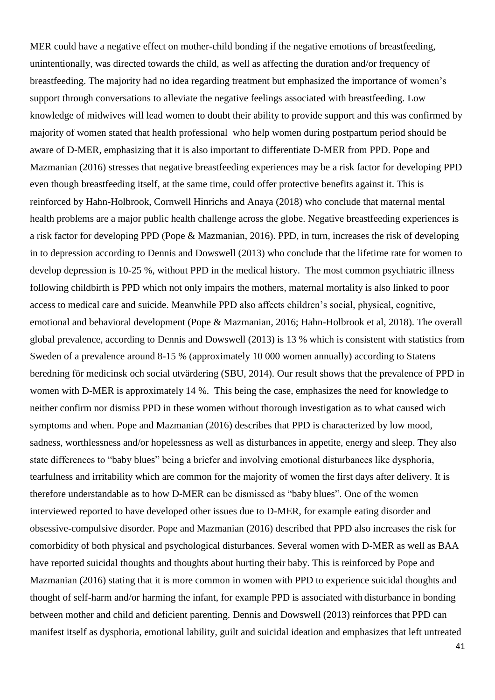MER could have a negative effect on mother-child bonding if the negative emotions of breastfeeding, unintentionally, was directed towards the child, as well as affecting the duration and/or frequency of breastfeeding. The majority had no idea regarding treatment but emphasized the importance of women's support through conversations to alleviate the negative feelings associated with breastfeeding. Low knowledge of midwives will lead women to doubt their ability to provide support and this was confirmed by majority of women stated that health professional who help women during postpartum period should be aware of D-MER, emphasizing that it is also important to differentiate D-MER from PPD. Pope and Mazmanian (2016) stresses that negative breastfeeding experiences may be a risk factor for developing PPD even though breastfeeding itself, at the same time, could offer protective benefits against it. This is reinforced by Hahn-Holbrook, Cornwell Hinrichs and Anaya (2018) who conclude that maternal mental health problems are a major public health challenge across the globe. Negative breastfeeding experiences is a risk factor for developing PPD (Pope & Mazmanian, 2016). PPD, in turn, increases the risk of developing in to depression according to Dennis and Dowswell (2013) who conclude that the lifetime rate for women to develop depression is 10-25 %, without PPD in the medical history. The most common psychiatric illness following childbirth is PPD which not only impairs the mothers, maternal mortality is also linked to poor access to medical care and suicide. Meanwhile PPD also affects children's social, physical, cognitive, emotional and behavioral development (Pope & Mazmanian, 2016; Hahn-Holbrook et al, 2018). The overall global prevalence, according to Dennis and Dowswell (2013) is 13 % which is consistent with statistics from Sweden of a prevalence around 8-15 % (approximately 10 000 women annually) according to Statens beredning för medicinsk och social utvärdering (SBU, 2014). Our result shows that the prevalence of PPD in women with D-MER is approximately 14 %. This being the case, emphasizes the need for knowledge to neither confirm nor dismiss PPD in these women without thorough investigation as to what caused wich symptoms and when. Pope and Mazmanian (2016) describes that PPD is characterized by low mood, sadness, worthlessness and/or hopelessness as well as disturbances in appetite, energy and sleep. They also state differences to "baby blues" being a briefer and involving emotional disturbances like dysphoria, tearfulness and irritability which are common for the majority of women the first days after delivery. It is therefore understandable as to how D-MER can be dismissed as "baby blues". One of the women interviewed reported to have developed other issues due to D-MER, for example eating disorder and obsessive-compulsive disorder. Pope and Mazmanian (2016) described that PPD also increases the risk for comorbidity of both physical and psychological disturbances. Several women with D-MER as well as BAA have reported suicidal thoughts and thoughts about hurting their baby. This is reinforced by Pope and Mazmanian (2016) stating that it is more common in women with PPD to experience suicidal thoughts and thought of self-harm and/or harming the infant, for example PPD is associated with disturbance in bonding between mother and child and deficient parenting. Dennis and Dowswell (2013) reinforces that PPD can manifest itself as dysphoria, emotional lability, guilt and suicidal ideation and emphasizes that left untreated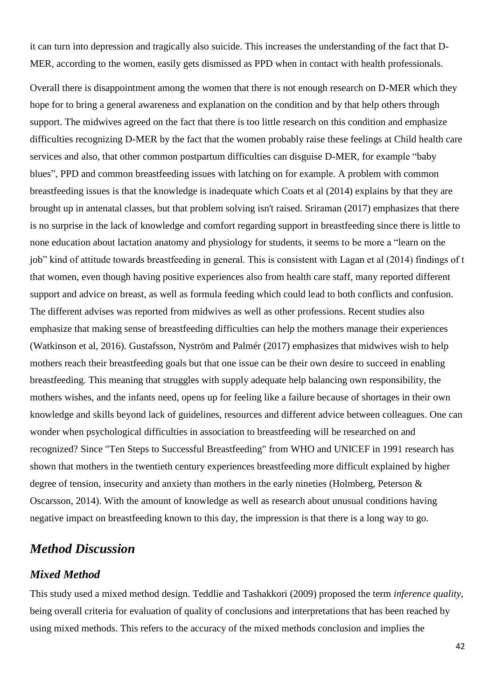it can turn into depression and tragically also suicide. This increases the understanding of the fact that D-MER, according to the women, easily gets dismissed as PPD when in contact with health professionals.

Overall there is disappointment among the women that there is not enough research on D-MER which they hope for to bring a general awareness and explanation on the condition and by that help others through support. The midwives agreed on the fact that there is too little research on this condition and emphasize difficulties recognizing D-MER by the fact that the women probably raise these feelings at Child health care services and also, that other common postpartum difficulties can disguise D-MER, for example "baby blues", PPD and common breastfeeding issues with latching on for example. A problem with common breastfeeding issues is that the knowledge is inadequate which Coats et al (2014) explains by that they are brought up in antenatal classes, but that problem solving isn't raised. Sriraman (2017) emphasizes that there is no surprise in the lack of knowledge and comfort regarding support in breastfeeding since there is little to none education about lactation anatomy and physiology for students, it seems to be more a "learn on the job" kind of attitude towards breastfeeding in general. This is consistent with Lagan et al (2014) findings of t that women, even though having positive experiences also from health care staff, many reported different support and advice on breast, as well as formula feeding which could lead to both conflicts and confusion. The different advises was reported from midwives as well as other professions. Recent studies also emphasize that making sense of breastfeeding difficulties can help the mothers manage their experiences (Watkinson et al, 2016). Gustafsson, Nyström and Palmér (2017) emphasizes that midwives wish to help mothers reach their breastfeeding goals but that one issue can be their own desire to succeed in enabling breastfeeding. This meaning that struggles with supply adequate help balancing own responsibility, the mothers wishes, and the infants need, opens up for feeling like a failure because of shortages in their own knowledge and skills beyond lack of guidelines, resources and different advice between colleagues. One can wonder when psychological difficulties in association to breastfeeding will be researched on and recognized? Since "Ten Steps to Successful Breastfeeding" from WHO and UNICEF in 1991 research has shown that mothers in the twentieth century experiences breastfeeding more difficult explained by higher degree of tension, insecurity and anxiety than mothers in the early nineties (Holmberg, Peterson & Oscarsson, 2014). With the amount of knowledge as well as research about unusual conditions having negative impact on breastfeeding known to this day, the impression is that there is a long way to go.

### *Method Discussion*

#### *Mixed Method*

This study used a mixed method design. Teddlie and Tashakkori (2009) proposed the term *inference quality*, being overall criteria for evaluation of quality of conclusions and interpretations that has been reached by using mixed methods. This refers to the accuracy of the mixed methods conclusion and implies the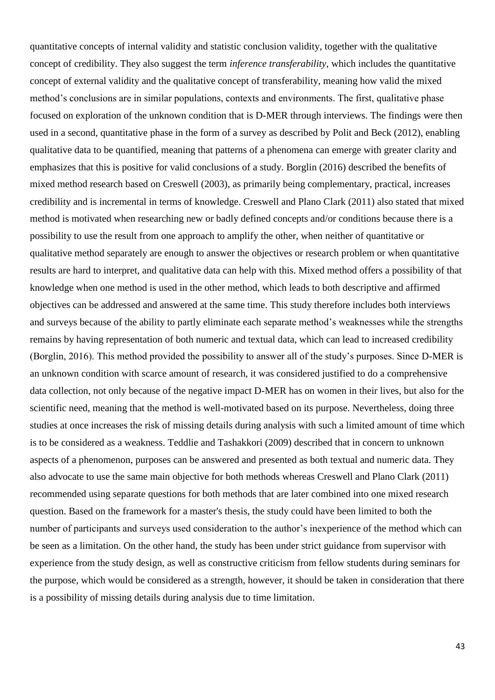quantitative concepts of internal validity and statistic conclusion validity, together with the qualitative concept of credibility. They also suggest the term *inference transferability*, which includes the quantitative concept of external validity and the qualitative concept of transferability, meaning how valid the mixed method's conclusions are in similar populations, contexts and environments. The first, qualitative phase focused on exploration of the unknown condition that is D-MER through interviews. The findings were then used in a second, quantitative phase in the form of a survey as described by Polit and Beck (2012), enabling qualitative data to be quantified, meaning that patterns of a phenomena can emerge with greater clarity and emphasizes that this is positive for valid conclusions of a study. Borglin (2016) described the benefits of mixed method research based on Creswell (2003), as primarily being complementary, practical, increases credibility and is incremental in terms of knowledge. Creswell and Plano Clark (2011) also stated that mixed method is motivated when researching new or badly defined concepts and/or conditions because there is a possibility to use the result from one approach to amplify the other, when neither of quantitative or qualitative method separately are enough to answer the objectives or research problem or when quantitative results are hard to interpret, and qualitative data can help with this. Mixed method offers a possibility of that knowledge when one method is used in the other method, which leads to both descriptive and affirmed objectives can be addressed and answered at the same time. This study therefore includes both interviews and surveys because of the ability to partly eliminate each separate method's weaknesses while the strengths remains by having representation of both numeric and textual data, which can lead to increased credibility (Borglin, 2016). This method provided the possibility to answer all of the study's purposes. Since D-MER is an unknown condition with scarce amount of research, it was considered justified to do a comprehensive data collection, not only because of the negative impact D-MER has on women in their lives, but also for the scientific need, meaning that the method is well-motivated based on its purpose. Nevertheless, doing three studies at once increases the risk of missing details during analysis with such a limited amount of time which is to be considered as a weakness. Teddlie and Tashakkori (2009) described that in concern to unknown aspects of a phenomenon, purposes can be answered and presented as both textual and numeric data. They also advocate to use the same main objective for both methods whereas Creswell and Plano Clark (2011) recommended using separate questions for both methods that are later combined into one mixed research question. Based on the framework for a master's thesis, the study could have been limited to both the number of participants and surveys used consideration to the author's inexperience of the method which can be seen as a limitation. On the other hand, the study has been under strict guidance from supervisor with experience from the study design, as well as constructive criticism from fellow students during seminars for the purpose, which would be considered as a strength, however, it should be taken in consideration that there is a possibility of missing details during analysis due to time limitation.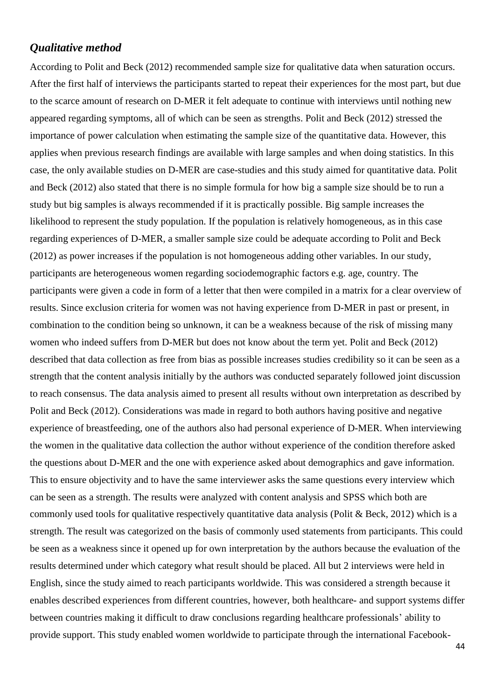#### *Qualitative method*

According to Polit and Beck (2012) recommended sample size for qualitative data when saturation occurs. After the first half of interviews the participants started to repeat their experiences for the most part, but due to the scarce amount of research on D-MER it felt adequate to continue with interviews until nothing new appeared regarding symptoms, all of which can be seen as strengths. Polit and Beck (2012) stressed the importance of power calculation when estimating the sample size of the quantitative data. However, this applies when previous research findings are available with large samples and when doing statistics. In this case, the only available studies on D-MER are case-studies and this study aimed for quantitative data. Polit and Beck (2012) also stated that there is no simple formula for how big a sample size should be to run a study but big samples is always recommended if it is practically possible. Big sample increases the likelihood to represent the study population. If the population is relatively homogeneous, as in this case regarding experiences of D-MER, a smaller sample size could be adequate according to Polit and Beck (2012) as power increases if the population is not homogeneous adding other variables. In our study, participants are heterogeneous women regarding sociodemographic factors e.g. age, country. The participants were given a code in form of a letter that then were compiled in a matrix for a clear overview of results. Since exclusion criteria for women was not having experience from D-MER in past or present, in combination to the condition being so unknown, it can be a weakness because of the risk of missing many women who indeed suffers from D-MER but does not know about the term yet. Polit and Beck (2012) described that data collection as free from bias as possible increases studies credibility so it can be seen as a strength that the content analysis initially by the authors was conducted separately followed joint discussion to reach consensus. The data analysis aimed to present all results without own interpretation as described by Polit and Beck (2012). Considerations was made in regard to both authors having positive and negative experience of breastfeeding, one of the authors also had personal experience of D-MER. When interviewing the women in the qualitative data collection the author without experience of the condition therefore asked the questions about D-MER and the one with experience asked about demographics and gave information. This to ensure objectivity and to have the same interviewer asks the same questions every interview which can be seen as a strength. The results were analyzed with content analysis and SPSS which both are commonly used tools for qualitative respectively quantitative data analysis (Polit & Beck, 2012) which is a strength. The result was categorized on the basis of commonly used statements from participants. This could be seen as a weakness since it opened up for own interpretation by the authors because the evaluation of the results determined under which category what result should be placed. All but 2 interviews were held in English, since the study aimed to reach participants worldwide. This was considered a strength because it enables described experiences from different countries, however, both healthcare- and support systems differ between countries making it difficult to draw conclusions regarding healthcare professionals' ability to provide support. This study enabled women worldwide to participate through the international Facebook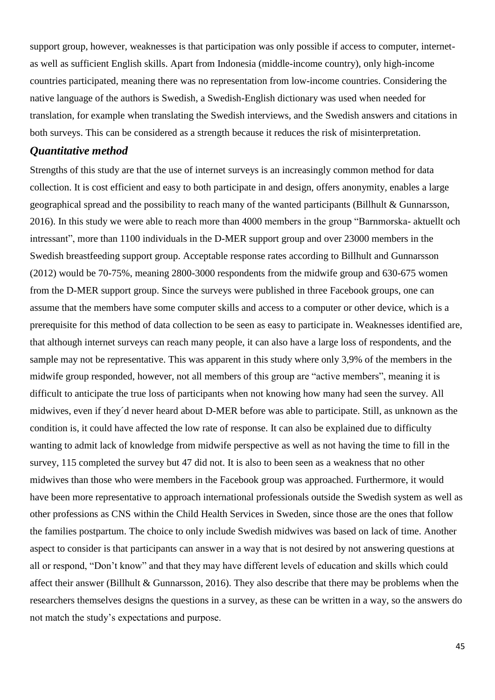support group, however, weaknesses is that participation was only possible if access to computer, internetas well as sufficient English skills. Apart from Indonesia (middle-income country), only high-income countries participated, meaning there was no representation from low-income countries. Considering the native language of the authors is Swedish, a Swedish-English dictionary was used when needed for translation, for example when translating the Swedish interviews, and the Swedish answers and citations in both surveys. This can be considered as a strength because it reduces the risk of misinterpretation.

#### *Quantitative method*

Strengths of this study are that the use of internet surveys is an increasingly common method for data collection. It is cost efficient and easy to both participate in and design, offers anonymity, enables a large geographical spread and the possibility to reach many of the wanted participants (Billhult & Gunnarsson, 2016). In this study we were able to reach more than 4000 members in the group "Barnmorska- aktuellt och intressant", more than 1100 individuals in the D-MER support group and over 23000 members in the Swedish breastfeeding support group. Acceptable response rates according to Billhult and Gunnarsson (2012) would be 70-75%, meaning 2800-3000 respondents from the midwife group and 630-675 women from the D-MER support group. Since the surveys were published in three Facebook groups, one can assume that the members have some computer skills and access to a computer or other device, which is a prerequisite for this method of data collection to be seen as easy to participate in. Weaknesses identified are, that although internet surveys can reach many people, it can also have a large loss of respondents, and the sample may not be representative. This was apparent in this study where only 3,9% of the members in the midwife group responded, however, not all members of this group are "active members", meaning it is difficult to anticipate the true loss of participants when not knowing how many had seen the survey. All midwives, even if they´d never heard about D-MER before was able to participate. Still, as unknown as the condition is, it could have affected the low rate of response. It can also be explained due to difficulty wanting to admit lack of knowledge from midwife perspective as well as not having the time to fill in the survey, 115 completed the survey but 47 did not. It is also to been seen as a weakness that no other midwives than those who were members in the Facebook group was approached. Furthermore, it would have been more representative to approach international professionals outside the Swedish system as well as other professions as CNS within the Child Health Services in Sweden, since those are the ones that follow the families postpartum. The choice to only include Swedish midwives was based on lack of time. Another aspect to consider is that participants can answer in a way that is not desired by not answering questions at all or respond, "Don't know" and that they may have different levels of education and skills which could affect their answer (Billhult & Gunnarsson, 2016). They also describe that there may be problems when the researchers themselves designs the questions in a survey, as these can be written in a way, so the answers do not match the study's expectations and purpose.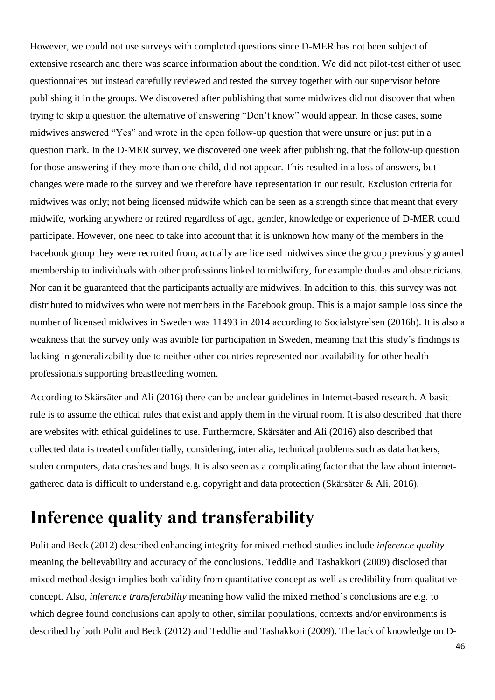However, we could not use surveys with completed questions since D-MER has not been subject of extensive research and there was scarce information about the condition. We did not pilot-test either of used questionnaires but instead carefully reviewed and tested the survey together with our supervisor before publishing it in the groups. We discovered after publishing that some midwives did not discover that when trying to skip a question the alternative of answering "Don't know" would appear. In those cases, some midwives answered "Yes" and wrote in the open follow-up question that were unsure or just put in a question mark. In the D-MER survey, we discovered one week after publishing, that the follow-up question for those answering if they more than one child, did not appear. This resulted in a loss of answers, but changes were made to the survey and we therefore have representation in our result. Exclusion criteria for midwives was only; not being licensed midwife which can be seen as a strength since that meant that every midwife, working anywhere or retired regardless of age, gender, knowledge or experience of D-MER could participate. However, one need to take into account that it is unknown how many of the members in the Facebook group they were recruited from, actually are licensed midwives since the group previously granted membership to individuals with other professions linked to midwifery, for example doulas and obstetricians. Nor can it be guaranteed that the participants actually are midwives. In addition to this, this survey was not distributed to midwives who were not members in the Facebook group. This is a major sample loss since the number of licensed midwives in Sweden was 11493 in 2014 according to Socialstyrelsen (2016b). It is also a weakness that the survey only was avaible for participation in Sweden, meaning that this study's findings is lacking in generalizability due to neither other countries represented nor availability for other health professionals supporting breastfeeding women.

According to Skärsäter and Ali (2016) there can be unclear guidelines in Internet-based research. A basic rule is to assume the ethical rules that exist and apply them in the virtual room. It is also described that there are websites with ethical guidelines to use. Furthermore, Skärsäter and Ali (2016) also described that collected data is treated confidentially, considering, inter alia, technical problems such as data hackers, stolen computers, data crashes and bugs. It is also seen as a complicating factor that the law about internetgathered data is difficult to understand e.g. copyright and data protection (Skärsäter & Ali, 2016).

### **Inference quality and transferability**

Polit and Beck (2012) described enhancing integrity for mixed method studies include *inference quality* meaning the believability and accuracy of the conclusions. Teddlie and Tashakkori (2009) disclosed that mixed method design implies both validity from quantitative concept as well as credibility from qualitative concept. Also, *inference transferability* meaning how valid the mixed method's conclusions are e.g. to which degree found conclusions can apply to other, similar populations, contexts and/or environments is described by both Polit and Beck (2012) and Teddlie and Tashakkori (2009). The lack of knowledge on D-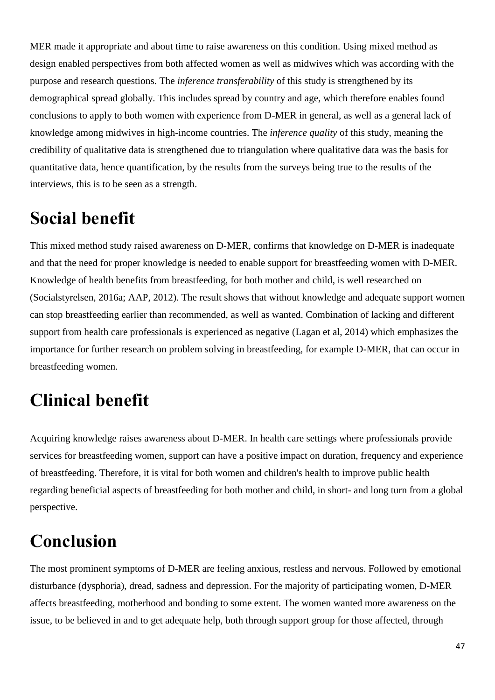MER made it appropriate and about time to raise awareness on this condition. Using mixed method as design enabled perspectives from both affected women as well as midwives which was according with the purpose and research questions. The *inference transferability* of this study is strengthened by its demographical spread globally. This includes spread by country and age, which therefore enables found conclusions to apply to both women with experience from D-MER in general, as well as a general lack of knowledge among midwives in high-income countries. The *inference quality* of this study, meaning the credibility of qualitative data is strengthened due to triangulation where qualitative data was the basis for quantitative data, hence quantification, by the results from the surveys being true to the results of the interviews, this is to be seen as a strength.

## **Social benefit**

This mixed method study raised awareness on D-MER, confirms that knowledge on D-MER is inadequate and that the need for proper knowledge is needed to enable support for breastfeeding women with D-MER. Knowledge of health benefits from breastfeeding, for both mother and child, is well researched on (Socialstyrelsen, 2016a; AAP, 2012). The result shows that without knowledge and adequate support women can stop breastfeeding earlier than recommended, as well as wanted. Combination of lacking and different support from health care professionals is experienced as negative (Lagan et al, 2014) which emphasizes the importance for further research on problem solving in breastfeeding, for example D-MER, that can occur in breastfeeding women.

# **Clinical benefit**

Acquiring knowledge raises awareness about D-MER. In health care settings where professionals provide services for breastfeeding women, support can have a positive impact on duration, frequency and experience of breastfeeding. Therefore, it is vital for both women and children's health to improve public health regarding beneficial aspects of breastfeeding for both mother and child, in short- and long turn from a global perspective.

# **Conclusion**

The most prominent symptoms of D-MER are feeling anxious, restless and nervous. Followed by emotional disturbance (dysphoria), dread, sadness and depression. For the majority of participating women, D-MER affects breastfeeding, motherhood and bonding to some extent. The women wanted more awareness on the issue, to be believed in and to get adequate help, both through support group for those affected, through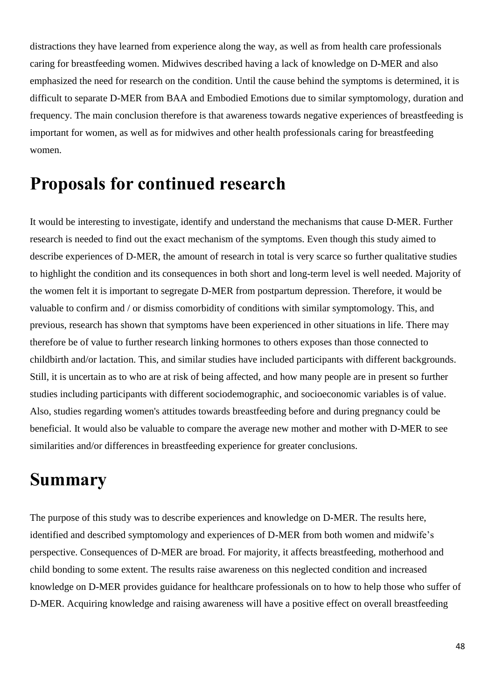distractions they have learned from experience along the way, as well as from health care professionals caring for breastfeeding women. Midwives described having a lack of knowledge on D-MER and also emphasized the need for research on the condition. Until the cause behind the symptoms is determined, it is difficult to separate D-MER from BAA and Embodied Emotions due to similar symptomology, duration and frequency. The main conclusion therefore is that awareness towards negative experiences of breastfeeding is important for women, as well as for midwives and other health professionals caring for breastfeeding women.

### **Proposals for continued research**

It would be interesting to investigate, identify and understand the mechanisms that cause D-MER. Further research is needed to find out the exact mechanism of the symptoms. Even though this study aimed to describe experiences of D-MER, the amount of research in total is very scarce so further qualitative studies to highlight the condition and its consequences in both short and long-term level is well needed. Majority of the women felt it is important to segregate D-MER from postpartum depression. Therefore, it would be valuable to confirm and / or dismiss comorbidity of conditions with similar symptomology. This, and previous, research has shown that symptoms have been experienced in other situations in life. There may therefore be of value to further research linking hormones to others exposes than those connected to childbirth and/or lactation. This, and similar studies have included participants with different backgrounds. Still, it is uncertain as to who are at risk of being affected, and how many people are in present so further studies including participants with different sociodemographic, and socioeconomic variables is of value. Also, studies regarding women's attitudes towards breastfeeding before and during pregnancy could be beneficial. It would also be valuable to compare the average new mother and mother with D-MER to see similarities and/or differences in breastfeeding experience for greater conclusions.

## **Summary**

The purpose of this study was to describe experiences and knowledge on D-MER. The results here, identified and described symptomology and experiences of D-MER from both women and midwife's perspective. Consequences of D-MER are broad. For majority, it affects breastfeeding, motherhood and child bonding to some extent. The results raise awareness on this neglected condition and increased knowledge on D-MER provides guidance for healthcare professionals on to how to help those who suffer of D-MER. Acquiring knowledge and raising awareness will have a positive effect on overall breastfeeding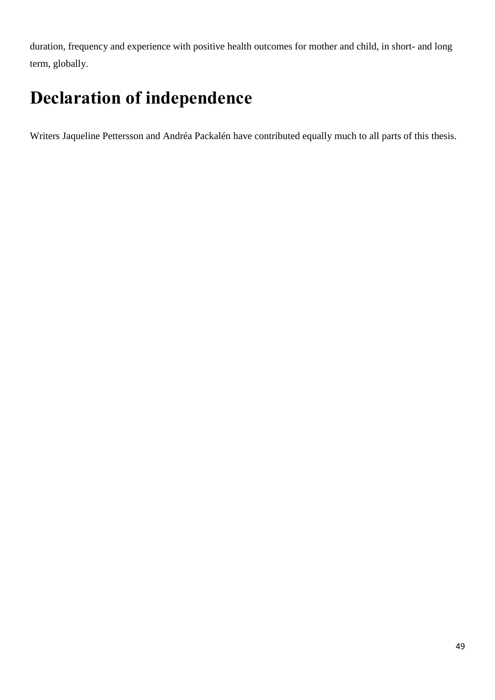duration, frequency and experience with positive health outcomes for mother and child, in short- and long term, globally.

# **Declaration of independence**

Writers Jaqueline Pettersson and Andréa Packalén have contributed equally much to all parts of this thesis.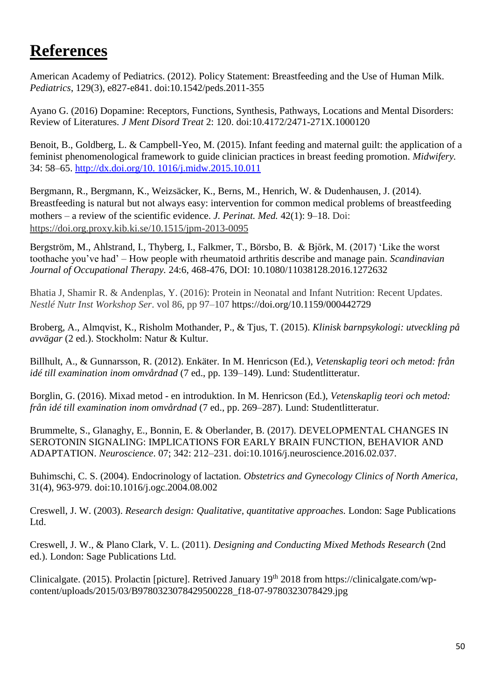### **References**

American Academy of Pediatrics. (2012). Policy Statement: Breastfeeding and the Use of Human Milk. *Pediatrics*, 129(3), e827-e841. doi:10.1542/peds.2011-355

Ayano G. (2016) Dopamine: Receptors, Functions, Synthesis, Pathways, Locations and Mental Disorders: Review of Literatures. *J Ment Disord Treat* 2: 120. doi:10.4172/2471-271X.1000120

Benoit, B., Goldberg, L. & Campbell-Yeo, M. (2015). Infant feeding and maternal guilt: the application of a feminist phenomenological framework to guide clinician practices in breast feeding promotion. *Midwifery.* 34: 58–65. [http://dx.doi.org/10. 1016/j.midw.2015.10.011](http://dx.doi.org/10.%201016/j.midw.2015.10.011)

Bergmann, R., Bergmann, K., Weizsäcker, K., Berns, M., Henrich, W. & Dudenhausen, J. (2014). Breastfeeding is natural but not always easy: intervention for common medical problems of breastfeeding mothers – a review of the scientific evidence. *J. Perinat. Med.* 42(1): 9–18. Doi: [https://doi.org.proxy.kib.ki.se/10.1515/jpm-2013-0095](https://doi-org.proxy.kib.ki.se/10.1515/jpm-2013-0095)

Bergström, M., Ahlstrand, I., Thyberg, I., Falkmer, T., Börsbo, B. & Björk, M. (2017) 'Like the worst toothache you've had' – How people with rheumatoid arthritis describe and manage pain. *Scandinavian Journal of Occupational Therapy.* 24:6, 468-476, DOI: 10.1080/11038128.2016.1272632

Bhatia J, Shamir R. & Andenplas, Y. (2016): Protein in Neonatal and Infant Nutrition: Recent Updates. *Nestlé Nutr Inst Workshop Ser*. vol 86, pp 97–107 https://doi.org/10.1159/000442729

Broberg, A., Almqvist, K., Risholm Mothander, P., & Tjus, T. (2015). *Klinisk barnpsykologi: utveckling på avvägar* (2 ed.). Stockholm: Natur & Kultur.

Billhult, A., & Gunnarsson, R. (2012). Enkäter. In M. Henricson (Ed.), *Vetenskaplig teori och metod: från idé till examination inom omvårdnad* (7 ed., pp. 139–149). Lund: Studentlitteratur.

Borglin, G. (2016). Mixad metod - en introduktion. In M. Henricson (Ed.), *Vetenskaplig teori och metod: från idé till examination inom omvårdnad* (7 ed., pp. 269–287). Lund: Studentlitteratur.

Brummelte, S., Glanaghy, E., Bonnin, E. & Oberlander, B. (2017). DEVELOPMENTAL CHANGES IN SEROTONIN SIGNALING: IMPLICATIONS FOR EARLY BRAIN FUNCTION, BEHAVIOR AND ADAPTATION. *Neuroscience*. 07; 342: 212–231. doi:10.1016/j.neuroscience.2016.02.037.

Buhimschi, C. S. (2004). Endocrinology of lactation. *Obstetrics and Gynecology Clinics of North America,* 31(4), 963-979. doi:10.1016/j.ogc.2004.08.002

Creswell, J. W. (2003). *Research design: Qualitative, quantitative approaches.* London: Sage Publications Ltd.

Creswell, J. W., & Plano Clark, V. L. (2011). *Designing and Conducting Mixed Methods Research* (2nd ed.). London: Sage Publications Ltd.

Clinicalgate. (2015). Prolactin [picture]. Retrived January 19<sup>th</sup> 2018 from https://clinicalgate.com/wpcontent/uploads/2015/03/B9780323078429500228\_f18-07-9780323078429.jpg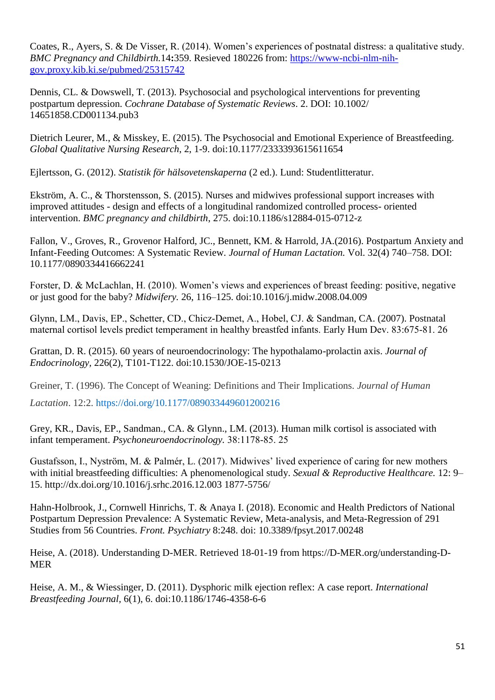[Coates, R.](https://www-ncbi-nlm-nih-gov.proxy.kib.ki.se/pubmed/?term=Coates%20R%5BAuthor%5D&cauthor=true&cauthor_uid=25315742), [Ayers, S.](https://www-ncbi-nlm-nih-gov.proxy.kib.ki.se/pubmed/?term=Ayers%20S%5BAuthor%5D&cauthor=true&cauthor_uid=25315742) & De Visser, R. (2014). Women's experiences of postnatal distress: a qualitative study. *BMC Pregnancy and Childbirth.*14**:**359. Resieved 180226 from: [https://www-ncbi-nlm-nih](https://www-ncbi-nlm-nih-gov.proxy.kib.ki.se/pubmed/25315742)[gov.proxy.kib.ki.se/pubmed/25315742](https://www-ncbi-nlm-nih-gov.proxy.kib.ki.se/pubmed/25315742)

Dennis, CL. & Dowswell, T. (2013). Psychosocial and psychological interventions for preventing postpartum depression. *Cochrane Database of Systematic Reviews*. 2. DOI: 10.1002/ 14651858.CD001134.pub3

Dietrich Leurer, M., & Misskey, E. (2015). The Psychosocial and Emotional Experience of Breastfeeding. *Global Qualitative Nursing Research*, 2, 1-9. doi:10.1177/2333393615611654

Ejlertsson, G. (2012). *Statistik för hälsovetenskaperna* (2 ed.). Lund: Studentlitteratur.

Ekström, A. C., & Thorstensson, S. (2015). Nurses and midwives professional support increases with improved attitudes - design and effects of a longitudinal randomized controlled process- oriented intervention. *BMC pregnancy and childbirth*, 275. doi:10.1186/s12884-015-0712-z

Fallon, V., Groves, R., Grovenor Halford, JC., Bennett, KM. & Harrold, JA.(2016). Postpartum Anxiety and Infant-Feeding Outcomes: A Systematic Review. *Journal of Human Lactation.* Vol. 32(4) 740–758. DOI: 10.1177/0890334416662241

Forster, D. & McLachlan, H. (2010). Women's views and experiences of breast feeding: positive, negative or just good for the baby? *Midwifery.* 26, 116–125. doi:10.1016/j.midw.2008.04.009

Glynn, LM., Davis, EP., Schetter, CD., Chicz-Demet, A., Hobel, CJ. & Sandman, CA. (2007). Postnatal maternal cortisol levels predict temperament in healthy breastfed infants. Early Hum Dev. 83:675‑81. 26

Grattan, D. R. (2015). 60 years of neuroendocrinology: The hypothalamo-prolactin axis. *Journal of Endocrinology,* 226(2), T101-T122. doi:10.1530/JOE-15-0213

Greiner, T. (1996). The Concept of Weaning: Definitions and Their Implications. *Journal of Human* 

*Lactation*. 12:2. [https://doi.org/10.1177/089033449601200216](https://doi.org/10.1177%2F089033449601200216)

Grey, KR., Davis, EP., Sandman., CA. & Glynn., LM. (2013). Human milk cortisol is associated with infant temperament. *Psychoneuroendocrinology.* 38:1178‑85. 25

Gustafsson, I., Nyström, M. & Palmér, L. (2017). Midwives' lived experience of caring for new mothers with initial breastfeeding difficulties: A phenomenological study. *Sexual & Reproductive Healthcare.* 12: 9– 15. http://dx.doi.org/10.1016/j.srhc.2016.12.003 1877-5756/

Hahn-Holbrook, J., Cornwell Hinrichs, T. & Anaya I. (2018). Economic and Health Predictors of National Postpartum Depression Prevalence: A Systematic Review, Meta-analysis, and Meta-Regression of 291 Studies from 56 Countries. *Front. Psychiatry* 8:248. doi: 10.3389/fpsyt.2017.00248

Heise, A. (2018). Understanding D-MER. Retrieved 18-01-19 from https://D-MER.org/understanding-D-MER

Heise, A. M., & Wiessinger, D. (2011). Dysphoric milk ejection reflex: A case report. *International Breastfeeding Journal,* 6(1), 6. doi:10.1186/1746-4358-6-6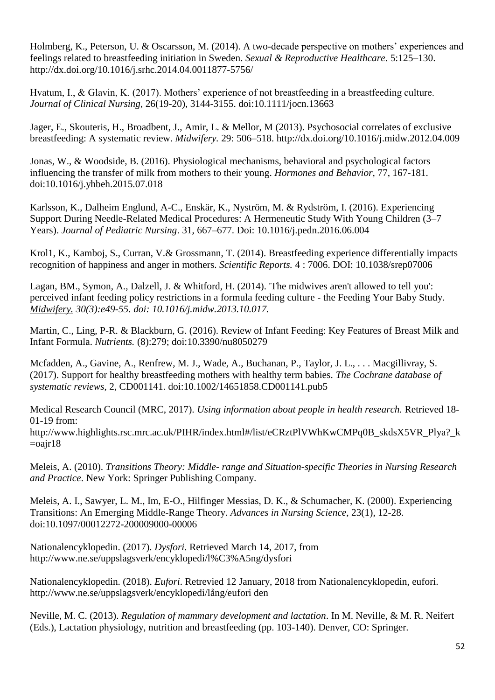Holmberg, K., Peterson, U. & Oscarsson, M. (2014). A two-decade perspective on mothers' experiences and feelings related to breastfeeding initiation in Sweden. *Sexual & Reproductive Healthcare*. 5:125–130. http://dx.doi.org/10.1016/j.srhc.2014.04.0011877-5756/

Hvatum, I., & Glavin, K. (2017). Mothers' experience of not breastfeeding in a breastfeeding culture. *Journal of Clinical Nursing*, 26(19-20), 3144-3155. doi:10.1111/jocn.13663

Jager, E., Skouteris, H., Broadbent, J., Amir, L. & Mellor, M (2013). Psychosocial correlates of exclusive breastfeeding: A systematic review. *Midwifery.* 29: 506–518. http://dx.doi.org/10.1016/j.midw.2012.04.009

Jonas, W., & Woodside, B. (2016). Physiological mechanisms, behavioral and psychological factors influencing the transfer of milk from mothers to their young. *Hormones and Behavior,* 77, 167-181. doi:10.1016/j.yhbeh.2015.07.018

Karlsson, K., Dalheim Englund, A-C., Enskär, K., Nyström, M. & Rydström, I. (2016). Experiencing Support During Needle-Related Medical Procedures: A Hermeneutic Study With Young Children (3–7 Years). *Journal of Pediatric Nursing*. 31, 667–677. Doi: 10.1016/j.pedn.2016.06.004

Krol1, K., Kamboj, S., Curran, V.& Grossmann, T. (2014). Breastfeeding experience differentially impacts recognition of happiness and anger in mothers. *Scientific Reports.* 4 : 7006. DOI: 10.1038/srep07006

Lagan, BM., Symon, A., Dalzell, J. & Whitford, H. (2014). 'The midwives aren't allowed to tell you': perceived infant feeding policy restrictions in a formula feeding culture - the Feeding Your Baby Study. *[Midwifery.](https://www-ncbi-nlm-nih-gov.proxy.kib.ki.se/pubmed/24238979) 30(3):e49-55. doi: 10.1016/j.midw.2013.10.017.* 

Martin, C., Ling, P-R. & Blackburn, G. (2016). Review of Infant Feeding: Key Features of Breast Milk and Infant Formula. *Nutrients.* (8):279; doi:10.3390/nu8050279

Mcfadden, A., Gavine, A., Renfrew, M. J., Wade, A., Buchanan, P., Taylor, J. L., . . . Macgillivray, S. (2017). Support for healthy breastfeeding mothers with healthy term babies. *The Cochrane database of systematic reviews*, 2, CD001141. doi:10.1002/14651858.CD001141.pub5

Medical Research Council (MRC, 2017). *Using information about people in health research.* Retrieved 18- 01-19 from:

http://www.highlights.rsc.mrc.ac.uk/PIHR/index.html#/list/eCRztPlVWhKwCMPq0B\_skdsX5VR\_Plya?\_k  $=$ oajr18

Meleis, A. (2010). *Transitions Theory: Middle- range and Situation-specific Theories in Nursing Research and Practice*. New York: Springer Publishing Company.

Meleis, A. I., Sawyer, L. M., Im, E-O., Hilfinger Messias, D. K., & Schumacher, K. (2000). Experiencing Transitions: An Emerging Middle-Range Theory. *Advances in Nursing Science*, 23(1), 12-28. doi:10.1097/00012272-200009000-00006

Nationalencyklopedin. (2017). *Dysfori.* Retrieved March 14, 2017, from http://www.ne.se/uppslagsverk/encyklopedi/l%C3%A5ng/dysfori

Nationalencyklopedin. (2018). *Eufori*. Retrevied 12 January, 2018 from Nationalencyklopedin, eufori. http://www.ne.se/uppslagsverk/encyklopedi/lång/eufori den

Neville, M. C. (2013). *Regulation of mammary development and lactation*. In M. Neville, & M. R. Neifert (Eds.), Lactation physiology, nutrition and breastfeeding (pp. 103-140). Denver, CO: Springer.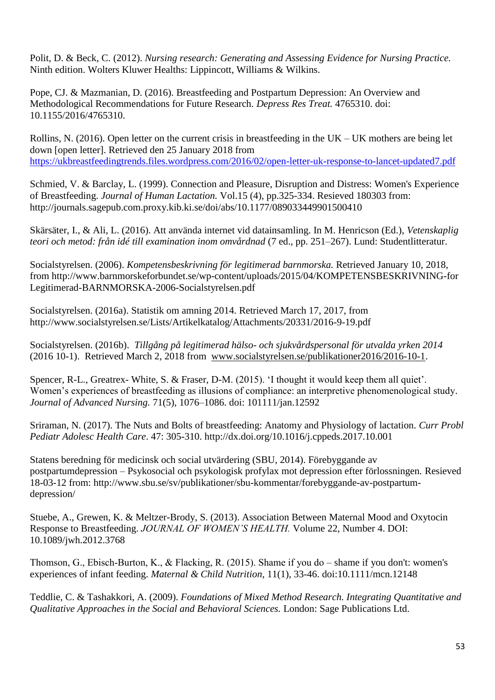Polit, D. & Beck, C. (2012). *Nursing research: Generating and Assessing Evidence for Nursing Practice.*  Ninth edition. Wolters Kluwer Healths: Lippincott, Williams & Wilkins.

Pope, CJ. & Mazmanian, D. (2016). Breastfeeding and Postpartum Depression: An Overview and Methodological Recommendations for Future Research. *[Depress Res Treat.](https://www-ncbi-nlm-nih-gov.proxy.kib.ki.se/pubmed/27148457)* 4765310. doi: 10.1155/2016/4765310.

Rollins, N. (2016). Open letter on the current crisis in breastfeeding in the  $UK - UK$  mothers are being let down [open letter]. Retrieved den 25 January 2018 from https://ukbreastfeedingtrends.files.wordpress.com/2016/02/open-letter-uk-response-to-lancet-updated7.pdf

Schmied, V. & Barclay, L. (1999). Connection and Pleasure, Disruption and Distress: Women's Experience of Breastfeeding. *Journal of Human Lactation.* Vol.15 (4), pp.325-334. Resieved 180303 from: http://journals.sagepub.com.proxy.kib.ki.se/doi/abs/10.1177/089033449901500410

Skärsäter, I., & Ali, L. (2016). Att använda internet vid datainsamling. In M. Henricson (Ed.), *Vetenskaplig teori och metod: från idé till examination inom omvårdnad* (7 ed., pp. 251–267). Lund: Studentlitteratur.

Socialstyrelsen. (2006). *Kompetensbeskrivning för legitimerad barnmorska.* Retrieved January 10, 2018, from http://www.barnmorskeforbundet.se/wp-content/uploads/2015/04/KOMPETENSBESKRIVNING-for Legitimerad-BARNMORSKA-2006-Socialstyrelsen.pdf

Socialstyrelsen. (2016a). Statistik om amning 2014. Retrieved March 17, 2017, from http://www.socialstyrelsen.se/Lists/Artikelkatalog/Attachments/20331/2016-9-19.pdf

Socialstyrelsen. (2016b). *Tillgång på legitimerad hälso- och sjukvårdspersonal för utvalda yrken 2014* (2016 10-1). Retrieved March 2, 2018 from [www.socialstyrelsen.se/publikationer2016/2016-10-1.](http://www.socialstyrelsen.se/publikationer2016/2016-10-1)

Spencer, R-L., Greatrex- White, S. & Fraser, D-M. (2015). 'I thought it would keep them all quiet'. Women's experiences of breastfeeding as illusions of compliance: an interpretive phenomenological study. *Journal of Advanced Nursing.* 71(5), 1076–1086. doi: 101111/jan.12592

Sriraman, N. (2017). The Nuts and Bolts of breastfeeding: Anatomy and Physiology of lactation. *Curr Probl Pediatr Adolesc Health Care*. 47: 305-310. http://dx.doi.org/10.1016/j.cppeds.2017.10.001

Statens beredning för medicinsk och social utvärdering (SBU, 2014). Förebyggande av postpartumdepression – Psykosocial och psykologisk profylax mot depression efter förlossningen. Resieved 18-03-12 from: http://www.sbu.se/sv/publikationer/sbu-kommentar/forebyggande-av-postpartumdepression/

Stuebe, A., Grewen, K. & Meltzer-Brody, S. (2013). Association Between Maternal Mood and Oxytocin Response to Breastfeeding. *JOURNAL OF WOMEN'S HEALTH.* Volume 22, Number 4. DOI: 10.1089/jwh.2012.3768

Thomson, G., Ebisch‐Burton, K., & Flacking, R. (2015). Shame if you do – shame if you don't: women's experiences of infant feeding. *Maternal & Child Nutrition*, 11(1), 33-46. doi:10.1111/mcn.12148

Teddlie, C. & Tashakkori, A. (2009). *Foundations of Mixed Method Research. Integrating Quantitative and Qualitative Approaches in the Social and Behavioral Sciences.* London: Sage Publications Ltd.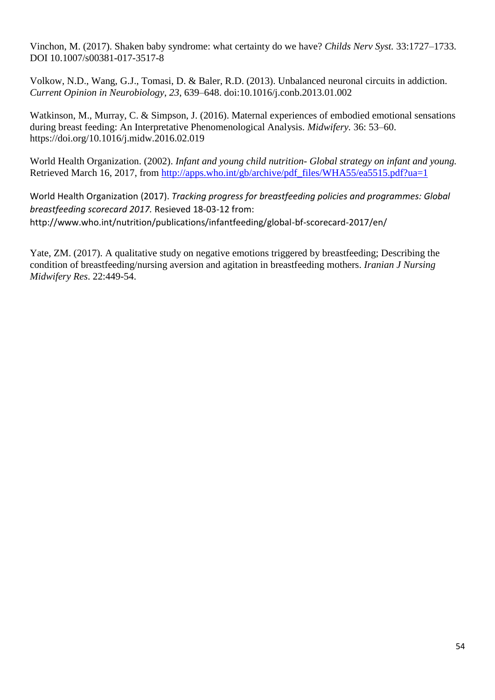Vinchon, M. (2017). Shaken baby syndrome: what certainty do we have? *Childs Nerv Syst.* 33:1727–1733. DOI 10.1007/s00381-017-3517-8

Volkow, N.D., Wang, G.J., Tomasi, D. & Baler, R.D. (2013). Unbalanced neuronal circuits in addiction. *Current Opinion in Neurobiology*, *23*, 639–648. doi:10.1016/j.conb.2013.01.002

Watkinson, M., Murray, C. & Simpson, J. (2016). Maternal experiences of embodied emotional sensations during breast feeding: An Interpretative Phenomenological Analysis. *Midwifery.* 36: 53–60. https://doi.org/10.1016/j.midw.2016.02.019

World Health Organization. (2002). *Infant and young child nutrition- Global strategy on infant and young.* Retrieved March 16, 2017, from [http://apps.who.int/gb/archive/pdf\\_files/WHA55/ea5515.pdf?ua=1](http://apps.who.int/gb/archive/pdf_files/WHA55/ea5515.pdf?ua=1)

World Health Organization (2017). *Tracking progress for breastfeeding policies and programmes: Global breastfeeding scorecard 2017.* Resieved 18-03-12 from: http://www.who.int/nutrition/publications/infantfeeding/global-bf-scorecard-2017/en/

Yate, ZM. (2017). A qualitative study on negative emotions triggered by breastfeeding; Describing the condition of breastfeeding/nursing aversion and agitation in breastfeeding mothers. *Iranian J Nursing Midwifery Res*. 22:449-54.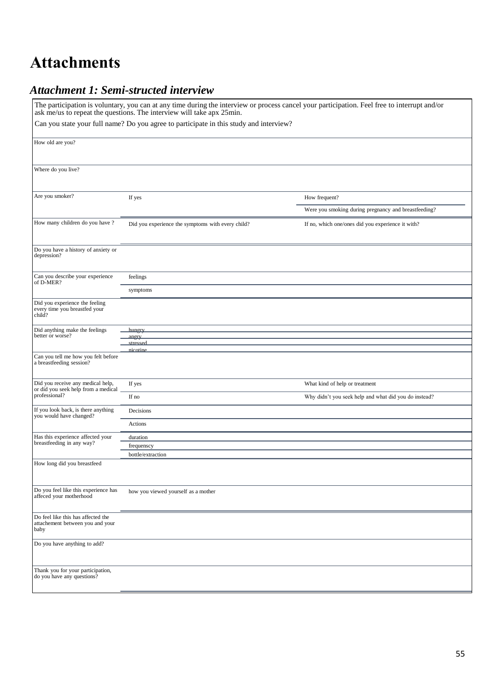## **Attachments**

### *Attachment 1: Semi-structed interview*

|                                                                                | ask me/us to repeat the questions. The interview will take apx 25min.                  | The participation is voluntary, you can at any time during the interview or process cancel your participation. Feel free to interrupt and/or |
|--------------------------------------------------------------------------------|----------------------------------------------------------------------------------------|----------------------------------------------------------------------------------------------------------------------------------------------|
|                                                                                | Can you state your full name? Do you agree to participate in this study and interview? |                                                                                                                                              |
| How old are you?                                                               |                                                                                        |                                                                                                                                              |
| Where do you live?                                                             |                                                                                        |                                                                                                                                              |
|                                                                                |                                                                                        |                                                                                                                                              |
| Are you smoker?                                                                | If yes                                                                                 | How frequent?                                                                                                                                |
|                                                                                |                                                                                        | Were you smoking during pregnancy and breastfeeding?                                                                                         |
| How many children do you have ?                                                | Did you experience the symptoms with every child?                                      | If no, which one/ones did you experience it with?                                                                                            |
| Do you have a history of anxiety or<br>depression?                             |                                                                                        |                                                                                                                                              |
| Can you describe your experience<br>of D-MER?                                  | feelings                                                                               |                                                                                                                                              |
|                                                                                | symptoms                                                                               |                                                                                                                                              |
| Did you experience the feeling<br>every time you breastfed your<br>child?      |                                                                                        |                                                                                                                                              |
| Did anything make the feelings                                                 | <u>hungry</u>                                                                          |                                                                                                                                              |
| better or worse?                                                               | angry<br>stressed                                                                      |                                                                                                                                              |
| Can you tell me how you felt before<br>a breastfeeding session?                | nicotine                                                                               |                                                                                                                                              |
| Did you receive any medical help,<br>or did you seek help from a medical       | If yes                                                                                 | What kind of help or treatment                                                                                                               |
| professional?                                                                  | If no                                                                                  | Why didn't you seek help and what did you do instead?                                                                                        |
| If you look back, is there anything<br>you would have changed?                 | Decisions                                                                              |                                                                                                                                              |
|                                                                                | Actions                                                                                |                                                                                                                                              |
| Has this experience affected your<br>breastfeeding in any way?                 | duration                                                                               |                                                                                                                                              |
|                                                                                | frequenscy                                                                             |                                                                                                                                              |
| How long did you breastfeed                                                    | bottle/extraction                                                                      |                                                                                                                                              |
| Do you feel like this experience has<br>affeced your motherhood                | how you viewed yourself as a mother                                                    |                                                                                                                                              |
| Do feel like this has affected the<br>attachement between you and your<br>baby |                                                                                        |                                                                                                                                              |
| Do you have anything to add?                                                   |                                                                                        |                                                                                                                                              |
| Thank you for your participation,<br>do you have any questions?                |                                                                                        |                                                                                                                                              |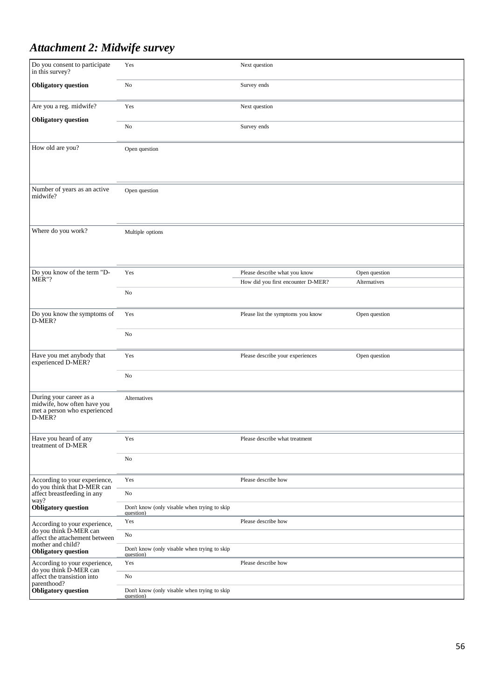### *Attachment 2: Midwife survey*

| Do you consent to participate<br>in this survey?                                                 | Yes                                                       | Next question                      |               |
|--------------------------------------------------------------------------------------------------|-----------------------------------------------------------|------------------------------------|---------------|
| <b>Obligatory</b> question                                                                       | No                                                        | Survey ends                        |               |
| Are you a reg. midwife?                                                                          | Yes                                                       | Next question                      |               |
| <b>Obligatory</b> question                                                                       | No                                                        | Survey ends                        |               |
| How old are you?                                                                                 | Open question                                             |                                    |               |
| Number of years as an active<br>midwife?                                                         | Open question                                             |                                    |               |
| Where do you work?                                                                               | Multiple options                                          |                                    |               |
| Do you know of the term "D-                                                                      | Yes                                                       | Please describe what you know      | Open question |
| MER"?                                                                                            |                                                           | How did you first encounter D-MER? | Alternatives  |
|                                                                                                  | No                                                        |                                    |               |
| Do you know the symptoms of<br>D-MER?                                                            | Yes                                                       | Please list the symptoms you know  | Open question |
|                                                                                                  | No                                                        |                                    |               |
| Have you met anybody that<br>experienced D-MER?                                                  | Yes                                                       | Please describe your experiences   | Open question |
|                                                                                                  | No                                                        |                                    |               |
| During your career as a<br>midwife, how often have you<br>met a person who experienced<br>D-MER? | Alternatives                                              |                                    |               |
| Have you heard of any<br>treatment of D-MER                                                      | Yes                                                       | Please describe what treatment     |               |
|                                                                                                  | No                                                        |                                    |               |
| According to your experience,                                                                    | Yes                                                       | Please describe how                |               |
| do you think that D-MER can<br>affect breastfeeding in any<br>way?                               | No                                                        |                                    |               |
| Obligatory question                                                                              | Don't know (only visable when trying to skip<br>question) |                                    |               |
| According to your experience,                                                                    | Yes                                                       | Please describe how                |               |
| do you think D-MER can<br>affect the attachement between                                         | No                                                        |                                    |               |
| mother and child?<br><b>Obligatory</b> question                                                  | Don't know (only visable when trying to skip<br>question) |                                    |               |
| According to your experience,                                                                    | Yes                                                       | Please describe how                |               |
| do you think D-MER can<br>affect the transistion into                                            | No                                                        |                                    |               |
| parenthood?<br><b>Obligatory</b> question                                                        | Don't know (only visable when trying to skip<br>question) |                                    |               |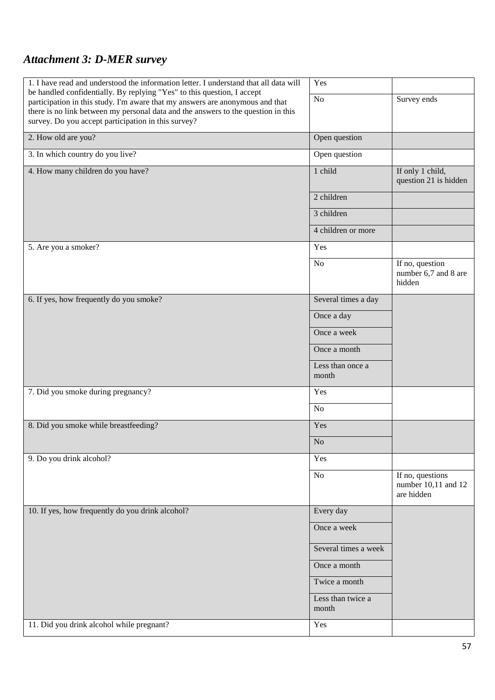### *Attachment 3: D-MER survey*

| 1. I have read and understood the information letter. I understand that all data will<br>be handled confidentially. By replying "Yes" to this question, I accept                                                          | Yes                       |                                                       |
|---------------------------------------------------------------------------------------------------------------------------------------------------------------------------------------------------------------------------|---------------------------|-------------------------------------------------------|
| participation in this study. I'm aware that my answers are anonymous and that<br>there is no link between my personal data and the answers to the question in this<br>survey. Do you accept participation in this survey? | No                        | Survey ends                                           |
| 2. How old are you?                                                                                                                                                                                                       | Open question             |                                                       |
| 3. In which country do you live?                                                                                                                                                                                          | Open question             |                                                       |
| 4. How many children do you have?                                                                                                                                                                                         | 1 child                   | If only 1 child,<br>question 21 is hidden             |
|                                                                                                                                                                                                                           | 2 children                |                                                       |
|                                                                                                                                                                                                                           | 3 children                |                                                       |
|                                                                                                                                                                                                                           | 4 children or more        |                                                       |
| 5. Are you a smoker?                                                                                                                                                                                                      | Yes                       |                                                       |
|                                                                                                                                                                                                                           | N <sub>o</sub>            | If no, question<br>number 6,7 and 8 are<br>hidden     |
| 6. If yes, how frequently do you smoke?                                                                                                                                                                                   | Several times a day       |                                                       |
|                                                                                                                                                                                                                           | Once a day                |                                                       |
|                                                                                                                                                                                                                           | Once a week               |                                                       |
|                                                                                                                                                                                                                           | Once a month              |                                                       |
|                                                                                                                                                                                                                           | Less than once a<br>month |                                                       |
| 7. Did you smoke during pregnancy?                                                                                                                                                                                        | Yes                       |                                                       |
|                                                                                                                                                                                                                           | N <sub>o</sub>            |                                                       |
| 8. Did you smoke while breastfeeding?                                                                                                                                                                                     | Yes                       |                                                       |
|                                                                                                                                                                                                                           | No                        |                                                       |
| 9. Do you drink alcohol?                                                                                                                                                                                                  | Yes                       |                                                       |
|                                                                                                                                                                                                                           | N <sub>o</sub>            | If no, questions<br>number 10,11 and 12<br>are hidden |
| 10. If yes, how frequently do you drink alcohol?                                                                                                                                                                          | Every day                 |                                                       |
|                                                                                                                                                                                                                           | Once a week               |                                                       |
|                                                                                                                                                                                                                           | Several times a week      |                                                       |
|                                                                                                                                                                                                                           | Once a month              |                                                       |
|                                                                                                                                                                                                                           | Twice a month             |                                                       |
|                                                                                                                                                                                                                           | Less than twice a         |                                                       |
|                                                                                                                                                                                                                           | month                     |                                                       |
| 11. Did you drink alcohol while pregnant?                                                                                                                                                                                 | Yes                       |                                                       |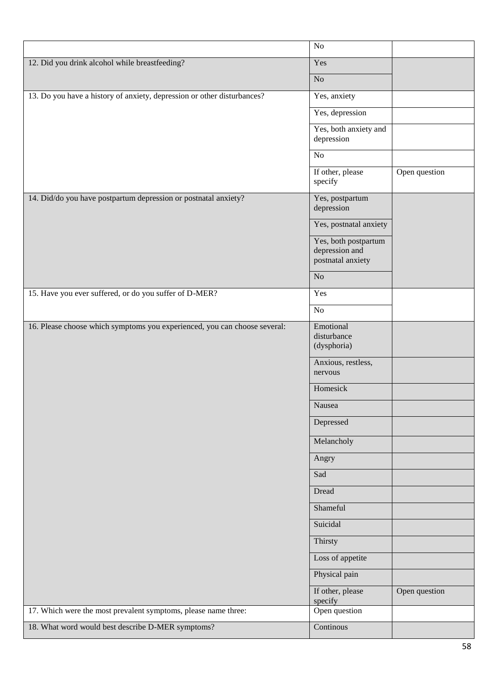|                                                                           | No                                                          |               |
|---------------------------------------------------------------------------|-------------------------------------------------------------|---------------|
| 12. Did you drink alcohol while breastfeeding?                            | Yes                                                         |               |
|                                                                           | No                                                          |               |
| 13. Do you have a history of anxiety, depression or other disturbances?   | Yes, anxiety                                                |               |
|                                                                           | Yes, depression                                             |               |
|                                                                           | Yes, both anxiety and<br>depression                         |               |
|                                                                           | No                                                          |               |
|                                                                           | If other, please<br>specify                                 | Open question |
| 14. Did/do you have postpartum depression or postnatal anxiety?           | Yes, postpartum<br>depression                               |               |
|                                                                           | Yes, postnatal anxiety                                      |               |
|                                                                           | Yes, both postpartum<br>depression and<br>postnatal anxiety |               |
|                                                                           | No                                                          |               |
| 15. Have you ever suffered, or do you suffer of D-MER?                    | Yes                                                         |               |
|                                                                           | $\rm No$                                                    |               |
| 16. Please choose which symptoms you experienced, you can choose several: | Emotional<br>disturbance<br>(dysphoria)                     |               |
|                                                                           | Anxious, restless,<br>nervous                               |               |
|                                                                           | Homesick                                                    |               |
|                                                                           | Nausea                                                      |               |
|                                                                           | Depressed                                                   |               |
|                                                                           | Melancholy                                                  |               |
|                                                                           | Angry                                                       |               |
|                                                                           | Sad                                                         |               |
|                                                                           | Dread                                                       |               |
|                                                                           | Shameful                                                    |               |
|                                                                           | Suicidal                                                    |               |
|                                                                           | Thirsty                                                     |               |
|                                                                           | Loss of appetite                                            |               |
|                                                                           | Physical pain                                               |               |
|                                                                           | If other, please<br>specify                                 | Open question |
| 17. Which were the most prevalent symptoms, please name three:            | Open question                                               |               |
| 18. What word would best describe D-MER symptoms?                         | Continous                                                   |               |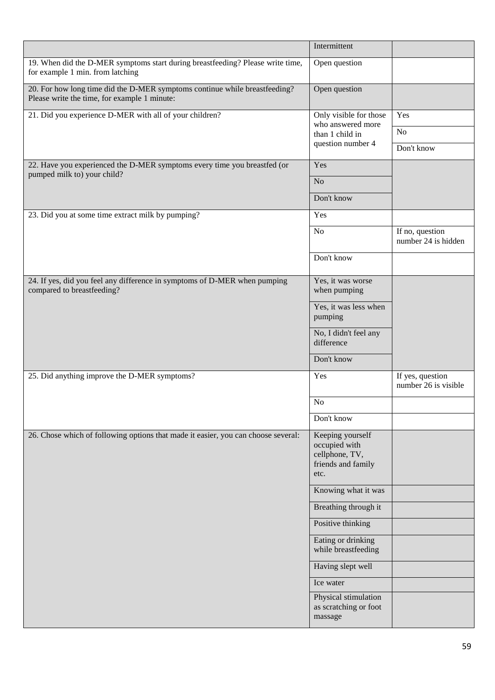|                                                                                                                            | Intermittent                                                                      |                                          |
|----------------------------------------------------------------------------------------------------------------------------|-----------------------------------------------------------------------------------|------------------------------------------|
| 19. When did the D-MER symptoms start during breastfeeding? Please write time,<br>for example 1 min. from latching         | Open question                                                                     |                                          |
| 20. For how long time did the D-MER symptoms continue while breastfeeding?<br>Please write the time, for example 1 minute: | Open question                                                                     |                                          |
| 21. Did you experience D-MER with all of your children?                                                                    | Only visible for those<br>who answered more                                       | Yes                                      |
|                                                                                                                            | than 1 child in                                                                   | $\rm No$                                 |
|                                                                                                                            | question number 4                                                                 | Don't know                               |
| 22. Have you experienced the D-MER symptoms every time you breastfed (or<br>pumped milk to) your child?                    | Yes                                                                               |                                          |
|                                                                                                                            | No                                                                                |                                          |
|                                                                                                                            | Don't know                                                                        |                                          |
| 23. Did you at some time extract milk by pumping?                                                                          | Yes                                                                               |                                          |
|                                                                                                                            | No                                                                                | If no, question<br>number 24 is hidden   |
|                                                                                                                            | Don't know                                                                        |                                          |
| 24. If yes, did you feel any difference in symptoms of D-MER when pumping<br>compared to breastfeeding?                    | Yes, it was worse<br>when pumping                                                 |                                          |
|                                                                                                                            | Yes, it was less when<br>pumping                                                  |                                          |
|                                                                                                                            | No, I didn't feel any<br>difference                                               |                                          |
|                                                                                                                            | Don't know                                                                        |                                          |
| 25. Did anything improve the D-MER symptoms?                                                                               | Yes                                                                               | If yes, question<br>number 26 is visible |
|                                                                                                                            | N <sub>o</sub>                                                                    |                                          |
|                                                                                                                            | Don't know                                                                        |                                          |
| 26. Chose which of following options that made it easier, you can choose several:                                          | Keeping yourself<br>occupied with<br>cellphone, TV,<br>friends and family<br>etc. |                                          |
|                                                                                                                            | Knowing what it was                                                               |                                          |
|                                                                                                                            | Breathing through it                                                              |                                          |
|                                                                                                                            | Positive thinking                                                                 |                                          |
|                                                                                                                            | Eating or drinking<br>while breastfeeding                                         |                                          |
|                                                                                                                            | Having slept well                                                                 |                                          |
|                                                                                                                            | Ice water                                                                         |                                          |
|                                                                                                                            | Physical stimulation<br>as scratching or foot<br>massage                          |                                          |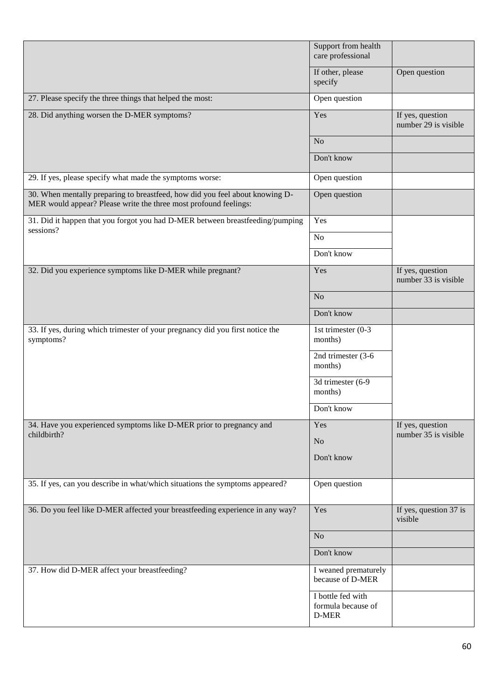|                                                                                                                                                  | Support from health<br>care professional         |                                          |
|--------------------------------------------------------------------------------------------------------------------------------------------------|--------------------------------------------------|------------------------------------------|
|                                                                                                                                                  | If other, please<br>specify                      | Open question                            |
| 27. Please specify the three things that helped the most:                                                                                        | Open question                                    |                                          |
| 28. Did anything worsen the D-MER symptoms?                                                                                                      | Yes                                              | If yes, question<br>number 29 is visible |
|                                                                                                                                                  | N <sub>o</sub>                                   |                                          |
|                                                                                                                                                  | Don't know                                       |                                          |
| 29. If yes, please specify what made the symptoms worse:                                                                                         | Open question                                    |                                          |
| 30. When mentally preparing to breastfeed, how did you feel about knowing D-<br>MER would appear? Please write the three most profound feelings: | Open question                                    |                                          |
| 31. Did it happen that you forgot you had D-MER between breastfeeding/pumping                                                                    | Yes                                              |                                          |
| sessions?                                                                                                                                        | N <sub>o</sub>                                   |                                          |
|                                                                                                                                                  | Don't know                                       |                                          |
| 32. Did you experience symptoms like D-MER while pregnant?                                                                                       | Yes                                              | If yes, question<br>number 33 is visible |
|                                                                                                                                                  | N <sub>o</sub>                                   |                                          |
|                                                                                                                                                  | Don't know                                       |                                          |
| 33. If yes, during which trimester of your pregnancy did you first notice the<br>symptoms?                                                       | $\overline{1}$ st trimester (0-3<br>months)      |                                          |
|                                                                                                                                                  | 2nd trimester (3-6<br>months)                    |                                          |
|                                                                                                                                                  | 3d trimester (6-9<br>months)                     |                                          |
|                                                                                                                                                  | Don't know                                       |                                          |
| 34. Have you experienced symptoms like D-MER prior to pregnancy and<br>childbirth?                                                               | Yes                                              | If yes, question<br>number 35 is visible |
|                                                                                                                                                  | N <sub>o</sub>                                   |                                          |
|                                                                                                                                                  | Don't know                                       |                                          |
| 35. If yes, can you describe in what/which situations the symptoms appeared?                                                                     | Open question                                    |                                          |
| 36. Do you feel like D-MER affected your breastfeeding experience in any way?                                                                    | Yes                                              | If yes, question 37 is<br>visible        |
|                                                                                                                                                  | N <sub>o</sub>                                   |                                          |
|                                                                                                                                                  | Don't know                                       |                                          |
| 37. How did D-MER affect your breastfeeding?                                                                                                     | I weaned prematurely<br>because of D-MER         |                                          |
|                                                                                                                                                  | I bottle fed with<br>formula because of<br>D-MER |                                          |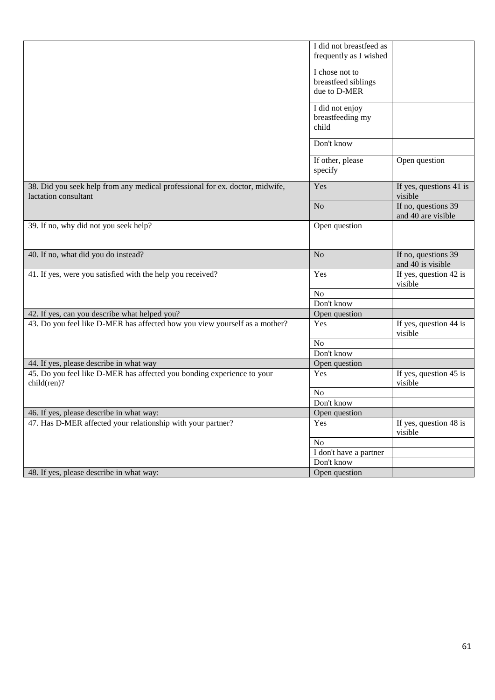|                                                                              | I did not breastfeed as |                         |
|------------------------------------------------------------------------------|-------------------------|-------------------------|
|                                                                              |                         |                         |
|                                                                              | frequently as I wished  |                         |
|                                                                              | I chose not to          |                         |
|                                                                              | breastfeed siblings     |                         |
|                                                                              | due to D-MER            |                         |
|                                                                              |                         |                         |
|                                                                              | I did not enjoy         |                         |
|                                                                              | breastfeeding my        |                         |
|                                                                              | child                   |                         |
|                                                                              |                         |                         |
|                                                                              | Don't know              |                         |
|                                                                              | If other, please        | Open question           |
|                                                                              | specify                 |                         |
|                                                                              |                         |                         |
| 38. Did you seek help from any medical professional for ex. doctor, midwife, | Yes                     | If yes, questions 41 is |
| lactation consultant                                                         |                         | visible                 |
|                                                                              | No                      | If no, questions 39     |
|                                                                              |                         | and 40 are visible      |
| 39. If no, why did not you seek help?                                        | Open question           |                         |
|                                                                              |                         |                         |
|                                                                              |                         |                         |
| 40. If no, what did you do instead?                                          | No                      | If no, questions 39     |
|                                                                              |                         | and 40 is visible       |
| 41. If yes, were you satisfied with the help you received?                   | Yes                     | If yes, question 42 is  |
|                                                                              |                         | visible                 |
|                                                                              | N <sub>o</sub>          |                         |
|                                                                              | Don't know              |                         |
| 42. If yes, can you describe what helped you?                                | Open question           |                         |
| 43. Do you feel like D-MER has affected how you view yourself as a mother?   | Yes                     | If yes, question 44 is  |
|                                                                              |                         | visible                 |
|                                                                              | No                      |                         |
|                                                                              | Don't know              |                         |
| 44. If yes, please describe in what way                                      | Open question           |                         |
| 45. Do you feel like D-MER has affected you bonding experience to your       | Yes                     | If yes, question 45 is  |
| child(ren)?                                                                  |                         | visible                 |
|                                                                              | N <sub>o</sub>          |                         |
|                                                                              | Don't know              |                         |
| 46. If yes, please describe in what way:                                     | Open question           |                         |
| 47. Has D-MER affected your relationship with your partner?                  | Yes                     | If yes, question 48 is  |
|                                                                              |                         | visible                 |
|                                                                              | No                      |                         |
|                                                                              | I don't have a partner  |                         |
|                                                                              | Don't know              |                         |
| 48. If yes, please describe in what way:                                     | Open question           |                         |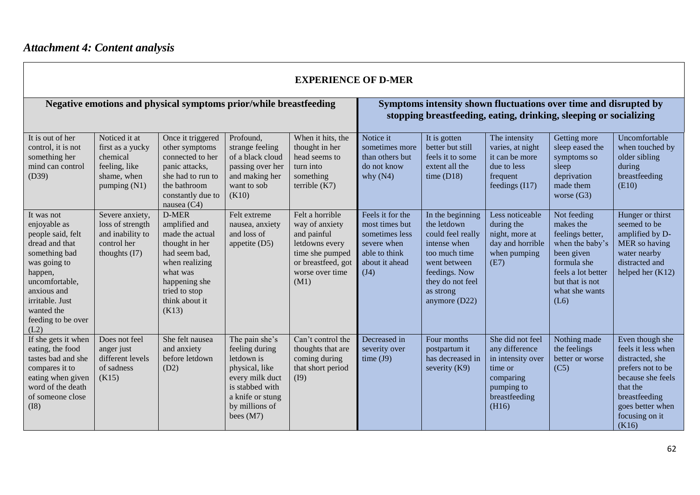| <b>EXPERIENCE OF D-MER</b>                                                                                                                                                                                    |                                                                                                 |                                                                                                                                                                         |                                                                                                                                                             |                                                                                                                                        |                                                                                                                |                                                                                                                                                                            |                                                                                                                         |                                                                                                                                                                 |                                                                                                                                                                                |  |
|---------------------------------------------------------------------------------------------------------------------------------------------------------------------------------------------------------------|-------------------------------------------------------------------------------------------------|-------------------------------------------------------------------------------------------------------------------------------------------------------------------------|-------------------------------------------------------------------------------------------------------------------------------------------------------------|----------------------------------------------------------------------------------------------------------------------------------------|----------------------------------------------------------------------------------------------------------------|----------------------------------------------------------------------------------------------------------------------------------------------------------------------------|-------------------------------------------------------------------------------------------------------------------------|-----------------------------------------------------------------------------------------------------------------------------------------------------------------|--------------------------------------------------------------------------------------------------------------------------------------------------------------------------------|--|
|                                                                                                                                                                                                               |                                                                                                 | Negative emotions and physical symptoms prior/while breastfeeding                                                                                                       |                                                                                                                                                             |                                                                                                                                        |                                                                                                                |                                                                                                                                                                            |                                                                                                                         | Symptoms intensity shown fluctuations over time and disrupted by<br>stopping breastfeeding, eating, drinking, sleeping or socializing                           |                                                                                                                                                                                |  |
| It is out of her<br>control, it is not<br>something her<br>mind can control<br>(D39)                                                                                                                          | Noticed it at<br>first as a yucky<br>chemical<br>feeling, like<br>shame, when<br>pumping $(N1)$ | Once it triggered<br>other symptoms<br>connected to her<br>panic attacks,<br>she had to run to<br>the bathroom<br>constantly due to<br>nausea $(C4)$                    | Profound.<br>strange feeling<br>of a black cloud<br>passing over her<br>and making her<br>want to sob<br>(K10)                                              | When it hits, the<br>thought in her<br>head seems to<br>turn into<br>something<br>terrible $(K7)$                                      | Notice it<br>sometimes more<br>than others but<br>do not know<br>why $(N4)$                                    | It is gotten<br>better but still<br>feels it to some<br>extent all the<br>time $(D18)$                                                                                     | The intensity<br>varies, at night<br>it can be more<br>due to less<br>frequent<br>feedings $(117)$                      | Getting more<br>sleep eased the<br>symptoms so<br>sleep<br>deprivation<br>made them<br>worse $(G3)$                                                             | Uncomfortable<br>when touched by<br>older sibling<br>during<br>breastfeeding<br>(E10)                                                                                          |  |
| It was not<br>enjoyable as<br>people said, felt<br>dread and that<br>something bad<br>was going to<br>happen,<br>uncomfortable,<br>anxious and<br>irritable. Just<br>wanted the<br>feeding to be over<br>(L2) | Severe anxiety,<br>loss of strength<br>and inability to<br>control her<br>thoughts $(I7)$       | D-MER<br>amplified and<br>made the actual<br>thought in her<br>had seem bad,<br>when realizing<br>what was<br>happening she<br>tried to stop<br>think about it<br>(K13) | Felt extreme<br>nausea, anxiety<br>and loss of<br>appetite $(D5)$                                                                                           | Felt a horrible<br>way of anxiety<br>and painful<br>letdowns every<br>time she pumped<br>or breastfeed, got<br>worse over time<br>(M1) | Feels it for the<br>most times but<br>sometimes less<br>severe when<br>able to think<br>about it ahead<br>(J4) | In the beginning<br>the letdown<br>could feel really<br>intense when<br>too much time<br>went between<br>feedings. Now<br>they do not feel<br>as strong<br>anymore $(D22)$ | Less noticeable<br>during the<br>night, more at<br>day and horrible<br>when pumping<br>(E7)                             | Not feeding<br>makes the<br>feelings better,<br>when the baby's<br>been given<br>formula she<br>feels a lot better<br>but that is not<br>what she wants<br>(L6) | Hunger or thirst<br>seemed to be<br>amplified by D-<br>MER so having<br>water nearby<br>distracted and<br>helped her $(K12)$                                                   |  |
| If she gets it when<br>eating, the food<br>tastes bad and she<br>compares it to<br>eating when given<br>word of the death<br>of someone close<br>(I8)                                                         | Does not feel<br>anger just<br>different levels<br>of sadness<br>(K15)                          | She felt nausea<br>and anxiety<br>before letdown<br>(D2)                                                                                                                | The pain she's<br>feeling during<br>letdown is<br>physical, like<br>every milk duct<br>is stabbed with<br>a knife or stung<br>by millions of<br>bees $(M7)$ | Can't control the<br>thoughts that are<br>coming during<br>that short period<br>(I9)                                                   | Decreased in<br>severity over<br>time $(J9)$                                                                   | Four months<br>postpartum it<br>has decreased in<br>severity $(K9)$                                                                                                        | She did not feel<br>any difference<br>in intensity over<br>time or<br>comparing<br>pumping to<br>breastfeeding<br>(H16) | Nothing made<br>the feelings<br>better or worse<br>(C5)                                                                                                         | Even though she<br>feels it less when<br>distracted, she<br>prefers not to be<br>because she feels<br>that the<br>breastfeeding<br>goes better when<br>focusing on it<br>(K16) |  |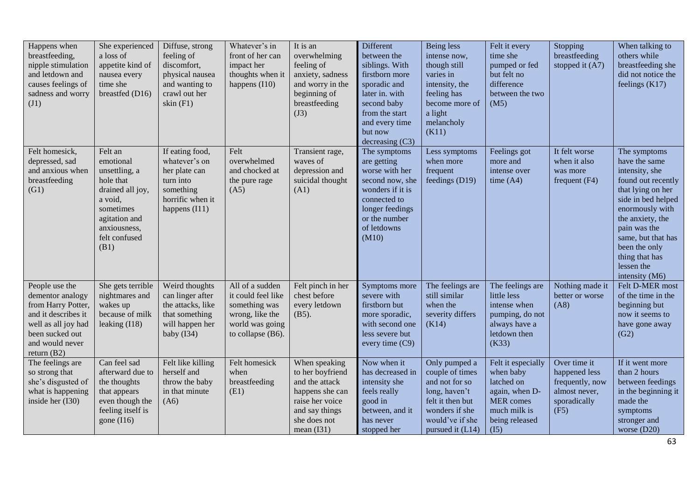| Happens when<br>breastfeeding,<br>nipple stimulation<br>and letdown and<br>causes feelings of<br>sadness and worry<br>(J1)                                    | She experienced<br>a loss of<br>appetite kind of<br>nausea every<br>time she<br>breastfed (D16)                                                          | Diffuse, strong<br>feeling of<br>discomfort,<br>physical nausea<br>and wanting to<br>crawl out her<br>skin $(F1)$  | Whatever's in<br>front of her can<br>impact her<br>thoughts when it<br>happens $(110)$                            | It is an<br>overwhelming<br>feeling of<br>anxiety, sadness<br>and worry in the<br>beginning of<br>breastfeeding<br>(J3)                     | Different<br>between the<br>siblings. With<br>firstborn more<br>sporadic and<br>later in. with<br>second baby<br>from the start<br>and every time<br>but now<br>decreasing $(C3)$ | Being less<br>intense now,<br>though still<br>varies in<br>intensity, the<br>feeling has<br>become more of<br>a light<br>melancholy<br>(K11)     | Felt it every<br>time she<br>pumped or fed<br>but felt no<br>difference<br>between the two<br>(M5)                     | Stopping<br>breastfeeding<br>stopped it (A7)                                              | When talking to<br>others while<br>breastfeeding she<br>did not notice the<br>feelings $(K17)$                                                                                                                                                                   |
|---------------------------------------------------------------------------------------------------------------------------------------------------------------|----------------------------------------------------------------------------------------------------------------------------------------------------------|--------------------------------------------------------------------------------------------------------------------|-------------------------------------------------------------------------------------------------------------------|---------------------------------------------------------------------------------------------------------------------------------------------|-----------------------------------------------------------------------------------------------------------------------------------------------------------------------------------|--------------------------------------------------------------------------------------------------------------------------------------------------|------------------------------------------------------------------------------------------------------------------------|-------------------------------------------------------------------------------------------|------------------------------------------------------------------------------------------------------------------------------------------------------------------------------------------------------------------------------------------------------------------|
| Felt homesick,<br>depressed, sad<br>and anxious when<br>breastfeeding<br>(G1)                                                                                 | Felt an<br>emotional<br>unsettling, a<br>hole that<br>drained all joy,<br>a void,<br>sometimes<br>agitation and<br>anxiousness,<br>felt confused<br>(B1) | If eating food,<br>whatever's on<br>her plate can<br>turn into<br>something<br>horrific when it<br>happens $(111)$ | Felt<br>overwhelmed<br>and chocked at<br>the pure rage<br>(A5)                                                    | Transient rage,<br>waves of<br>depression and<br>suicidal thought<br>(A1)                                                                   | The symptoms<br>are getting<br>worse with her<br>second now, she<br>wonders if it is<br>connected to<br>longer feedings<br>or the number<br>of letdowns<br>(M10)                  | Less symptoms<br>when more<br>frequent<br>feedings (D19)                                                                                         | Feelings got<br>more and<br>intense over<br>time $(A4)$                                                                | It felt worse<br>when it also<br>was more<br>frequent $(F4)$                              | The symptoms<br>have the same<br>intensity, she<br>found out recently<br>that lying on her<br>side in bed helped<br>enormously with<br>the anxiety, the<br>pain was the<br>same, but that has<br>been the only<br>thing that has<br>lessen the<br>intensity (M6) |
| People use the<br>dementor analogy<br>from Harry Potter,<br>and it describes it<br>well as all joy had<br>been sucked out<br>and would never<br>return $(B2)$ | She gets terrible<br>nightmares and<br>wakes up<br>because of milk<br>leaking $(118)$                                                                    | Weird thoughts<br>can linger after<br>the attacks, like<br>that something<br>will happen her<br>baby (I34)         | All of a sudden<br>it could feel like<br>something was<br>wrong, like the<br>world was going<br>to collapse (B6). | Felt pinch in her<br>chest before<br>every letdown<br>$(B5)$ .                                                                              | Symptoms more<br>severe with<br>firstborn but<br>more sporadic,<br>with second one<br>less severe but<br>every time $(C9)$                                                        | The feelings are<br>still similar<br>when the<br>severity differs<br>(K14)                                                                       | The feelings are<br>little less<br>intense when<br>pumping, do not<br>always have a<br>letdown then<br>(K33)           | Nothing made it<br>better or worse<br>(AB)                                                | Felt D-MER most<br>of the time in the<br>beginning but<br>now it seems to<br>have gone away<br>(G2)                                                                                                                                                              |
| The feelings are<br>so strong that<br>she's disgusted of<br>what is happening<br>inside her (I30)                                                             | Can feel sad<br>afterward due to<br>the thoughts<br>that appears<br>even though the<br>feeling itself is<br>gone $(116)$                                 | Felt like killing<br>herself and<br>throw the baby<br>in that minute<br>(A6)                                       | Felt homesick<br>when<br>breastfeeding<br>(E1)                                                                    | When speaking<br>to her boyfriend<br>and the attack<br>happens she can<br>raise her voice<br>and say things<br>she does not<br>mean $(131)$ | Now when it<br>has decreased in<br>intensity she<br>feels really<br>good in<br>between, and it<br>has never<br>stopped her                                                        | Only pumped a<br>couple of times<br>and not for so<br>long, haven't<br>felt it then but<br>wonders if she<br>would've if she<br>pursued it (L14) | Felt it especially<br>when baby<br>latched on<br>again, when D-<br>MER comes<br>much milk is<br>being released<br>(I5) | Over time it<br>happened less<br>frequently, now<br>almost never,<br>sporadically<br>(F5) | If it went more<br>than 2 hours<br>between feedings<br>in the beginning it<br>made the<br>symptoms<br>stronger and<br>worse $(D20)$                                                                                                                              |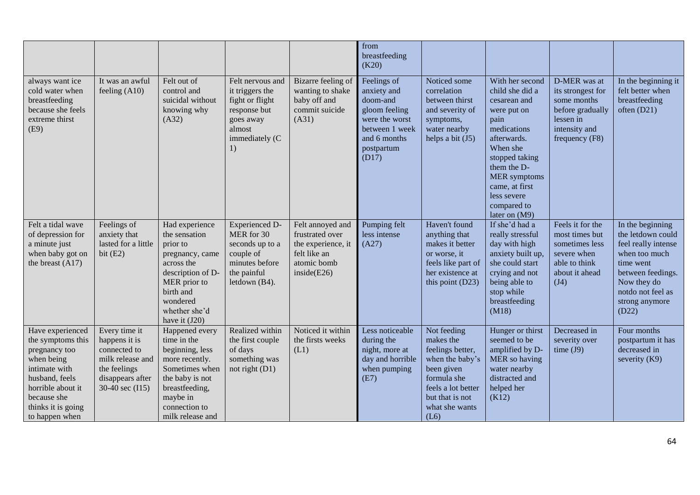|                                                                                                                                                                                     |                                                                                                                           |                                                                                                                                                                              |                                                                                                                       |                                                                                                          | from<br>breastfeeding<br>(K20)                                                                                                     |                                                                                                                                                                 |                                                                                                                                                                                                                                                |                                                                                                                      |                                                                                                                                                                                |
|-------------------------------------------------------------------------------------------------------------------------------------------------------------------------------------|---------------------------------------------------------------------------------------------------------------------------|------------------------------------------------------------------------------------------------------------------------------------------------------------------------------|-----------------------------------------------------------------------------------------------------------------------|----------------------------------------------------------------------------------------------------------|------------------------------------------------------------------------------------------------------------------------------------|-----------------------------------------------------------------------------------------------------------------------------------------------------------------|------------------------------------------------------------------------------------------------------------------------------------------------------------------------------------------------------------------------------------------------|----------------------------------------------------------------------------------------------------------------------|--------------------------------------------------------------------------------------------------------------------------------------------------------------------------------|
| always want ice<br>cold water when<br>breastfeeding<br>because she feels<br>extreme thirst<br>(E9)                                                                                  | It was an awful<br>feeling $(A10)$                                                                                        | Felt out of<br>control and<br>suicidal without<br>knowing why<br>(A32)                                                                                                       | Felt nervous and<br>it triggers the<br>fight or flight<br>response but<br>goes away<br>almost<br>immediately (C<br>1) | Bizarre feeling of<br>wanting to shake<br>baby off and<br>commit suicide<br>(A31)                        | Feelings of<br>anxiety and<br>doom-and<br>gloom feeling<br>were the worst<br>between 1 week<br>and 6 months<br>postpartum<br>(D17) | Noticed some<br>correlation<br>between thirst<br>and severity of<br>symptoms,<br>water nearby<br>helps a bit $(J5)$                                             | With her second<br>child she did a<br>cesarean and<br>were put on<br>pain<br>medications<br>afterwards.<br>When she<br>stopped taking<br>them the D-<br><b>MER</b> symptoms<br>came, at first<br>less severe<br>compared to<br>later on $(M9)$ | D-MER was at<br>its strongest for<br>some months<br>before gradually<br>lessen in<br>intensity and<br>frequency (F8) | In the beginning it<br>felt better when<br>breastfeeding<br>often (D21)                                                                                                        |
| Felt a tidal wave<br>of depression for<br>a minute just<br>when baby got on<br>the breast $(A17)$                                                                                   | Feelings of<br>anxiety that<br>lasted for a little<br>bit $(E2)$                                                          | Had experience<br>the sensation<br>prior to<br>pregnancy, came<br>across the<br>description of D-<br>MER prior to<br>birth and<br>wondered<br>whether she'd<br>have it (J20) | <b>Experienced D-</b><br>MER for 30<br>seconds up to a<br>couple of<br>minutes before<br>the painful<br>letdown (B4). | Felt annoyed and<br>frustrated over<br>the experience, it<br>felt like an<br>atomic bomb<br>inside (E26) | Pumping felt<br>less intense<br>(A27)                                                                                              | Haven't found<br>anything that<br>makes it better<br>or worse, it<br>feels like part of<br>her existence at<br>this point (D23)                                 | If she'd had a<br>really stressful<br>day with high<br>anxiety built up,<br>she could start<br>crying and not<br>being able to<br>stop while<br>breastfeeding<br>(M18)                                                                         | Feels it for the<br>most times but<br>sometimes less<br>severe when<br>able to think<br>about it ahead<br>(J4)       | In the beginning<br>the letdown could<br>feel really intense<br>when too much<br>time went<br>between feedings.<br>Now they do<br>notdo not feel as<br>strong anymore<br>(D22) |
| Have experienced<br>the symptoms this<br>pregnancy too<br>when being<br>intimate with<br>husband, feels<br>horrible about it<br>because she<br>thinks it is going<br>to happen when | Every time it<br>happens it is<br>connected to<br>milk release and<br>the feelings<br>disappears after<br>30-40 sec (I15) | Happened every<br>time in the<br>beginning, less<br>more recently.<br>Sometimes when<br>the baby is not<br>breastfeeding,<br>maybe in<br>connection to<br>milk release and   | Realized within<br>the first couple<br>of days<br>something was<br>not right $(D1)$                                   | Noticed it within<br>the firsts weeks<br>(L1)                                                            | Less noticeable<br>during the<br>night, more at<br>day and horrible<br>when pumping<br>(E7)                                        | Not feeding<br>makes the<br>feelings better,<br>when the baby's<br>been given<br>formula she<br>feels a lot better<br>but that is not<br>what she wants<br>(L6) | Hunger or thirst<br>seemed to be<br>amplified by D-<br>MER so having<br>water nearby<br>distracted and<br>helped her<br>(K12)                                                                                                                  | Decreased in<br>severity over<br>time $(J9)$                                                                         | Four months<br>postpartum it has<br>decreased in<br>severity (K9)                                                                                                              |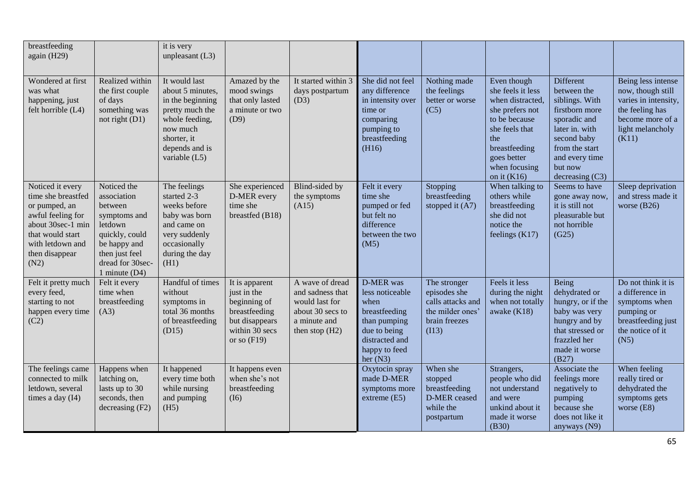| breastfeeding<br>again (H29)                                                                                                                                        |                                                                                                                                                             | it is very<br>unpleasant $(L3)$                                                                                                                            |                                                                                                                     |                                                                                                               |                                                                                                                                        |                                                                                                 |                                                                                                                                                                                     |                                                                                                                                                                                   |                                                                                                                                     |
|---------------------------------------------------------------------------------------------------------------------------------------------------------------------|-------------------------------------------------------------------------------------------------------------------------------------------------------------|------------------------------------------------------------------------------------------------------------------------------------------------------------|---------------------------------------------------------------------------------------------------------------------|---------------------------------------------------------------------------------------------------------------|----------------------------------------------------------------------------------------------------------------------------------------|-------------------------------------------------------------------------------------------------|-------------------------------------------------------------------------------------------------------------------------------------------------------------------------------------|-----------------------------------------------------------------------------------------------------------------------------------------------------------------------------------|-------------------------------------------------------------------------------------------------------------------------------------|
| Wondered at first<br>was what<br>happening, just<br>felt horrible (L4)                                                                                              | Realized within<br>the first couple<br>of days<br>something was<br>not right $(D1)$                                                                         | It would last<br>about 5 minutes,<br>in the beginning<br>pretty much the<br>whole feeding,<br>now much<br>shorter, it<br>depends and is<br>variable $(L5)$ | Amazed by the<br>mood swings<br>that only lasted<br>a minute or two<br>(D9)                                         | It started within 3<br>days postpartum<br>(D3)                                                                | She did not feel<br>any difference<br>in intensity over<br>time or<br>comparing<br>pumping to<br>breastfeeding<br>(H16)                | Nothing made<br>the feelings<br>better or worse<br>(C5)                                         | Even though<br>she feels it less<br>when distracted,<br>she prefers not<br>to be because<br>she feels that<br>the<br>breastfeeding<br>goes better<br>when focusing<br>on it $(K16)$ | Different<br>between the<br>siblings. With<br>firstborn more<br>sporadic and<br>later in. with<br>second baby<br>from the start<br>and every time<br>but now<br>decreasing $(C3)$ | Being less intense<br>now, though still<br>varies in intensity,<br>the feeling has<br>become more of a<br>light melancholy<br>(K11) |
| Noticed it every<br>time she breastfed<br>or pumped, an<br>awful feeling for<br>about 30sec-1 min<br>that would start<br>with letdown and<br>then disappear<br>(N2) | Noticed the<br>association<br>between<br>symptoms and<br>letdown<br>quickly, could<br>be happy and<br>then just feel<br>dread for 30sec-<br>1 minute $(D4)$ | The feelings<br>started 2-3<br>weeks before<br>baby was born<br>and came on<br>very suddenly<br>occasionally<br>during the day<br>(H1)                     | She experienced<br>D-MER every<br>time she<br>breastfed (B18)                                                       | Blind-sided by<br>the symptoms<br>(A15)                                                                       | Felt it every<br>time she<br>pumped or fed<br>but felt no<br>difference<br>between the two<br>(M5)                                     | Stopping<br>breastfeeding<br>stopped it $(A7)$                                                  | When talking to<br>others while<br>breastfeeding<br>she did not<br>notice the<br>feelings $(K17)$                                                                                   | Seems to have<br>gone away now,<br>it is still not<br>pleasurable but<br>not horrible<br>(G25)                                                                                    | Sleep deprivation<br>and stress made it<br>worse $(B26)$                                                                            |
| Felt it pretty much<br>every feed,<br>starting to not<br>happen every time<br>(C2)                                                                                  | Felt it every<br>time when<br>breastfeeding<br>(A3)                                                                                                         | Handful of times<br>without<br>symptoms in<br>total 36 months<br>of breastfeeding<br>(D15)                                                                 | It is apparent<br>just in the<br>beginning of<br>breastfeeding<br>but disappears<br>within 30 secs<br>or so $(F19)$ | A wave of dread<br>and sadness that<br>would last for<br>about 30 secs to<br>a minute and<br>then stop $(H2)$ | D-MER was<br>less noticeable<br>when<br>breastfeeding<br>than pumping<br>due to being<br>distracted and<br>happy to feed<br>her $(N3)$ | The stronger<br>episodes she<br>calls attacks and<br>the milder ones'<br>brain freezes<br>(113) | Feels it less<br>during the night<br>when not totally<br>awake $(K18)$                                                                                                              | Being<br>dehydrated or<br>hungry, or if the<br>baby was very<br>hungry and by<br>that stressed or<br>frazzled her<br>made it worse<br>(B27)                                       | Do not think it is<br>a difference in<br>symptoms when<br>pumping or<br>breastfeeding just<br>the notice of it<br>(N5)              |
| The feelings came<br>connected to milk<br>letdown, several<br>times a day $(I4)$                                                                                    | Happens when<br>latching on,<br>lasts up to 30<br>seconds, then<br>decreasing (F2)                                                                          | It happened<br>every time both<br>while nursing<br>and pumping<br>(H5)                                                                                     | It happens even<br>when she's not<br>breastfeeding<br>(I6)                                                          |                                                                                                               | Oxytocin spray<br>made D-MER<br>symptoms more<br>extreme $(E5)$                                                                        | When she<br>stopped<br>breastfeeding<br>D-MER ceased<br>while the<br>postpartum                 | Strangers,<br>people who did<br>not understand<br>and were<br>unkind about it<br>made it worse<br>(B30)                                                                             | Associate the<br>feelings more<br>negatively to<br>pumping<br>because she<br>does not like it<br>anyways (N9)                                                                     | When feeling<br>really tired or<br>dehydrated the<br>symptoms gets<br>worse $(E8)$                                                  |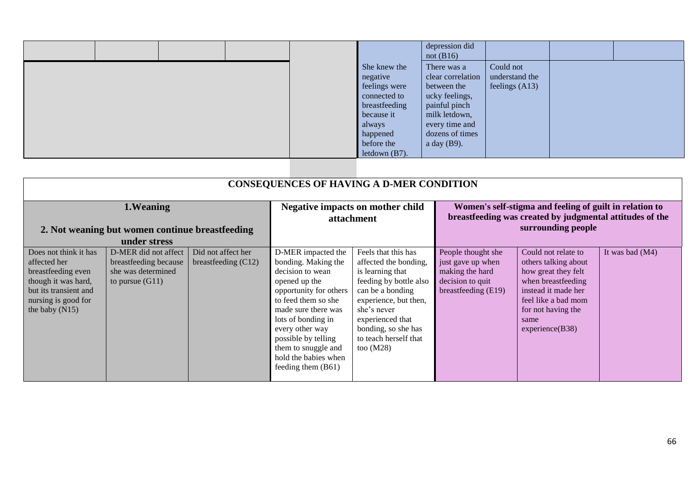|  |                                                                                                                              | depression did<br>not $(B16)$                                                                                                                              |                                                 |  |
|--|------------------------------------------------------------------------------------------------------------------------------|------------------------------------------------------------------------------------------------------------------------------------------------------------|-------------------------------------------------|--|
|  | She knew the<br>negative<br>feelings were<br>connected to<br>breastfeeding<br>because it<br>always<br>happened<br>before the | There was a<br>clear correlation<br>between the<br>ucky feelings,<br>painful pinch<br>milk letdown,<br>every time and<br>dozens of times<br>a day $(B9)$ . | Could not<br>understand the<br>feelings $(A13)$ |  |
|  | letdown $(B7)$ .                                                                                                             |                                                                                                                                                            |                                                 |  |

| <b>CONSEQUENCES OF HAVING A D-MER CONDITION</b>                                                                                                        |                                                                                          |                                             |                                                                                                                                                                                                                                                                                             |                                                                                                                                                                                                                                           |                                                                                                                                           |                                                                                                                                                                                         |                 |
|--------------------------------------------------------------------------------------------------------------------------------------------------------|------------------------------------------------------------------------------------------|---------------------------------------------|---------------------------------------------------------------------------------------------------------------------------------------------------------------------------------------------------------------------------------------------------------------------------------------------|-------------------------------------------------------------------------------------------------------------------------------------------------------------------------------------------------------------------------------------------|-------------------------------------------------------------------------------------------------------------------------------------------|-----------------------------------------------------------------------------------------------------------------------------------------------------------------------------------------|-----------------|
| 1. Weaning<br>2. Not weaning but women continue breastfeeding<br>under stress                                                                          |                                                                                          |                                             | <b>Negative impacts on mother child</b><br>attachment                                                                                                                                                                                                                                       |                                                                                                                                                                                                                                           | Women's self-stigma and feeling of guilt in relation to<br>breastfeeding was created by judgmental attitudes of the<br>surrounding people |                                                                                                                                                                                         |                 |
| Does not think it has<br>affected her<br>breastfeeding even<br>though it was hard,<br>but its transient and<br>nursing is good for<br>the baby $(N15)$ | D-MER did not affect<br>breastfeeding because<br>she was determined<br>to pursue $(G11)$ | Did not affect her<br>breastfeeding $(C12)$ | D-MER impacted the<br>bonding. Making the<br>decision to wean<br>opened up the<br>opportunity for others<br>to feed them so she<br>made sure there was<br>lots of bonding in<br>every other way<br>possible by telling<br>them to snuggle and<br>hold the babies when<br>feeding them (B61) | Feels that this has<br>affected the bonding,<br>is learning that<br>feeding by bottle also<br>can be a bonding<br>experience, but then,<br>she's never<br>experienced that<br>bonding, so she has<br>to teach herself that<br>too $(M28)$ | People thought she<br>just gave up when<br>making the hard<br>decision to quit<br>breastfeeding (E19)                                     | Could not relate to<br>others talking about<br>how great they felt<br>when breastfeeding<br>instead it made her<br>feel like a bad mom<br>for not having the<br>same<br>experience(B38) | It was bad (M4) |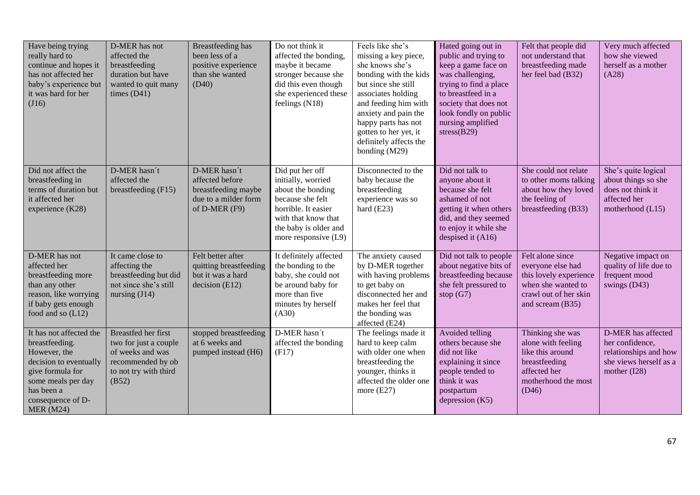| Have being trying<br>really hard to<br>continue and hopes it<br>has not affected her<br>baby's experience but<br>it was hard for her<br>(J16)                                        | D-MER has not<br>affected the<br>breastfeeding<br>duration but have<br>wanted to quit many<br>times $(D41)$                    | Breastfeeding has<br>been less of a<br>positive experience<br>than she wanted<br>(D40)          | Do not think it<br>affected the bonding,<br>maybe it became<br>stronger because she<br>did this even though<br>she experienced these<br>feelings (N18)                        | Feels like she's<br>missing a key piece,<br>she knows she's<br>bonding with the kids<br>but since she still<br>associates holding<br>and feeding him with<br>anxiety and pain the<br>happy parts has not<br>gotten to her yet, it<br>definitely affects the<br>bonding (M29) | Hated going out in<br>public and trying to<br>keep a game face on<br>was challenging,<br>trying to find a place<br>to breastfeed in a<br>society that does not<br>look fondly on public<br>nursing amplified<br>stress(B29) | Felt that people did<br>not understand that<br>breastfeeding made<br>her feel bad (B32)                                            | Very much affected<br>how she viewed<br>herself as a mother<br>(A28)                                     |
|--------------------------------------------------------------------------------------------------------------------------------------------------------------------------------------|--------------------------------------------------------------------------------------------------------------------------------|-------------------------------------------------------------------------------------------------|-------------------------------------------------------------------------------------------------------------------------------------------------------------------------------|------------------------------------------------------------------------------------------------------------------------------------------------------------------------------------------------------------------------------------------------------------------------------|-----------------------------------------------------------------------------------------------------------------------------------------------------------------------------------------------------------------------------|------------------------------------------------------------------------------------------------------------------------------------|----------------------------------------------------------------------------------------------------------|
| Did not affect the<br>breastfeeding in<br>terms of duration but<br>it affected her<br>experience (K28)                                                                               | D-MER hasn't<br>affected the<br>breastfeeding (F15)                                                                            | D-MER hasn't<br>affected before<br>breastfeeding maybe<br>due to a milder form<br>of D-MER (F9) | Did put her off<br>initially, worried<br>about the bonding<br>because she felt<br>horrible. It easier<br>with that know that<br>the baby is older and<br>more responsive (L9) | Disconnected to the<br>baby because the<br>breastfeeding<br>experience was so<br>hard $(E23)$                                                                                                                                                                                | Did not talk to<br>anyone about it<br>because she felt<br>ashamed of not<br>getting it when others<br>did, and they seemed<br>to enjoy it while she<br>despised it (A16)                                                    | She could not relate<br>to other moms talking<br>about how they loved<br>the feeling of<br>breastfeeding (B33)                     | She's quite logical<br>about things so she<br>does not think it<br>affected her<br>motherhood (L15)      |
| D-MER has not<br>affected her<br>breastfeeding more<br>than any other<br>reason, like worrying<br>if baby gets enough<br>food and so (L12)                                           | It came close to<br>affecting the<br>breastfeeding but did<br>not since she's still<br>nursing $(J14)$                         | Felt better after<br>quitting breastfeeding<br>but it was a hard<br>decision (E12)              | It definitely affected<br>the bonding to the<br>baby, she could not<br>be around baby for<br>more than five<br>minutes by herself<br>(A30)                                    | The anxiety caused<br>by D-MER together<br>with having problems<br>to get baby on<br>disconnected her and<br>makes her feel that<br>the bonding was<br>affected (E24)                                                                                                        | Did not talk to people<br>about negative bits of<br>breastfeeding because<br>she felt pressured to<br>stop $(G7)$                                                                                                           | Felt alone since<br>everyone else had<br>this lovely experience<br>when she wanted to<br>crawl out of her skin<br>and scream (B35) | Negative impact on<br>quality of life due to<br>frequent mood<br>swings $(D43)$                          |
| It has not affected the<br>breastfeeding.<br>However, the<br>decision to eventually<br>give formula for<br>some meals per day<br>has been a<br>consequence of D-<br><b>MER</b> (M24) | <b>Breastfed her first</b><br>two for just a couple<br>of weeks and was<br>recommended by ob<br>to not try with third<br>(B52) | stopped breastfeeding<br>at 6 weeks and<br>pumped instead (H6)                                  | D-MER hasn't<br>affected the bonding<br>(F17)                                                                                                                                 | The feelings made it<br>hard to keep calm<br>with older one when<br>breastfeeding the<br>younger, thinks it<br>affected the older one<br>more $(E27)$                                                                                                                        | Avoided telling<br>others because she<br>did not like<br>explaining it since<br>people tended to<br>think it was<br>postpartum<br>depression $(K5)$                                                                         | Thinking she was<br>alone with feeling<br>like this around<br>breastfeeding<br>affected her<br>motherhood the most<br>(D46)        | D-MER has affected<br>her confidence,<br>relationships and how<br>she views herself as a<br>mother (I28) |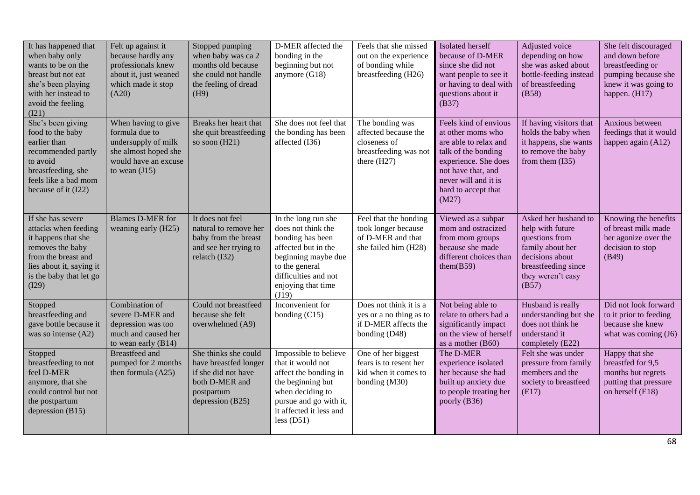| It has happened that<br>when baby only<br>wants to be on the<br>breast but not eat<br>she's been playing<br>with her instead to<br>avoid the feeling<br>(121)               | Felt up against it<br>because hardly any<br>professionals knew<br>about it, just weaned<br>which made it stop<br>(A20)          | Stopped pumping<br>when baby was ca 2<br>months old because<br>she could not handle<br>the feeling of dread<br>(H9)      | D-MER affected the<br>bonding in the<br>beginning but not<br>anymore (G18)                                                                                                           | Feels that she missed<br>out on the experience<br>of bonding while<br>breastfeeding (H26)         | Isolated herself<br>because of D-MER<br>since she did not<br>want people to see it<br>or having to deal with<br>questions about it<br>(B37)                                                      | Adjusted voice<br>depending on how<br>she was asked about<br>bottle-feeding instead<br>of breastfeeding<br>(B58)                                       | She felt discouraged<br>and down before<br>breastfeeding or<br>pumping because she<br>knew it was going to<br>happen. (H17) |
|-----------------------------------------------------------------------------------------------------------------------------------------------------------------------------|---------------------------------------------------------------------------------------------------------------------------------|--------------------------------------------------------------------------------------------------------------------------|--------------------------------------------------------------------------------------------------------------------------------------------------------------------------------------|---------------------------------------------------------------------------------------------------|--------------------------------------------------------------------------------------------------------------------------------------------------------------------------------------------------|--------------------------------------------------------------------------------------------------------------------------------------------------------|-----------------------------------------------------------------------------------------------------------------------------|
| She's been giving<br>food to the baby<br>earlier than<br>recommended partly<br>to avoid<br>breastfeeding, she<br>feels like a bad mom<br>because of it (I22)                | When having to give<br>formula due to<br>undersupply of milk<br>she almost hoped she<br>would have an excuse<br>to wean $(J15)$ | Breaks her heart that<br>she quit breastfeeding<br>so soon $(H21)$                                                       | She does not feel that<br>the bonding has been<br>affected (I36)                                                                                                                     | The bonding was<br>affected because the<br>closeness of<br>breastfeeding was not<br>there $(H27)$ | Feels kind of envious<br>at other moms who<br>are able to relax and<br>talk of the bonding<br>experience. She does<br>not have that, and<br>never will and it is<br>hard to accept that<br>(M27) | If having visitors that<br>holds the baby when<br>it happens, she wants<br>to remove the baby<br>from them $(135)$                                     | Anxious between<br>feedings that it would<br>happen again (A12)                                                             |
| If she has severe<br>attacks when feeding<br>it happens that she<br>removes the baby<br>from the breast and<br>lies about it, saying it<br>is the baby that let go<br>(I29) | <b>Blames D-MER for</b><br>weaning early (H25)                                                                                  | It does not feel<br>natural to remove her<br>baby from the breast<br>and see her trying to<br>relatch $(132)$            | In the long run she<br>does not think the<br>bonding has been<br>affected but in the<br>beginning maybe due<br>to the general<br>difficulties and not<br>enjoying that time<br>(J19) | Feel that the bonding<br>took longer because<br>of D-MER and that<br>she failed him (H28)         | Viewed as a subpar<br>mom and ostracized<br>from mom groups<br>because she made<br>different choices than<br>them $(B59)$                                                                        | Asked her husband to<br>help with future<br>questions from<br>family about her<br>decisions about<br>breastfeeding since<br>they weren't easy<br>(B57) | Knowing the benefits<br>of breast milk made<br>her agonize over the<br>decision to stop<br>(B49)                            |
| Stopped<br>breastfeeding and<br>gave bottle because it<br>was so intense (A2)                                                                                               | Combination of<br>severe D-MER and<br>depression was too<br>much and caused her<br>to wean early $(B14)$                        | Could not breastfeed<br>because she felt<br>overwhelmed (A9)                                                             | Inconvenient for<br>bonding (C15)                                                                                                                                                    | Does not think it is a<br>yes or a no thing as to<br>if D-MER affects the<br>bonding (D48)        | Not being able to<br>relate to others had a<br>significantly impact<br>on the view of herself<br>as a mother (B60)                                                                               | Husband is really<br>understanding but she<br>does not think he<br>understand it<br>completely (E22)                                                   | Did not look forward<br>to it prior to feeding<br>because she knew<br>what was coming (J6)                                  |
| Stopped<br>breastfeeding to not<br>feel D-MER<br>anymore, that she<br>could control but not<br>the postpartum<br>depression (B15)                                           | <b>Breastfeed</b> and<br>pumped for 2 months<br>then formula $(A25)$                                                            | She thinks she could<br>have breastfed longer<br>if she did not have<br>both D-MER and<br>postpartum<br>depression (B25) | Impossible to believe<br>that it would not<br>affect the bonding in<br>the beginning but<br>when deciding to<br>pursue and go with it,<br>it affected it less and<br>less $(D51)$    | One of her biggest<br>fears is to resent her<br>kid when it comes to<br>bonding (M30)             | The D-MER<br>experience isolated<br>her because she had<br>built up anxiety due<br>to people treating her<br>poorly (B36)                                                                        | Felt she was under<br>pressure from family<br>members and the<br>society to breastfeed<br>(E17)                                                        | Happy that she<br>breastfed for 9.5<br>months but regrets<br>putting that pressure<br>on herself (E18)                      |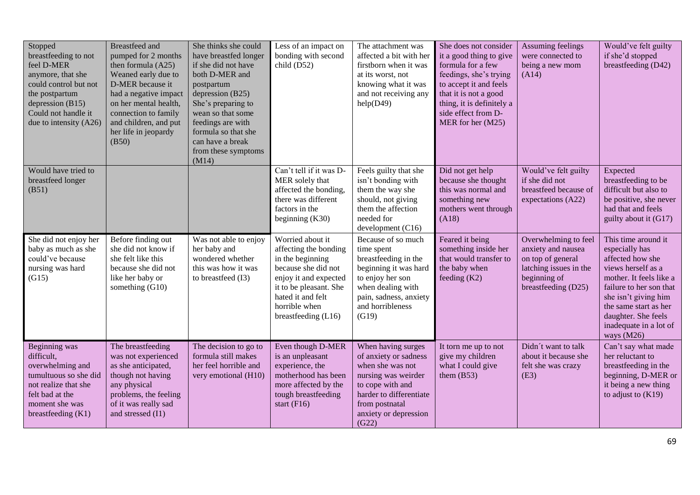| Stopped<br>breastfeeding to not<br>feel D-MER<br>anymore, that she<br>could control but not<br>the postpartum<br>depression $(B15)$<br>Could not handle it<br>due to intensity (A26) | <b>Breastfeed</b> and<br>pumped for 2 months<br>then formula (A25)<br>Weaned early due to<br>D-MER because it<br>had a negative impact<br>on her mental health,<br>connection to family<br>and children, and put<br>her life in jeopardy<br>(B50) | She thinks she could<br>have breastfed longer<br>if she did not have<br>both D-MER and<br>postpartum<br>depression (B25)<br>She's preparing to<br>wean so that some<br>feedings are with<br>formula so that she<br>can have a break<br>from these symptoms<br>(M14) | Less of an impact on<br>bonding with second<br>child (D52)                                                                                                                                           | The attachment was<br>affected a bit with her<br>firstborn when it was<br>at its worst, not<br>knowing what it was<br>and not receiving any<br>help(D49)                                  | She does not consider<br>it a good thing to give<br>formula for a few<br>feedings, she's trying<br>to accept it and feels<br>that it is not a good<br>thing, it is definitely a<br>side effect from D-<br>MER for her (M25) | Assuming feelings<br>were connected to<br>being a new mom<br>(A14)                                                               | Would've felt guilty<br>if she'd stopped<br>breastfeeding (D42)                                                                                                                                                                                       |
|--------------------------------------------------------------------------------------------------------------------------------------------------------------------------------------|---------------------------------------------------------------------------------------------------------------------------------------------------------------------------------------------------------------------------------------------------|---------------------------------------------------------------------------------------------------------------------------------------------------------------------------------------------------------------------------------------------------------------------|------------------------------------------------------------------------------------------------------------------------------------------------------------------------------------------------------|-------------------------------------------------------------------------------------------------------------------------------------------------------------------------------------------|-----------------------------------------------------------------------------------------------------------------------------------------------------------------------------------------------------------------------------|----------------------------------------------------------------------------------------------------------------------------------|-------------------------------------------------------------------------------------------------------------------------------------------------------------------------------------------------------------------------------------------------------|
| Would have tried to<br>breastfeed longer<br>(B51)                                                                                                                                    |                                                                                                                                                                                                                                                   |                                                                                                                                                                                                                                                                     | Can't tell if it was D-<br>MER solely that<br>affected the bonding,<br>there was different<br>factors in the<br>beginning $(K30)$                                                                    | Feels guilty that she<br>isn't bonding with<br>them the way she<br>should, not giving<br>them the affection<br>needed for<br>development (C16)                                            | Did not get help<br>because she thought<br>this was normal and<br>something new<br>mothers went through<br>(A18)                                                                                                            | Would've felt guilty<br>if she did not<br>breastfeed because of<br>expectations (A22)                                            | Expected<br>breastfeeding to be<br>difficult but also to<br>be positive, she never<br>had that and feels<br>guilty about it (G17)                                                                                                                     |
| She did not enjoy her<br>baby as much as she<br>could've because<br>nursing was hard<br>(G15)                                                                                        | Before finding out<br>she did not know if<br>she felt like this<br>because she did not<br>like her baby or<br>something (G10)                                                                                                                     | Was not able to enjoy<br>her baby and<br>wondered whether<br>this was how it was<br>to breastfeed (I3)                                                                                                                                                              | Worried about it<br>affecting the bonding<br>in the beginning<br>because she did not<br>enjoy it and expected<br>it to be pleasant. She<br>hated it and felt<br>horrible when<br>breastfeeding (L16) | Because of so much<br>time spent<br>breastfeeding in the<br>beginning it was hard<br>to enjoy her son<br>when dealing with<br>pain, sadness, anxiety<br>and horribleness<br>(G19)         | Feared it being<br>something inside her<br>that would transfer to<br>the baby when<br>feeding $(K2)$                                                                                                                        | Overwhelming to feel<br>anxiety and nausea<br>on top of general<br>latching issues in the<br>beginning of<br>breastfeeding (D25) | This time around it<br>especially has<br>affected how she<br>views herself as a<br>mother. It feels like a<br>failure to her son that<br>she isn't giving him<br>the same start as her<br>daughter. She feels<br>inadequate in a lot of<br>ways (M26) |
| Beginning was<br>difficult,<br>overwhelming and<br>tumultuous so she did<br>not realize that she<br>felt bad at the<br>moment she was<br>breastfeeding (K1)                          | The breastfeeding<br>was not experienced<br>as she anticipated,<br>though not having<br>any physical<br>problems, the feeling<br>of it was really sad<br>and stressed (I1)                                                                        | The decision to go to<br>formula still makes<br>her feel horrible and<br>very emotional (H10)                                                                                                                                                                       | Even though D-MER<br>is an unpleasant<br>experience, the<br>motherhood has been<br>more affected by the<br>tough breastfeeding<br>start $(F16)$                                                      | When having surges<br>of anxiety or sadness<br>when she was not<br>nursing was weirder<br>to cope with and<br>harder to differentiate<br>from postnatal<br>anxiety or depression<br>(G22) | It torn me up to not<br>give my children<br>what I could give<br>them $(B53)$                                                                                                                                               | Didn't want to talk<br>about it because she<br>felt she was crazy<br>(E3)                                                        | Can't say what made<br>her reluctant to<br>breastfeeding in the<br>beginning, D-MER or<br>it being a new thing<br>to adjust to $(K19)$                                                                                                                |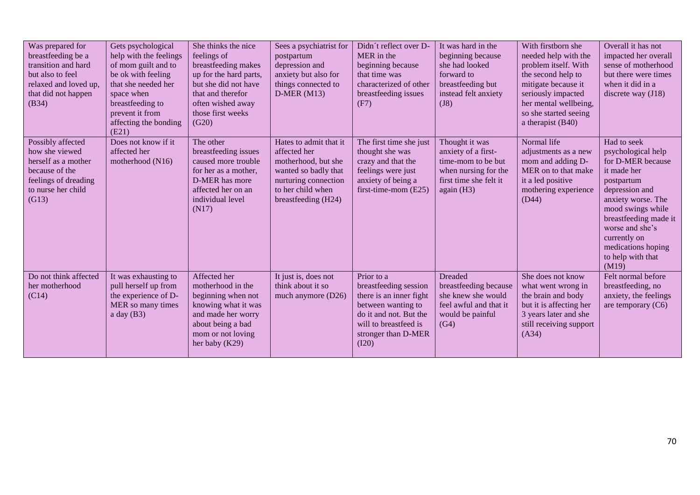| Was prepared for<br>breastfeeding be a<br>transition and hard<br>but also to feel<br>relaxed and loved up,<br>that did not happen<br>(B34) | Gets psychological<br>help with the feelings<br>of mom guilt and to<br>be ok with feeling<br>that she needed her<br>space when<br>breastfeeding to<br>prevent it from<br>affecting the bonding<br>(E21) | She thinks the nice<br>feelings of<br>breastfeeding makes<br>up for the hard parts,<br>but she did not have<br>that and therefor<br>often wished away<br>those first weeks<br>(G20) | Sees a psychiatrist for<br>postpartum<br>depression and<br>anxiety but also for<br>things connected to<br>$D-MER(M13)$                                    | Didn't reflect over D-<br>MER in the<br>beginning because<br>that time was<br>characterized of other<br>breastfeeding issues<br>(F7)                                    | It was hard in the<br>beginning because<br>she had looked<br>forward to<br>breastfeeding but<br>instead felt anxiety<br>(J8) | With firstborn she<br>needed help with the<br>problem itself. With<br>the second help to<br>mitigate because it<br>seriously impacted<br>her mental wellbeing,<br>so she started seeing<br>a therapist (B40) | Overall it has not<br>impacted her overall<br>sense of motherhood<br>but there were times<br>when it did in a<br>discrete way $(J18)$                                                                                                                            |
|--------------------------------------------------------------------------------------------------------------------------------------------|---------------------------------------------------------------------------------------------------------------------------------------------------------------------------------------------------------|-------------------------------------------------------------------------------------------------------------------------------------------------------------------------------------|-----------------------------------------------------------------------------------------------------------------------------------------------------------|-------------------------------------------------------------------------------------------------------------------------------------------------------------------------|------------------------------------------------------------------------------------------------------------------------------|--------------------------------------------------------------------------------------------------------------------------------------------------------------------------------------------------------------|------------------------------------------------------------------------------------------------------------------------------------------------------------------------------------------------------------------------------------------------------------------|
| Possibly affected<br>how she viewed<br>herself as a mother<br>because of the<br>feelings of dreading<br>to nurse her child<br>(G13)        | Does not know if it<br>affected her<br>motherhood (N16)                                                                                                                                                 | The other<br>breastfeeding issues<br>caused more trouble<br>for her as a mother,<br>D-MER has more<br>affected her on an<br>individual level<br>(N17)                               | Hates to admit that it<br>affected her<br>motherhood, but she<br>wanted so badly that<br>nurturing connection<br>to her child when<br>breastfeeding (H24) | The first time she just<br>thought she was<br>crazy and that the<br>feelings were just<br>anxiety of being a<br>first-time-mom $(E25)$                                  | Thought it was<br>anxiety of a first-<br>time-mom to be but<br>when nursing for the<br>first time she felt it<br>again (H3)  | Normal life<br>adjustments as a new<br>mom and adding D-<br>MER on to that make<br>it a led positive<br>mothering experience<br>(D44)                                                                        | Had to seek<br>psychological help<br>for D-MER because<br>it made her<br>postpartum<br>depression and<br>anxiety worse. The<br>mood swings while<br>breastfeeding made it<br>worse and she's<br>currently on<br>medications hoping<br>to help with that<br>(M19) |
| Do not think affected<br>her motherhood<br>(C14)                                                                                           | It was exhausting to<br>pull herself up from<br>the experience of D-<br>MER so many times<br>a day $(B3)$                                                                                               | Affected her<br>motherhood in the<br>beginning when not<br>knowing what it was<br>and made her worry<br>about being a bad<br>mom or not loving<br>her baby (K29)                    | It just is, does not<br>think about it so<br>much anymore (D26)                                                                                           | Prior to a<br>breastfeeding session<br>there is an inner fight<br>between wanting to<br>do it and not. But the<br>will to breastfeed is<br>stronger than D-MER<br>(I20) | <b>Dreaded</b><br>breastfeeding because<br>she knew she would<br>feel awful and that it<br>would be painful<br>(G4)          | She does not know<br>what went wrong in<br>the brain and body<br>but it is affecting her<br>3 years later and she<br>still receiving support<br>(A34)                                                        | Felt normal before<br>breastfeeding, no<br>anxiety, the feelings<br>are temporary $(C6)$                                                                                                                                                                         |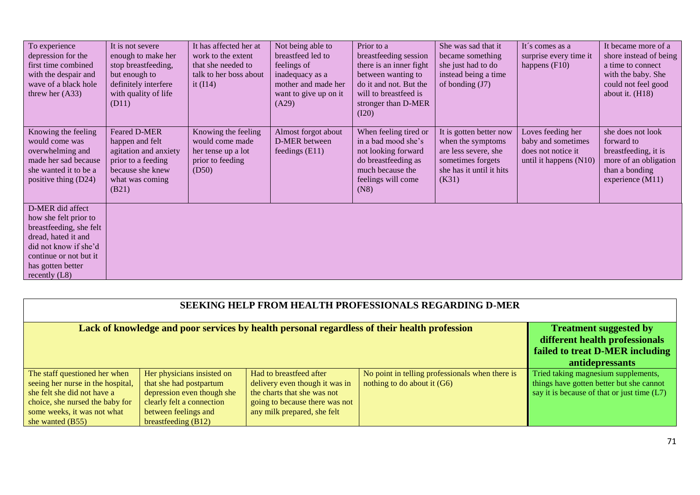| To experience<br>depression for the<br>first time combined<br>with the despair and<br>wave of a black hole<br>threw her $(A33)$                                                        | It is not severe<br>enough to make her<br>stop breastfeeding,<br>but enough to<br>definitely interfere<br>with quality of life<br>(D11) | It has affected her at<br>work to the extent<br>that she needed to<br>talk to her boss about<br>it $(114)$ | Not being able to<br>breastfeed led to<br>feelings of<br>inadequacy as a<br>mother and made her<br>want to give up on it<br>(A29) | Prior to a<br>breastfeeding session<br>there is an inner fight<br>between wanting to<br>do it and not. But the<br>will to breastfeed is<br>stronger than D-MER<br>(I20) | She was sad that it<br>became something<br>she just had to do<br>instead being a time<br>of bonding $(J7)$                     | It's comes as a<br>surprise every time it<br>happens $(F10)$                            | It became more of a<br>shore instead of being<br>a time to connect<br>with the baby. She<br>could not feel good<br>about it. $(H18)$ |
|----------------------------------------------------------------------------------------------------------------------------------------------------------------------------------------|-----------------------------------------------------------------------------------------------------------------------------------------|------------------------------------------------------------------------------------------------------------|-----------------------------------------------------------------------------------------------------------------------------------|-------------------------------------------------------------------------------------------------------------------------------------------------------------------------|--------------------------------------------------------------------------------------------------------------------------------|-----------------------------------------------------------------------------------------|--------------------------------------------------------------------------------------------------------------------------------------|
| Knowing the feeling<br>would come was<br>overwhelming and<br>made her sad because<br>she wanted it to be a<br>positive thing (D24)                                                     | <b>Feared D-MER</b><br>happen and felt<br>agitation and anxiety<br>prior to a feeding<br>because she knew<br>what was coming<br>(B21)   | Knowing the feeling<br>would come made<br>her tense up a lot<br>prior to feeding<br>(D50)                  | Almost forgot about<br>D-MER between<br>feedings $(E11)$                                                                          | When feeling tired or<br>in a bad mood she's<br>not looking forward<br>do breastfeeding as<br>much because the<br>feelings will come<br>(N8)                            | It is gotten better now<br>when the symptoms<br>are less severe, she<br>sometimes forgets<br>she has it until it hits<br>(K31) | Loves feeding her<br>baby and sometimes<br>does not notice it<br>until it happens (N10) | she does not look<br>forward to<br>breastfeeding, it is<br>more of an obligation<br>than a bonding<br>experience $(M11)$             |
| D-MER did affect<br>how she felt prior to<br>breastfeeding, she felt<br>dread, hated it and<br>did not know if she'd<br>continue or not but it<br>has gotten better<br>recently $(L8)$ |                                                                                                                                         |                                                                                                            |                                                                                                                                   |                                                                                                                                                                         |                                                                                                                                |                                                                                         |                                                                                                                                      |

| <b>SEEKING HELP FROM HEALTH PROFESSIONALS REGARDING D-MER</b>                                |                                                                                                                       |                                |                                                 |                                               |  |  |
|----------------------------------------------------------------------------------------------|-----------------------------------------------------------------------------------------------------------------------|--------------------------------|-------------------------------------------------|-----------------------------------------------|--|--|
| Lack of knowledge and poor services by health personal regardless of their health profession | <b>Treatment suggested by</b><br>different health professionals<br>failed to treat D-MER including<br>antidepressants |                                |                                                 |                                               |  |  |
| The staff questioned her when                                                                | Her physicians insisted on                                                                                            | Had to breastfeed after        | No point in telling professionals when there is | Tried taking magnesium supplements,           |  |  |
| seeing her nurse in the hospital,                                                            | that she had postpartum                                                                                               | delivery even though it was in | nothing to do about it $(G6)$                   | things have gotten better but she cannot      |  |  |
| she felt she did not have a                                                                  | depression even though she<br>clearly felt a connection                                                               | the charts that she was not    |                                                 | say it is because of that or just time $(L7)$ |  |  |
| choice, she nursed the baby for                                                              |                                                                                                                       |                                |                                                 |                                               |  |  |
| some weeks, it was not what                                                                  |                                                                                                                       |                                |                                                 |                                               |  |  |
| she wanted (B55)                                                                             | breastfeeding $(B12)$                                                                                                 |                                |                                                 |                                               |  |  |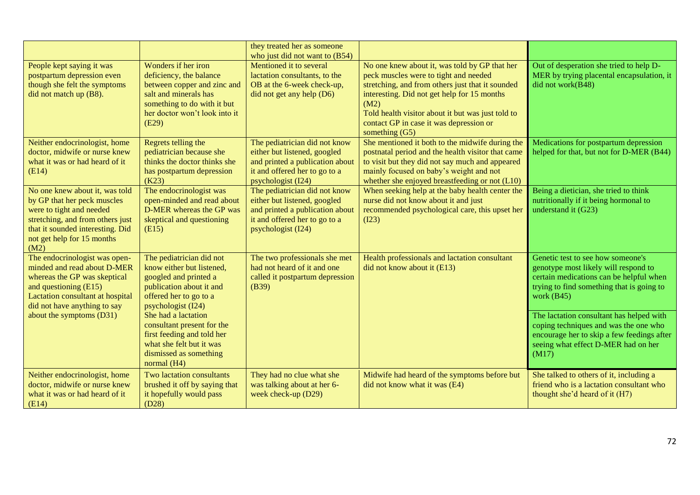|                                                                                                                                                                                                                       |                                                                                                                                                                                                                 | they treated her as someone<br>who just did not want to (B54)                                                                                           |                                                                                                                                                                                                                                                                                                                     |                                                                                                                                                                                                                                                                        |
|-----------------------------------------------------------------------------------------------------------------------------------------------------------------------------------------------------------------------|-----------------------------------------------------------------------------------------------------------------------------------------------------------------------------------------------------------------|---------------------------------------------------------------------------------------------------------------------------------------------------------|---------------------------------------------------------------------------------------------------------------------------------------------------------------------------------------------------------------------------------------------------------------------------------------------------------------------|------------------------------------------------------------------------------------------------------------------------------------------------------------------------------------------------------------------------------------------------------------------------|
| People kept saying it was<br>postpartum depression even<br>though she felt the symptoms<br>did not match up (B8).                                                                                                     | Wonders if her iron<br>deficiency, the balance<br>between copper and zinc and<br>salt and minerals has<br>something to do with it but<br>her doctor won't look into it<br>(E29)                                 | Mentioned it to several<br>lactation consultants, to the<br>OB at the 6-week check-up,<br>did not get any help (D6)                                     | No one knew about it, was told by GP that her<br>peck muscles were to tight and needed<br>stretching, and from others just that it sounded<br>interesting. Did not get help for 15 months<br>(M2)<br>Told health visitor about it but was just told to<br>contact GP in case it was depression or<br>something (G5) | Out of desperation she tried to help D-<br>MER by trying placental encapsulation, it<br>did not work(B48)                                                                                                                                                              |
| Neither endocrinologist, home<br>doctor, midwife or nurse knew<br>what it was or had heard of it<br>(E14)                                                                                                             | Regrets telling the<br>pediatrician because she<br>thinks the doctor thinks she<br>has postpartum depression<br>(K23)                                                                                           | The pediatrician did not know<br>either but listened, googled<br>and printed a publication about<br>it and offered her to go to a<br>psychologist (I24) | She mentioned it both to the midwife during the<br>postnatal period and the health visitor that came<br>to visit but they did not say much and appeared<br>mainly focused on baby's weight and not<br>whether she enjoyed breastfeeding or not (L10)                                                                | Medications for postpartum depression<br>helped for that, but not for D-MER (B44)                                                                                                                                                                                      |
| No one knew about it, was told<br>by GP that her peck muscles<br>were to tight and needed<br>stretching, and from others just<br>that it sounded interesting. Did<br>not get help for 15 months<br>(M2)               | The endocrinologist was<br>open-minded and read about<br>D-MER whereas the GP was<br>skeptical and questioning<br>(E15)                                                                                         | The pediatrician did not know<br>either but listened, googled<br>and printed a publication about<br>it and offered her to go to a<br>psychologist (I24) | When seeking help at the baby health center the<br>nurse did not know about it and just<br>recommended psychological care, this upset her<br>(I23)                                                                                                                                                                  | Being a dietician, she tried to think<br>nutritionally if it being hormonal to<br>understand it (G23)                                                                                                                                                                  |
| The endocrinologist was open-<br>minded and read about D-MER<br>whereas the GP was skeptical<br>and questioning (E15)<br>Lactation consultant at hospital<br>did not have anything to say<br>about the symptoms (D31) | The pediatrician did not<br>know either but listened,<br>googled and printed a<br>publication about it and<br>offered her to go to a<br>psychologist (I24)<br>She had a lactation<br>consultant present for the | The two professionals she met<br>had not heard of it and one<br>called it postpartum depression<br>(B39)                                                | Health professionals and lactation consultant<br>did not know about it (E13)                                                                                                                                                                                                                                        | Genetic test to see how someone's<br>genotype most likely will respond to<br>certain medications can be helpful when<br>trying to find something that is going to<br>work $(B45)$<br>The lactation consultant has helped with<br>coping techniques and was the one who |
|                                                                                                                                                                                                                       | first feeding and told her<br>what she felt but it was<br>dismissed as something<br>normal (H4)                                                                                                                 |                                                                                                                                                         |                                                                                                                                                                                                                                                                                                                     | encourage her to skip a few feedings after<br>seeing what effect D-MER had on her<br>(M17)                                                                                                                                                                             |
| Neither endocrinologist, home<br>doctor, midwife or nurse knew<br>what it was or had heard of it<br>(E14)                                                                                                             | Two lactation consultants<br>brushed it off by saying that<br>it hopefully would pass<br>(D28)                                                                                                                  | They had no clue what she<br>was talking about at her 6-<br>week check-up (D29)                                                                         | Midwife had heard of the symptoms before but<br>did not know what it was (E4)                                                                                                                                                                                                                                       | She talked to others of it, including a<br>friend who is a lactation consultant who<br>thought she'd heard of it (H7)                                                                                                                                                  |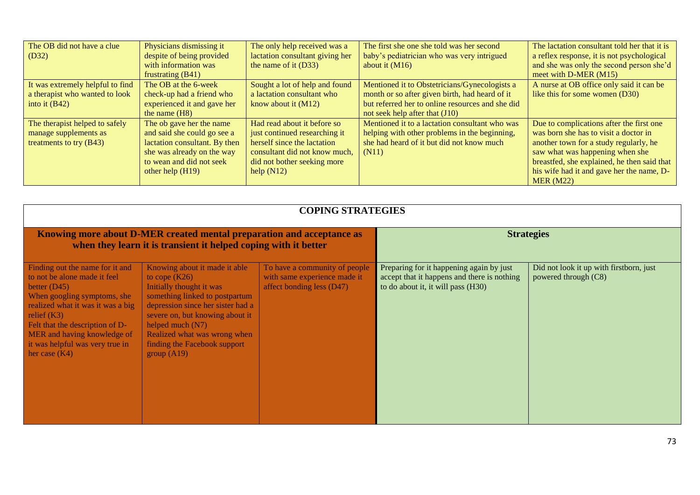| The OB did not have a clue       | Physicians dismissing it      | The only help received was a    | The first she one she told was her second        | The lactation consultant told her that it is |
|----------------------------------|-------------------------------|---------------------------------|--------------------------------------------------|----------------------------------------------|
| $\mid$ (D32)                     | despite of being provided     | lactation consultant giving her | baby's pediatrician who was very intrigued       | a reflex response, it is not psychological   |
|                                  | with information was          | the name of it $(D33)$          | about it $(M16)$                                 | and she was only the second person she'd     |
|                                  | frustrating (B41)             |                                 |                                                  | meet with D-MER (M15)                        |
| It was extremely helpful to find | The OB at the 6-week          | Sought a lot of help and found  | Mentioned it to Obstetricians/Gynecologists a    | A nurse at OB office only said it can be     |
| a therapist who wanted to look   | check-up had a friend who     | a lactation consultant who      | month or so after given birth, had heard of it   | like this for some women (D30)               |
| into it $(B42)$                  | experienced it and gave her   | know about it $(M12)$           | but referred her to online resources and she did |                                              |
|                                  | the name $(H8)$               |                                 | not seek help after that $(J10)$                 |                                              |
| The therapist helped to safely   | The ob gave her the name      | Had read about it before so     | Mentioned it to a lactation consultant who was   | Due to complications after the first one     |
| manage supplements as            | and said she could go see a   | just continued researching it   | helping with other problems in the beginning,    | was born she has to visit a doctor in        |
| treatments to try $(B43)$        | lactation consultant. By then | herself since the lactation     | she had heard of it but did not know much        | another town for a study regularly, he       |
|                                  | she was already on the way    | consultant did not know much,   | (N11)                                            | saw what was happening when she              |
|                                  | to wean and did not seek      | did not bother seeking more     |                                                  | breastfed, she explained, he then said that  |
|                                  | other help $(H19)$            | help $(N12)$                    |                                                  | his wife had it and gave her the name, D-    |
|                                  |                               |                                 |                                                  | MER (M22)                                    |

|                                                                                                                                                                                                                                                                                                | <b>COPING STRATEGIES</b>                                                                                                                                                                                                                                                                    |                                                                                            |                                                                                                                               |                                                                 |  |  |  |
|------------------------------------------------------------------------------------------------------------------------------------------------------------------------------------------------------------------------------------------------------------------------------------------------|---------------------------------------------------------------------------------------------------------------------------------------------------------------------------------------------------------------------------------------------------------------------------------------------|--------------------------------------------------------------------------------------------|-------------------------------------------------------------------------------------------------------------------------------|-----------------------------------------------------------------|--|--|--|
| Knowing more about D-MER created mental preparation and acceptance as<br>when they learn it is transient it helped coping with it better                                                                                                                                                       |                                                                                                                                                                                                                                                                                             |                                                                                            | <b>Strategies</b>                                                                                                             |                                                                 |  |  |  |
| Finding out the name for it and<br>to not be alone made it feel<br>better $(D45)$<br>When googling symptoms, she<br>realized what it was it was a big<br>relief $(K3)$<br>Felt that the description of D-<br>MER and having knowledge of<br>it was helpful was very true in<br>her case $(K4)$ | Knowing about it made it able<br>to cope $(K26)$<br>Initially thought it was<br>something linked to postpartum<br>depression since her sister had a<br>severe on, but knowing about it<br>helped much $(N7)$<br>Realized what was wrong when<br>finding the Facebook support<br>group (A19) | To have a community of people<br>with same experience made it<br>affect bonding less (D47) | Preparing for it happening again by just<br>accept that it happens and there is nothing<br>to do about it, it will pass (H30) | Did not look it up with firstborn, just<br>powered through (C8) |  |  |  |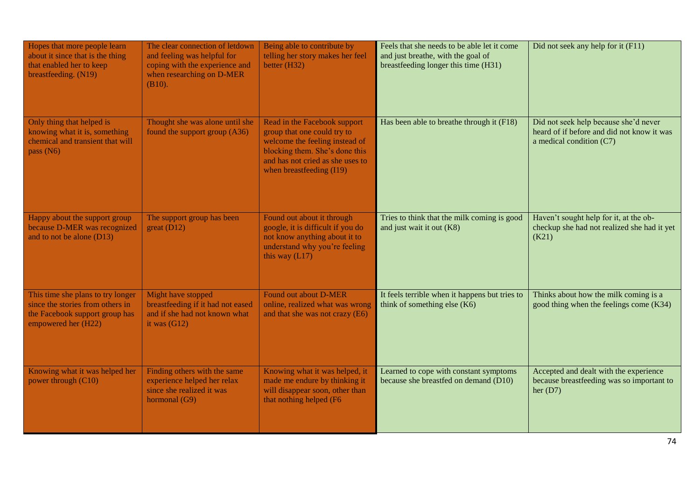| Hopes that more people learn<br>about it since that is the thing<br>that enabled her to keep<br>breastfeeding. (N19)           | The clear connection of letdown<br>and feeling was helpful for<br>coping with the experience and<br>when researching on D-MER<br>(B10). | Being able to contribute by<br>telling her story makes her feel<br>better (H32)                                                                                                                 | Feels that she needs to be able let it come<br>and just breathe, with the goal of<br>breastfeeding longer this time (H31) | Did not seek any help for it (F11)                                                                              |
|--------------------------------------------------------------------------------------------------------------------------------|-----------------------------------------------------------------------------------------------------------------------------------------|-------------------------------------------------------------------------------------------------------------------------------------------------------------------------------------------------|---------------------------------------------------------------------------------------------------------------------------|-----------------------------------------------------------------------------------------------------------------|
| Only thing that helped is<br>knowing what it is, something<br>chemical and transient that will<br>pass $(N6)$                  | Thought she was alone until she<br>found the support group (A36)                                                                        | Read in the Facebook support<br>group that one could try to<br>welcome the feeling instead of<br>blocking them. She's done this<br>and has not cried as she uses to<br>when breastfeeding (I19) | Has been able to breathe through it (F18)                                                                                 | Did not seek help because she'd never<br>heard of if before and did not know it was<br>a medical condition (C7) |
| Happy about the support group<br>because D-MER was recognized<br>and to not be alone $(D13)$                                   | The support group has been<br>great (D12)                                                                                               | Found out about it through<br>google, it is difficult if you do<br>not know anything about it to<br>understand why you're feeling<br>this way $(L17)$                                           | Tries to think that the milk coming is good<br>and just wait it out (K8)                                                  | Haven't sought help for it, at the ob-<br>checkup she had not realized she had it yet<br>(K21)                  |
| This time she plans to try longer<br>since the stories from others in<br>the Facebook support group has<br>empowered her (H22) | Might have stopped<br>breastfeeding if it had not eased<br>and if she had not known what<br>it was $(G12)$                              | Found out about D-MER<br>online, realized what was wrong<br>and that she was not crazy (E6)                                                                                                     | It feels terrible when it happens but tries to<br>think of something else (K6)                                            | Thinks about how the milk coming is a<br>good thing when the feelings come (K34)                                |
| Knowing what it was helped her<br>power through (C10)                                                                          | Finding others with the same<br>experience helped her relax<br>since she realized it was<br>hormonal (G9)                               | Knowing what it was helped, it<br>made me endure by thinking it<br>will disappear soon, other than<br>that nothing helped (F6                                                                   | Learned to cope with constant symptoms<br>because she breastfed on demand (D10)                                           | Accepted and dealt with the experience<br>because breastfeeding was so important to<br>her $(D7)$               |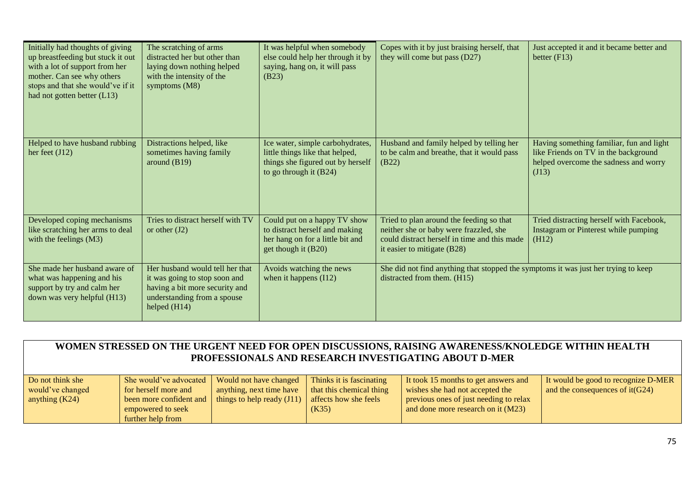| Initially had thoughts of giving<br>up breastfeeding but stuck it out<br>with a lot of support from her<br>mother. Can see why others<br>stops and that she would've if it<br>had not gotten better (L13) | The scratching of arms<br>distracted her but other than<br>laying down nothing helped<br>with the intensity of the<br>symptoms (M8)                 | It was helpful when somebody<br>else could help her through it by<br>saying, hang on, it will pass<br>(B23)                          | Copes with it by just braising herself, that<br>they will come but pass (D27)                                                                                       | Just accepted it and it became better and<br>better $(F13)$                                                                        |
|-----------------------------------------------------------------------------------------------------------------------------------------------------------------------------------------------------------|-----------------------------------------------------------------------------------------------------------------------------------------------------|--------------------------------------------------------------------------------------------------------------------------------------|---------------------------------------------------------------------------------------------------------------------------------------------------------------------|------------------------------------------------------------------------------------------------------------------------------------|
| Helped to have husband rubbing<br>her feet $(J12)$                                                                                                                                                        | Distractions helped, like<br>sometimes having family<br>around $(B19)$                                                                              | Ice water, simple carbohydrates,<br>little things like that helped,<br>things she figured out by herself<br>to go through it $(B24)$ | Husband and family helped by telling her<br>to be calm and breathe, that it would pass<br>(B22)                                                                     | Having something familiar, fun and light<br>like Friends on TV in the background<br>helped overcome the sadness and worry<br>(J13) |
| Developed coping mechanisms<br>like scratching her arms to deal<br>with the feelings (M3)                                                                                                                 | Tries to distract herself with TV<br>or other $(J2)$                                                                                                | Could put on a happy TV show<br>to distract herself and making<br>her hang on for a little bit and<br>get though it (B20)            | Tried to plan around the feeding so that<br>neither she or baby were frazzled, she<br>could distract herself in time and this made<br>it easier to mitigate $(B28)$ | Tried distracting herself with Facebook,<br>Instagram or Pinterest while pumping<br>(H12)                                          |
| She made her husband aware of<br>what was happening and his<br>support by try and calm her<br>down was very helpful (H13)                                                                                 | Her husband would tell her that<br>it was going to stop soon and<br>having a bit more security and<br>understanding from a spouse<br>helped $(H14)$ | Avoids watching the news<br>when it happens $(112)$                                                                                  | She did not find anything that stopped the symptoms it was just her trying to keep<br>distracted from them. (H15)                                                   |                                                                                                                                    |

| WOMEN STRESSED ON THE URGENT NEED FOR OPEN DISCUSSIONS, RAISING AWARENESS/KNOLEDGE WITHIN HEALTH<br>PROFESSIONALS AND RESEARCH INVESTIGATING ABOUT D-MER |                                                                                                                     |                                                                                    |                                                                                        |                                                                                                                                                         |                                                                          |  |
|----------------------------------------------------------------------------------------------------------------------------------------------------------|---------------------------------------------------------------------------------------------------------------------|------------------------------------------------------------------------------------|----------------------------------------------------------------------------------------|---------------------------------------------------------------------------------------------------------------------------------------------------------|--------------------------------------------------------------------------|--|
| Do not think she<br>would've changed<br>anything $(K24)$                                                                                                 | She would've advocated<br>for herself more and<br>been more confident and<br>empowered to seek<br>further help from | Would not have changed<br>anything, next time have<br>things to help ready $(J11)$ | Thinks it is fascinating<br>that this chemical thing<br>affects how she feels<br>(K35) | It took 15 months to get answers and<br>wishes she had not accepted the<br>previous ones of just needing to relax<br>and done more research on it (M23) | It would be good to recognize D-MER<br>and the consequences of $it(G24)$ |  |